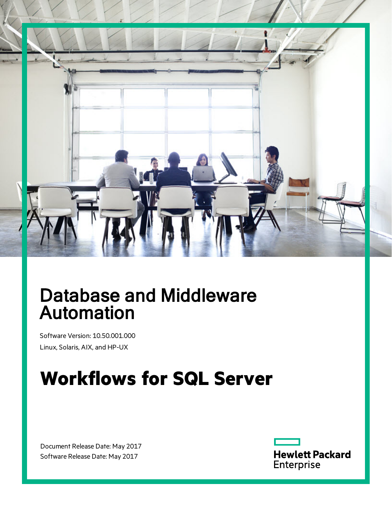

# Database and Middleware Automation

Software Version: 10.50.001.000 Linux, Solaris, AIX, and HP-UX

# **Workflows for SQL Server**

Document Release Date: May 2017 Software Release Date: May 2017

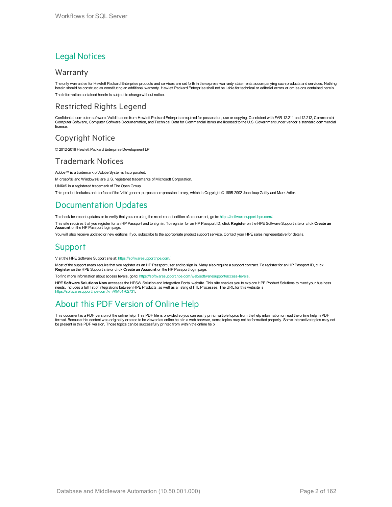### Legal Notices

### **Warranty**

The only warranties for Hewlett Packard Enterprise products and services are set forth in the express warranty statements accompanying such products and services. Nothing herein should be construed as constituting an additional warranty. Hewlett Packard Enterprise shall not be liable for technical or editorial errors or omissions contained herein. The information contained herein is subject to change without notice.

### Restricted Rights Legend

Confidential computer software. Valid license from Hewlett Packard Enterprise required for possession, use or copying. Consistent with FAR 12.211 and 12.212, Commercial<br>Computer Software, Computer Software Documentation, a license.

### Copyright Notice

© 2012-2016 Hewlett Packard Enterprise Development LP

### Trademark Notices

Adobe™ is a trademark of Adobe Systems Incorporated. Microsoft® and Windows® are U.S. registered trademarks of Microsoft Corporation. UNIX® is a registered trademark of The Open Group.

This product includes an interface of the 'zlib' general purpose compression library, which is Copyright © 1995-2002 Jean-loup Gailly and Mark Adler.

### Documentation Updates

To check for recent updates or to verify that you are using the most recent edition of a document, go to: <https://softwaresupport.hpe.com/>.

This site requires that you register for an HP Passport and to sign in. To register for an HP Passport ID, click **Register** on the HPE Software Support site or click **Create an Account** on the HP Passport login page.

You will also receive updated or new editions if you subscribe to the appropriate product support service. Contact your HPE sales representative for details.

### Support

Visit the HPE Software Support site at: <https://softwaresupport.hpe.com/>.

Most of the support areas require that you register as an HP Passport user and to sign in. Many also require a support contract. To register for an HP Passport ID, click<br>**Register** on the HPE Support site or click **Create** 

To find more information about access levels, go to: <https://softwaresupport.hpe.com/web/softwaresupport/access-levels>.

**HPE Software Solutions Now** accesses the HPSW Solution and Integration Portal website. This site enables you to explore HPE Product Solutions to meet your business needs, includes a full list of Integrations between HPE Products, as well as a listing of ITIL Processes. The URL for this website is [https://softwaresupport.hpe.com/km/KM01702731.](https://softwaresupport.hpe.com/km/KM01702731)

### About this PDF Version of Online Help

This document is a PDF version of the online help. This PDF file is provided so you can easily print multiple topics from the help information or read the online help in PDF<br>format. Because this content was originally crea be present in this PDF version. Those topics can be successfully printed from within the online help.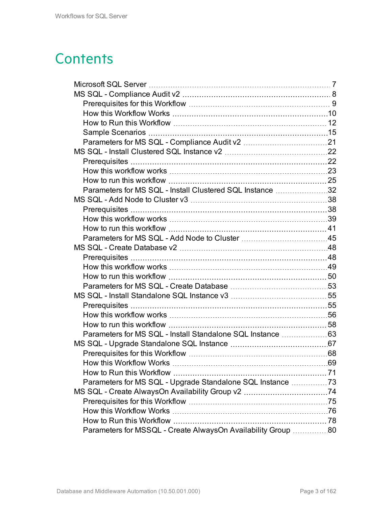# **Contents**

| Parameters for MS SQL - Install Clustered SQL Instance 32     |  |
|---------------------------------------------------------------|--|
|                                                               |  |
|                                                               |  |
|                                                               |  |
|                                                               |  |
|                                                               |  |
|                                                               |  |
|                                                               |  |
|                                                               |  |
|                                                               |  |
|                                                               |  |
|                                                               |  |
|                                                               |  |
|                                                               |  |
|                                                               |  |
| Parameters for MS SQL - Install Standalone SQL Instance 63    |  |
|                                                               |  |
|                                                               |  |
|                                                               |  |
|                                                               |  |
| Parameters for MS SQL - Upgrade Standalone SQL Instance 73    |  |
|                                                               |  |
|                                                               |  |
|                                                               |  |
|                                                               |  |
| Parameters for MSSQL - Create AlwaysOn Availability Group  80 |  |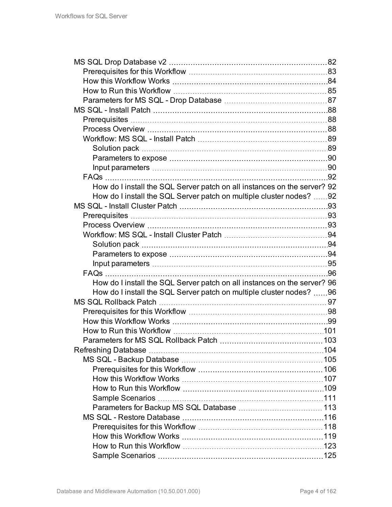| How do I install the SQL Server patch on all instances on the server? 92 |     |
|--------------------------------------------------------------------------|-----|
| How do I install the SQL Server patch on multiple cluster nodes? 92      |     |
|                                                                          |     |
|                                                                          |     |
|                                                                          |     |
|                                                                          |     |
|                                                                          |     |
|                                                                          |     |
|                                                                          |     |
|                                                                          |     |
| How do I install the SQL Server patch on all instances on the server? 96 |     |
| How do I install the SQL Server patch on multiple cluster nodes? 96      |     |
|                                                                          |     |
|                                                                          |     |
|                                                                          |     |
|                                                                          |     |
| Parameters for MS SQL Rollback Patch.                                    | 103 |
|                                                                          |     |
|                                                                          |     |
|                                                                          |     |
|                                                                          |     |
|                                                                          |     |
|                                                                          |     |
|                                                                          |     |
|                                                                          |     |
|                                                                          |     |
|                                                                          |     |
|                                                                          |     |
|                                                                          |     |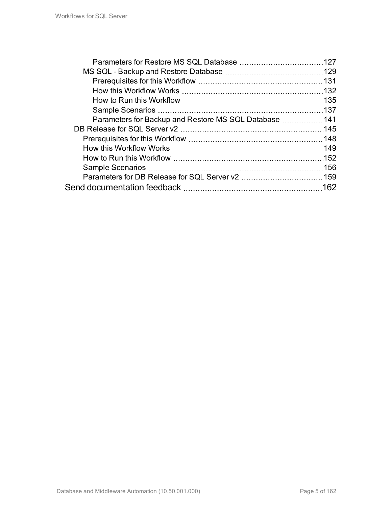| Parameters for Backup and Restore MS SQL Database  141 |     |
|--------------------------------------------------------|-----|
|                                                        |     |
|                                                        |     |
|                                                        |     |
|                                                        |     |
|                                                        |     |
|                                                        |     |
|                                                        | 162 |
|                                                        |     |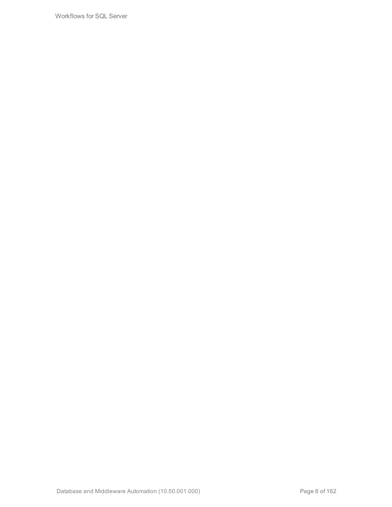Workflows for SQL Server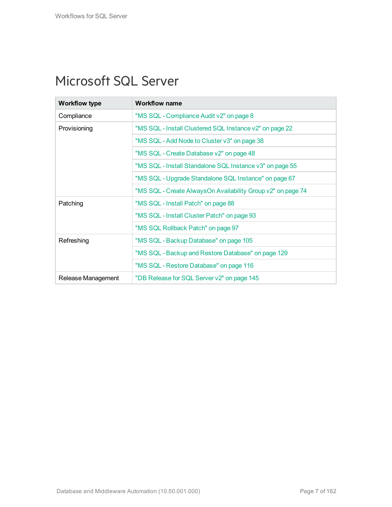# <span id="page-6-0"></span>Microsoft SQL Server

| <b>Workflow type</b> | <b>Workflow name</b>                                        |  |  |
|----------------------|-------------------------------------------------------------|--|--|
| Compliance           | "MS SQL - Compliance Audit v2" on page 8                    |  |  |
| Provisioning         | "MS SQL - Install Clustered SQL Instance v2" on page 22     |  |  |
|                      | "MS SQL - Add Node to Cluster v3" on page 38                |  |  |
|                      | "MS SQL - Create Database v2" on page 48                    |  |  |
|                      | "MS SQL - Install Standalone SQL Instance v3" on page 55    |  |  |
|                      | "MS SQL - Upgrade Standalone SQL Instance" on page 67       |  |  |
|                      | "MS SQL - Create AlwaysOn Availability Group v2" on page 74 |  |  |
| Patching             | "MS SQL - Install Patch" on page 88                         |  |  |
|                      | "MS SQL - Install Cluster Patch" on page 93                 |  |  |
|                      | "MS SQL Rollback Patch" on page 97                          |  |  |
| Refreshing           | "MS SQL - Backup Database" on page 105                      |  |  |
|                      | "MS SQL - Backup and Restore Database" on page 129          |  |  |
|                      | "MS SQL - Restore Database" on page 116                     |  |  |
| Release Management   | "DB Release for SQL Server v2" on page 145                  |  |  |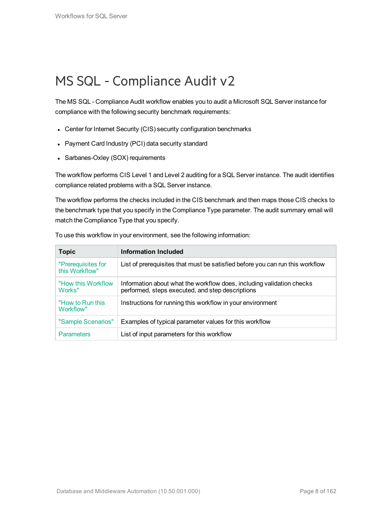# <span id="page-7-0"></span>MS SQL - Compliance Audit v2

The MS SQL - Compliance Audit workflow enables you to audit a Microsoft SQL Server instance for compliance with the following security benchmark requirements:

- Center for Internet Security (CIS) security configuration benchmarks
- Payment Card Industry (PCI) data security standard
- Sarbanes-Oxley (SOX) requirements

The workflow performs CIS Level 1 and Level 2 auditing for a SQL Server instance. The audit identifies compliance related problems with a SQL Server instance.

The workflow performs the checks included in the CIS benchmark and then maps those CIS checks to the benchmark type that you specify in the Compliance Type parameter. The audit summary email will match the Compliance Type that you specify.

| <b>Topic</b>                         | Information Included                                                                                                      |
|--------------------------------------|---------------------------------------------------------------------------------------------------------------------------|
| "Prerequisites for<br>this Workflow" | List of prerequisites that must be satisfied before you can run this workflow                                             |
| "How this Workflow"<br>Works"        | Information about what the workflow does, including validation checks<br>performed, steps executed, and step descriptions |
| "How to Run this"<br>Workflow"       | Instructions for running this workflow in your environment                                                                |
| "Sample Scenarios"                   | Examples of typical parameter values for this workflow                                                                    |
| <b>Parameters</b>                    | List of input parameters for this workflow                                                                                |

To use this workflow in your environment, see the following information: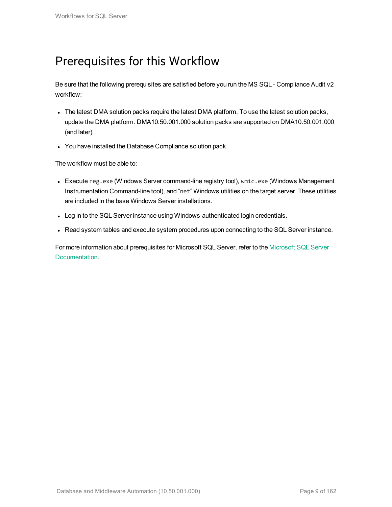### <span id="page-8-0"></span>Prerequisites for this Workflow

Be sure that the following prerequisites are satisfied before you run the MS SQL - Compliance Audit v2 workflow:

- The latest DMA solution packs require the latest DMA platform. To use the latest solution packs, update the DMA platform. DMA10.50.001.000 solution packs are supported on DMA10.50.001.000 (and later).
- You have installed the Database Compliance solution pack.

The workflow must be able to:

- Execute reg.exe (Windows Server command-line registry tool), wmic.exe (Windows Management Instrumentation Command-line tool), and "net" Windows utilities on the target server. These utilities are included in the base Windows Server installations.
- Log in to the SQL Server instance using Windows-authenticated login credentials.
- Read system tables and execute system procedures upon connecting to the SQL Server instance.

For more information about prerequisites for Microsoft SQL Server, refer to the [Microsoft SQL Server](http://msdn.microsoft.com/en-us/library) [Documentation](http://msdn.microsoft.com/en-us/library).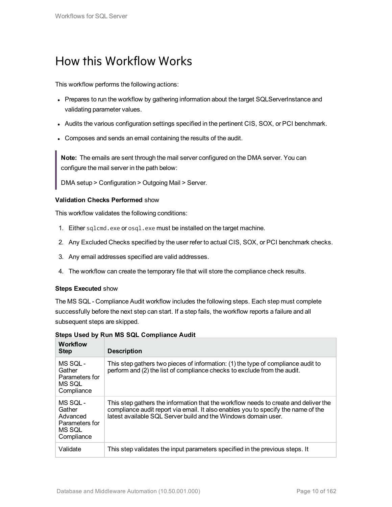### <span id="page-9-0"></span>How this Workflow Works

This workflow performs the following actions:

- Prepares to run the workflow by gathering information about the target SQLServerInstance and validating parameter values.
- Audits the various configuration settings specified in the pertinent CIS, SOX, or PCI benchmark.
- Composes and sends an email containing the results of the audit.

**Note:** The emails are sent through the mail server configured on the DMA server. You can configure the mail server in the path below:

DMA setup > Configuration > Outgoing Mail > Server.

#### **Validation Checks Performed** show

This workflow validates the following conditions:

- 1. Either sqlcmd.exe or osql.exe must be installed on the target machine.
- 2. Any Excluded Checks specified by the user refer to actual CIS, SOX, or PCI benchmark checks.
- 3. Any email addresses specified are valid addresses.
- 4. The workflow can create the temporary file that will store the compliance check results.

#### **Steps Executed** show

The MS SQL - Compliance Audit workflow includes the following steps. Each step must complete successfully before the next step can start. If a step fails, the workflow reports a failure and all subsequent steps are skipped.

|  |  |  |  | Steps Used by Run MS SQL Compliance Audit |  |
|--|--|--|--|-------------------------------------------|--|
|  |  |  |  |                                           |  |

| <b>Workflow</b><br><b>Step</b>                                           | <b>Description</b>                                                                                                                                                                                                                         |
|--------------------------------------------------------------------------|--------------------------------------------------------------------------------------------------------------------------------------------------------------------------------------------------------------------------------------------|
| MS SQL -<br>Gather<br>Parameters for<br>MS SQL<br>Compliance             | This step gathers two pieces of information: (1) the type of compliance audit to<br>perform and (2) the list of compliance checks to exclude from the audit.                                                                               |
| MS SQL -<br>Gather<br>Advanced<br>Parameters for<br>MS SQL<br>Compliance | This step gathers the information that the workflow needs to create and deliver the<br>compliance audit report via email. It also enables you to specify the name of the<br>latest available SQL Server build and the Windows domain user. |
| Validate                                                                 | This step validates the input parameters specified in the previous steps. It                                                                                                                                                               |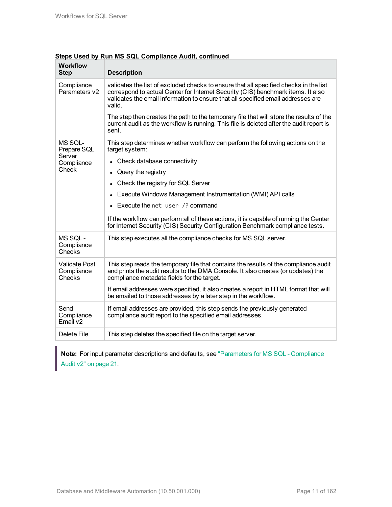| <b>Workflow</b><br><b>Step</b>               | <b>Description</b>                                                                                                                                                                                                                                                      |
|----------------------------------------------|-------------------------------------------------------------------------------------------------------------------------------------------------------------------------------------------------------------------------------------------------------------------------|
| Compliance<br>Parameters y2                  | validates the list of excluded checks to ensure that all specified checks in the list<br>correspond to actual Center for Internet Security (CIS) benchmark items. It also<br>validates the email information to ensure that all specified email addresses are<br>valid. |
|                                              | The step then creates the path to the temporary file that will store the results of the<br>current audit as the workflow is running. This file is deleted after the audit report is<br>sent.                                                                            |
| MS SQL-<br>Prepare SQL                       | This step determines whether workflow can perform the following actions on the<br>target system:                                                                                                                                                                        |
| Server<br>Compliance                         | • Check database connectivity                                                                                                                                                                                                                                           |
| Check                                        | • Query the registry                                                                                                                                                                                                                                                    |
|                                              | Check the registry for SQL Server                                                                                                                                                                                                                                       |
|                                              | • Execute Windows Management Instrumentation (WMI) API calls                                                                                                                                                                                                            |
|                                              | • Execute the net user /? command                                                                                                                                                                                                                                       |
|                                              | If the workflow can perform all of these actions, it is capable of running the Center<br>for Internet Security (CIS) Security Configuration Benchmark compliance tests.                                                                                                 |
| MS SQL -<br>Compliance<br>Checks             | This step executes all the compliance checks for MS SQL server.                                                                                                                                                                                                         |
| <b>Validate Post</b><br>Compliance<br>Checks | This step reads the temporary file that contains the results of the compliance audit<br>and prints the audit results to the DMA Console. It also creates (or updates) the<br>compliance metadata fields for the target.                                                 |
|                                              | If email addresses were specified, it also creates a report in HTML format that will<br>be emailed to those addresses by a later step in the workflow.                                                                                                                  |
| Send<br>Compliance<br>Email v2               | If email addresses are provided, this step sends the previously generated<br>compliance audit report to the specified email addresses.                                                                                                                                  |
| Delete File                                  | This step deletes the specified file on the target server.                                                                                                                                                                                                              |

### **Steps Used by Run MS SQL Compliance Audit, continued**

**Note:** For input parameter descriptions and defaults, see ["Parameters](#page-20-0) for MS SQL - Compliance [Audit](#page-20-0) v2" on page 21.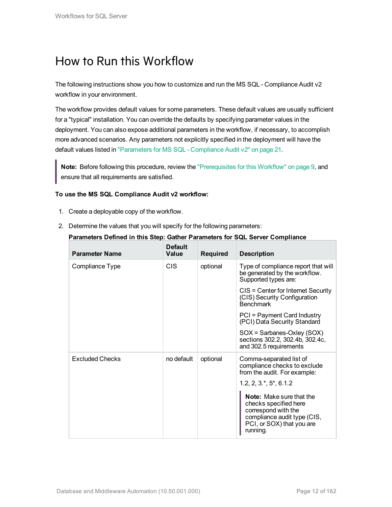### <span id="page-11-0"></span>How to Run this Workflow

The following instructions show you how to customize and run the MS SQL - Compliance Audit v2 workflow in your environment.

The workflow provides default values for some parameters. These default values are usually sufficient for a "typical" installation. You can override the defaults by specifying parameter values in the deployment. You can also expose additional parameters in the workflow, if necessary, to accomplish more advanced scenarios. Any parameters not explicitly specified in the deployment will have the default values listed in ["Parameters](#page-20-0) for MS SQL - Compliance Audit v2" on page 21.

**Note:** Before following this procedure, review the ["Prerequisites](#page-8-0) for this Workflow" on page 9, and ensure that all requirements are satisfied.

**To use the MS SQL Compliance Audit v2 workflow:**

- 1. Create a deployable copy of the workflow.
- 2. Determine the values that you will specify for the following parameters:

| <b>Parameter Name</b>  | <b>Default</b><br>Value | <b>Required</b> | <b>Description</b>                                                                                                                                      |
|------------------------|-------------------------|-----------------|---------------------------------------------------------------------------------------------------------------------------------------------------------|
| Compliance Type        | <b>CIS</b>              | optional        | Type of compliance report that will<br>be generated by the workflow.<br>Supported types are:                                                            |
|                        |                         |                 | CIS = Center for Internet Security<br>(CIS) Security Configuration<br><b>Benchmark</b>                                                                  |
|                        |                         |                 | PCI = Payment Card Industry<br>(PCI) Data Security Standard                                                                                             |
|                        |                         |                 | SOX = Sarbanes-Oxley (SOX)<br>sections 302.2, 302.4b, 302.4c,<br>and 302.5 requirements                                                                 |
| <b>Excluded Checks</b> | no default              | optional        | Comma-separated list of<br>compliance checks to exclude<br>from the audit. For example:                                                                 |
|                        |                         |                 | 1.2, 2, $3.*$ , $5*.6.1.2$                                                                                                                              |
|                        |                         |                 | <b>Note:</b> Make sure that the<br>checks specified here<br>correspond with the<br>compliance audit type (CIS,<br>PCI, or SOX) that you are<br>runnina. |

#### **Parameters Defined in this Step: Gather Parameters for SQL Server Compliance**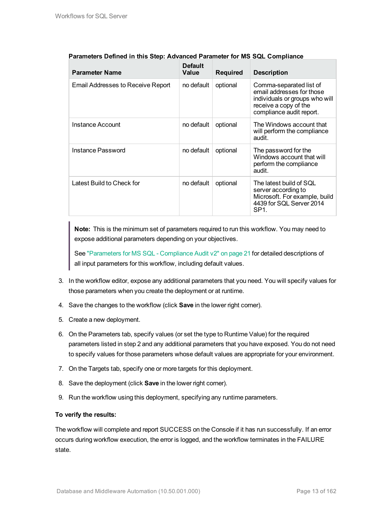| <b>Parameter Name</b>             | <b>Default</b><br>Value | <b>Required</b> | <b>Description</b>                                                                                                                          |
|-----------------------------------|-------------------------|-----------------|---------------------------------------------------------------------------------------------------------------------------------------------|
| Email Addresses to Receive Report | no default              | optional        | Comma-separated list of<br>email addresses for those<br>individuals or groups who will<br>receive a copy of the<br>compliance audit report. |
| Instance Account                  | no default              | optional        | The Windows account that<br>will perform the compliance<br>audit.                                                                           |
| Instance Password                 | no default              | optional        | The password for the<br>Windows account that will<br>perform the compliance<br>audit.                                                       |
| Latest Build to Check for         | no default              | optional        | The latest build of SQL<br>server according to<br>Microsoft. For example, build<br>4439 for SQL Server 2014<br>SP <sub>1.</sub>             |

#### **Parameters Defined in this Step: Advanced Parameter for MS SQL Compliance**

**Note:** This is the minimum set of parameters required to run this workflow. You may need to expose additional parameters depending on your objectives.

See ["Parameters](#page-20-0) for MS SQL - Compliance Audit v2" on page 21 for detailed descriptions of all input parameters for this workflow, including default values.

- 3. In the workflow editor, expose any additional parameters that you need. You will specify values for those parameters when you create the deployment or at runtime.
- 4. Save the changes to the workflow (click **Save** in the lower right corner).
- 5. Create a new deployment.
- 6. On the Parameters tab, specify values (or set the type to Runtime Value) for the required parameters listed in step 2 and any additional parameters that you have exposed. You do not need to specify values for those parameters whose default values are appropriate for your environment.
- 7. On the Targets tab, specify one or more targets for this deployment.
- 8. Save the deployment (click **Save** in the lower right corner).
- 9. Run the workflow using this deployment, specifying any runtime parameters.

#### **To verify the results:**

The workflow will complete and report SUCCESS on the Console if it has run successfully. If an error occurs during workflow execution, the error is logged, and the workflow terminates in the FAILURE state.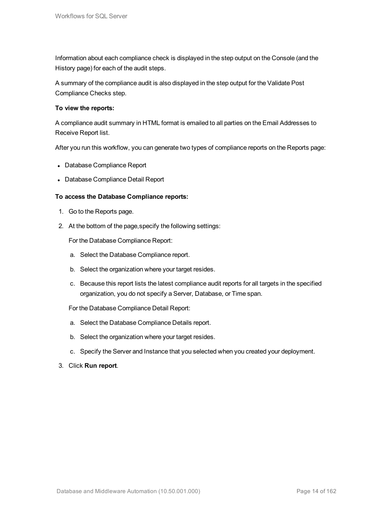Information about each compliance check is displayed in the step output on the Console (and the History page) for each of the audit steps.

A summary of the compliance audit is also displayed in the step output for the Validate Post Compliance Checks step.

#### **To view the reports:**

A compliance audit summary in HTML format is emailed to all parties on the Email Addresses to Receive Report list.

After you run this workflow, you can generate two types of compliance reports on the Reports page:

- Database Compliance Report
- Database Compliance Detail Report

#### **To access the Database Compliance reports:**

- 1. Go to the Reports page.
- 2. At the bottom of the page,specify the following settings:

For the Database Compliance Report:

- a. Select the Database Compliance report.
- b. Select the organization where your target resides.
- c. Because this report lists the latest compliance audit reports for all targets in the specified organization, you do not specify a Server, Database, or Time span.

For the Database Compliance Detail Report:

- a. Select the Database Compliance Details report.
- b. Select the organization where your target resides.
- c. Specify the Server and Instance that you selected when you created your deployment.
- 3. Click **Run report**.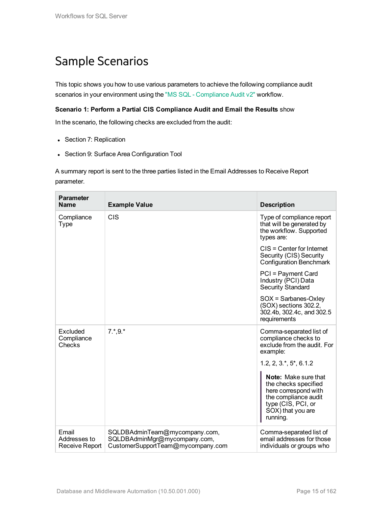# <span id="page-14-0"></span>Sample Scenarios

This topic shows you how to use various parameters to achieve the following compliance audit scenarios in your environment using the "MS SQL - [Compliance](#page-7-0) Audit v2" workflow.

#### **Scenario 1: Perform a Partial CIS Compliance Audit and Email the Results** show

In the scenario, the following checks are excluded from the audit:

- Section 7: Replication
- Section 9: Surface Area Configuration Tool

A summary report is sent to the three parties listed in the Email Addresses to Receive Report parameter.

| <b>Parameter</b><br><b>Name</b>         | <b>Example Value</b>                                                                               | <b>Description</b>                                                                                                                                         |
|-----------------------------------------|----------------------------------------------------------------------------------------------------|------------------------------------------------------------------------------------------------------------------------------------------------------------|
| Compliance<br>Type                      | <b>CIS</b>                                                                                         | Type of compliance report<br>that will be generated by<br>the workflow. Supported<br>types are:                                                            |
|                                         |                                                                                                    | $CIS = Center for Internet$<br>Security (CIS) Security<br><b>Configuration Benchmark</b>                                                                   |
|                                         |                                                                                                    | PCI = Payment Card<br>Industry (PCI) Data<br><b>Security Standard</b>                                                                                      |
|                                         |                                                                                                    | SOX = Sarbanes-Oxley<br>(SOX) sections 302.2,<br>302.4b, 302.4c, and 302.5<br>requirements                                                                 |
| Excluded<br>Compliance<br>Checks        | $7.*.9.*$                                                                                          | Comma-separated list of<br>compliance checks to<br>exclude from the audit. For<br>example:                                                                 |
|                                         |                                                                                                    | 1.2, 2, $3.*$ , $5*.6.1.2$                                                                                                                                 |
|                                         |                                                                                                    | <b>Note:</b> Make sure that<br>the checks specified<br>here correspond with<br>the compliance audit<br>type (CIS, PCI, or<br>SOX) that you are<br>running. |
| Email<br>Addresses to<br>Receive Report | SQLDBAdminTeam@mycompany.com,<br>SQLDBAdminMgr@mycompany.com,<br>CustomerSupportTeam@mycompany.com | Comma-separated list of<br>email addresses for those<br>individuals or groups who                                                                          |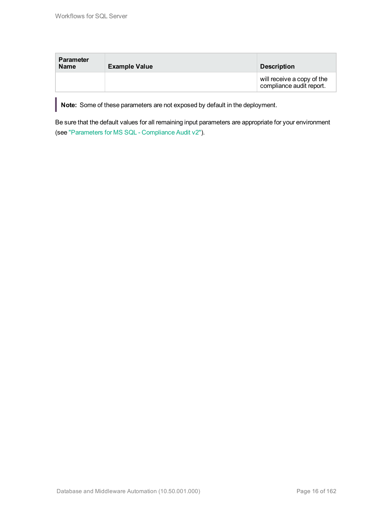| <b>Parameter</b><br><b>Name</b> | <b>Example Value</b> | <b>Description</b>                                     |
|---------------------------------|----------------------|--------------------------------------------------------|
|                                 |                      | will receive a copy of the<br>compliance audit report. |

**Note:** Some of these parameters are not exposed by default in the deployment.

Be sure that the default values for all remaining input parameters are appropriate for your environment (see ["Parameters](#page-20-0) for MS SQL - Compliance Audit v2").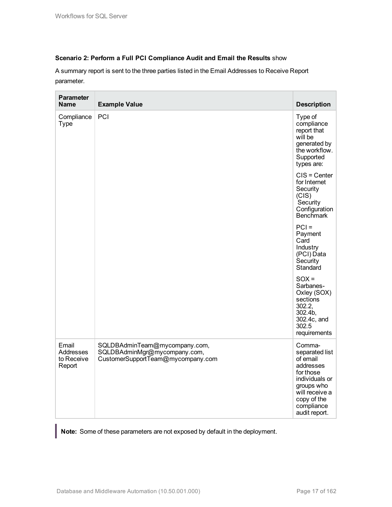#### **Scenario 2: Perform a Full PCI Compliance Audit and Email the Results** show

A summary report is sent to the three parties listed in the Email Addresses to Receive Report parameter.

| Parameter<br><b>Name</b>                   | <b>Example Value</b>                                                                               | <b>Description</b>                                                                                                                                             |
|--------------------------------------------|----------------------------------------------------------------------------------------------------|----------------------------------------------------------------------------------------------------------------------------------------------------------------|
| Compliance<br><b>Type</b>                  | PCI                                                                                                | Type of<br>compliance<br>report that<br>will be<br>generated by<br>the workflow.<br>Supported<br>types are:                                                    |
|                                            |                                                                                                    | $CIS = Center$<br>for Internet<br>Security<br>(CIS)<br>Security<br>Configuration<br><b>Benchmark</b>                                                           |
|                                            |                                                                                                    | $PCI =$<br>Payment<br>Card<br>Industry<br>(PCI) Data<br>Security<br>Standard                                                                                   |
|                                            |                                                                                                    | $SOX =$<br>Sarbanes-<br>Oxley (SOX)<br>sections<br>302.2,<br>302.4b,<br>302.4c, and<br>302.5<br>requirements                                                   |
| Email<br>Addresses<br>to Receive<br>Report | SQLDBAdminTeam@mycompany.com,<br>SQLDBAdminMgr@mycompany.com,<br>CustomerSupportTeam@mycompany.com | Comma-<br>separated list<br>of email<br>addresses<br>for those<br>individuals or<br>groups who<br>will receive a<br>copy of the<br>compliance<br>audit report. |

**Note:** Some of these parameters are not exposed by default in the deployment.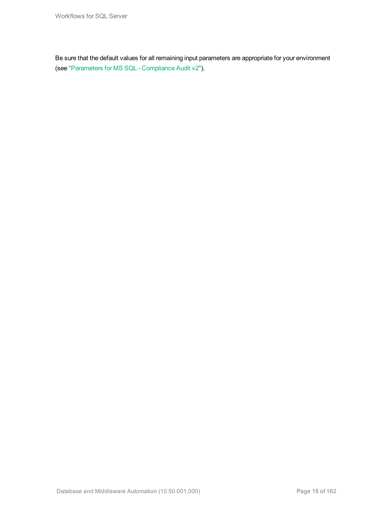Be sure that the default values for all remaining input parameters are appropriate for your environment (see ["Parameters](#page-20-0) for MS SQL - Compliance Audit v2").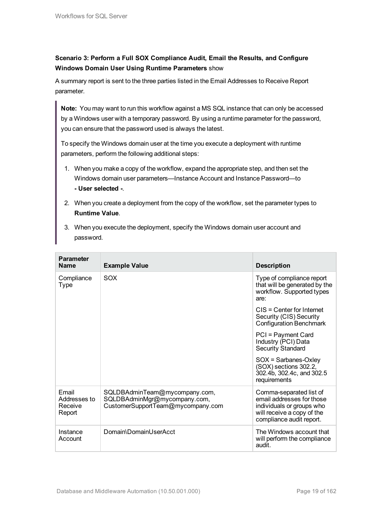### **Scenario 3: Perform a Full SOX Compliance Audit, Email the Results, and Configure Windows Domain User Using Runtime Parameters** show

A summary report is sent to the three parties listed in the Email Addresses to Receive Report parameter.

**Note:** You may want to run this workflow against a MS SQL instance that can only be accessed by a Windows user with a temporary password. By using a runtime parameter for the password, you can ensure that the password used is always the latest.

To specify the Windows domain user at the time you execute a deployment with runtime parameters, perform the following additional steps:

- 1. When you make a copy of the workflow, expand the appropriate step, and then set the Windows domain user parameters—Instance Account and Instance Password—to **- User selected -**.
- 2. When you create a deployment from the copy of the workflow, set the parameter types to **Runtime Value**.
- 3. When you execute the deployment, specify the Windows domain user account and password.

| <b>Parameter</b><br><b>Name</b>            | <b>Example Value</b>                                                                               | <b>Description</b>                                                                                                                          |
|--------------------------------------------|----------------------------------------------------------------------------------------------------|---------------------------------------------------------------------------------------------------------------------------------------------|
| Compliance<br><b>Type</b>                  | <b>SOX</b>                                                                                         | Type of compliance report<br>that will be generated by the<br>workflow. Supported types<br>are:                                             |
|                                            |                                                                                                    | $CIS = Center for Internet$<br>Security (CIS) Security<br><b>Configuration Benchmark</b>                                                    |
|                                            |                                                                                                    | PCI = Payment Card<br>Industry (PCI) Data<br><b>Security Standard</b>                                                                       |
|                                            |                                                                                                    | $SOX =$ Sarbanes-Oxley<br>(SOX) sections 302.2,<br>302.4b, 302.4c, and 302.5<br>requirements                                                |
| Email<br>Addresses to<br>Receive<br>Report | SQLDBAdminTeam@mycompany.com,<br>SQLDBAdminMgr@mycompany.com,<br>CustomerSupportTeam@mycompany.com | Comma-separated list of<br>email addresses for those<br>individuals or groups who<br>will receive a copy of the<br>compliance audit report. |
| Instance<br>Account                        | Domain\DomainUserAcct                                                                              | The Windows account that<br>will perform the compliance<br>audit.                                                                           |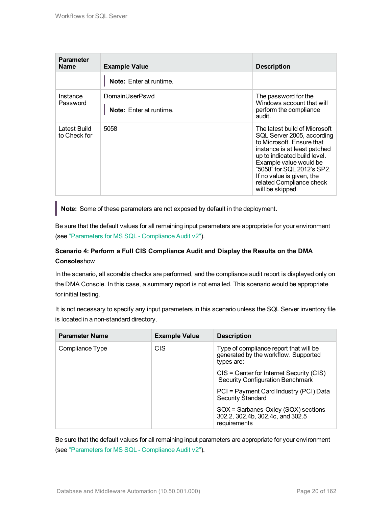| <b>Parameter</b><br><b>Name</b> | <b>Example Value</b>                      | <b>Description</b>                                                                                                                                                                                                                                                                            |
|---------------------------------|-------------------------------------------|-----------------------------------------------------------------------------------------------------------------------------------------------------------------------------------------------------------------------------------------------------------------------------------------------|
|                                 | Note: Enter at runtime.                   |                                                                                                                                                                                                                                                                                               |
| Instance<br>Password            | DomainUserPswd<br>Note: Enter at runtime. | The password for the<br>Windows account that will<br>perform the compliance<br>audit.                                                                                                                                                                                                         |
| Latest Build<br>to Check for    | 5058                                      | The latest build of Microsoft<br>SQL Server 2005, according<br>to Microsoft, Ensure that<br>instance is at least patched<br>up to indicated build level.<br>Example value would be<br>"5058" for SQL 2012's SP2.<br>If no value is given, the<br>related Compliance check<br>will be skipped. |

**Note:** Some of these parameters are not exposed by default in the deployment.

Be sure that the default values for all remaining input parameters are appropriate for your environment (see ["Parameters](#page-20-0) for MS SQL - Compliance Audit v2").

### **Scenario 4: Perform a Full CIS Compliance Audit and Display the Results on the DMA Console**show

In the scenario, all scorable checks are performed, and the compliance audit report is displayed only on the DMA Console. In this case, a summary report is not emailed. This scenario would be appropriate for initial testing.

It is not necessary to specify any input parameters in this scenario unless the SQL Server inventory file is located in a non-standard directory.

| <b>Parameter Name</b> | <b>Example Value</b> | <b>Description</b>                                                                           |
|-----------------------|----------------------|----------------------------------------------------------------------------------------------|
| Compliance Type       | <b>CIS</b>           | Type of compliance report that will be<br>generated by the workflow. Supported<br>types are: |
|                       |                      | CIS = Center for Internet Security (CIS)<br>Security Configuration Benchmark                 |
|                       |                      | PCI = Payment Card Industry (PCI) Data<br><b>Security Standard</b>                           |
|                       |                      | SOX = Sarbanes-Oxley (SOX) sections<br>302.2, 302.4b, 302.4c, and 302.5<br>requirements      |

Be sure that the default values for all remaining input parameters are appropriate for your environment (see ["Parameters](#page-20-0) for MS SQL - Compliance Audit v2").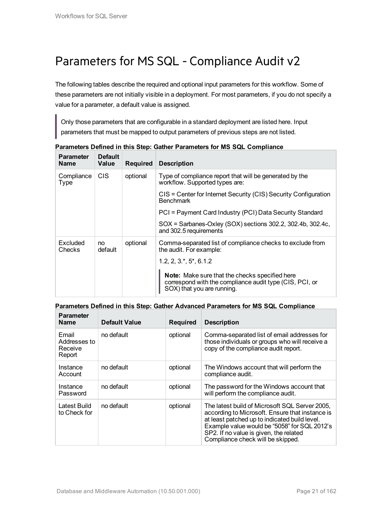## <span id="page-20-0"></span>Parameters for MS SQL - Compliance Audit v2

The following tables describe the required and optional input parameters for this workflow. Some of these parameters are not initially visible in a deployment. For most parameters, if you do not specify a value for a parameter, a default value is assigned.

Only those parameters that are configurable in a standard deployment are listed here. Input parameters that must be mapped to output parameters of previous steps are not listed.

| <b>Parameter</b><br>Name  | <b>Default</b><br>Value | <b>Required</b> | <b>Description</b>                                                                                                                      |
|---------------------------|-------------------------|-----------------|-----------------------------------------------------------------------------------------------------------------------------------------|
| Compliance<br><b>Type</b> | C <sub>I</sub> S        | optional        | Type of compliance report that will be generated by the<br>workflow. Supported types are:                                               |
|                           |                         |                 | CIS = Center for Internet Security (CIS) Security Configuration<br><b>Benchmark</b>                                                     |
|                           |                         |                 | PCI = Payment Card Industry (PCI) Data Security Standard                                                                                |
|                           |                         |                 | SOX = Sarbanes-Oxley (SOX) sections 302.2, 302.4b, 302.4c,<br>and 302.5 requirements                                                    |
| Excluded<br>Checks        | no<br>default           | optional        | Comma-separated list of compliance checks to exclude from<br>the audit. For example:                                                    |
|                           |                         |                 | 1.2, 2, $3.*$ , $5*.6.1.2$                                                                                                              |
|                           |                         |                 | Note: Make sure that the checks specified here<br>correspond with the compliance audit type (CIS, PCI, or<br>SOX) that you are running. |

**Parameters Defined in this Step: Gather Parameters for MS SQL Compliance**

#### **Parameters Defined in this Step: Gather Advanced Parameters for MS SQL Compliance**

| <b>Parameter</b><br><b>Name</b>            | <b>Default Value</b> | <b>Required</b> | <b>Description</b>                                                                                                                                                                                                                                                                |
|--------------------------------------------|----------------------|-----------------|-----------------------------------------------------------------------------------------------------------------------------------------------------------------------------------------------------------------------------------------------------------------------------------|
| Email<br>Addresses to<br>Receive<br>Report | no default           | optional        | Comma-separated list of email addresses for<br>those individuals or groups who will receive a<br>copy of the compliance audit report.                                                                                                                                             |
| Instance<br>Account                        | no default           | optional        | The Windows account that will perform the<br>compliance audit.                                                                                                                                                                                                                    |
| Instance<br>Password                       | no default           | optional        | The password for the Windows account that<br>will perform the compliance audit.                                                                                                                                                                                                   |
| Latest Build<br>to Check for               | no default           | optional        | The latest build of Microsoft SQL Server 2005,<br>according to Microsoft. Ensure that instance is<br>at least patched up to indicated build level.<br>Example value would be "5058" for SQL 2012's<br>SP2. If no value is given, the related<br>Compliance check will be skipped. |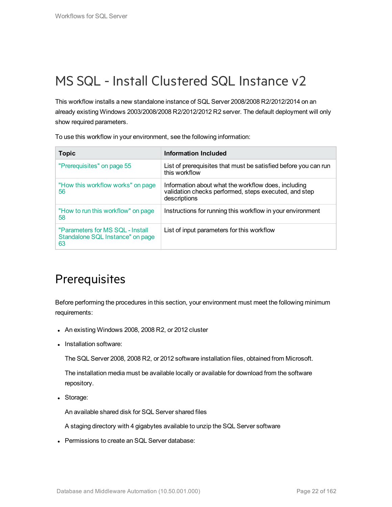# <span id="page-21-0"></span>MS SQL - Install Clustered SQL Instance v2

This workflow installs a new standalone instance of SQL Server 2008/2008 R2/2012/2014 on an already existing Windows 2003/2008/2008 R2/2012/2012 R2 server. The default deployment will only show required parameters.

To use this workflow in your environment, see the following information:

| <b>Topic</b>                                                               | Information Included                                                                                                         |
|----------------------------------------------------------------------------|------------------------------------------------------------------------------------------------------------------------------|
| "Prerequisites" on page 55                                                 | List of prerequisites that must be satisfied before you can run<br>this workflow                                             |
| "How this workflow works" on page<br>56                                    | Information about what the workflow does, including<br>validation checks performed, steps executed, and step<br>descriptions |
| "How to run this workflow" on page<br>58                                   | Instructions for running this workflow in your environment                                                                   |
| "Parameters for MS SQL - Install<br>Standalone SQL Instance" on page<br>63 | List of input parameters for this workflow                                                                                   |

## <span id="page-21-1"></span>**Prerequisites**

Before performing the procedures in this section, your environment must meet the following minimum requirements:

- An existing Windows 2008, 2008 R2, or 2012 cluster
- Installation software:

The SQL Server 2008, 2008 R2, or 2012 software installation files, obtained from Microsoft.

The installation media must be available locally or available for download from the software repository.

• Storage:

An available shared disk for SQL Server shared files

A staging directory with 4 gigabytes available to unzip the SQL Server software

• Permissions to create an SQL Server database: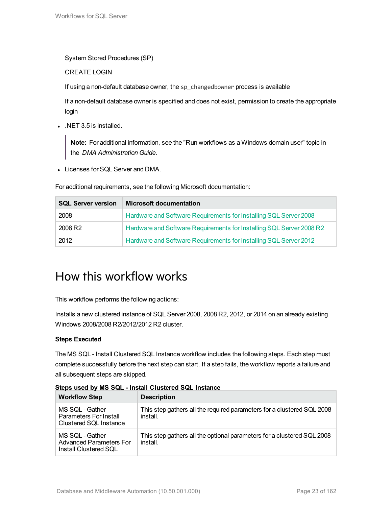System Stored Procedures (SP)

CREATE LOGIN

If using a non-default database owner, the sp\_changedbowner process is available

If a non-default database owner is specified and does not exist, permission to create the appropriate login

. NET 3.5 is installed.

**Note:** For additional information, see the "Run workflows as a Windows domain user" topic in the *DMA Administration Guide*.

• Licenses for SQL Server and DMA.

For additional requirements, see the following Microsoft documentation:

| <b>SQL Server version</b> | <b>Microsoft documentation</b>                                       |
|---------------------------|----------------------------------------------------------------------|
| 2008                      | Hardware and Software Requirements for Installing SQL Server 2008    |
| 2008 R <sub>2</sub>       | Hardware and Software Requirements for Installing SQL Server 2008 R2 |
| 2012                      | Hardware and Software Requirements for Installing SQL Server 2012    |

### <span id="page-22-0"></span>How this workflow works

This workflow performs the following actions:

Installs a new clustered instance of SQL Server 2008, 2008 R2, 2012, or 2014 on an already existing Windows 2008/2008 R2/2012/2012 R2 cluster.

#### **Steps Executed**

The MS SQL - Install Clustered SQL Instance workflow includes the following steps. Each step must complete successfully before the next step can start. If a step fails, the workflow reports a failure and all subsequent steps are skipped.

| <b>Workflow Step</b>                                                       | <b>Description</b>                                                                 |
|----------------------------------------------------------------------------|------------------------------------------------------------------------------------|
| MS SQL - Gather<br><b>Parameters For Install</b><br>Clustered SQL Instance | This step gathers all the required parameters for a clustered SQL 2008<br>install. |
| MS SQL - Gather<br>Advanced Parameters For<br>Install Clustered SQL        | This step gathers all the optional parameters for a clustered SQL 2008<br>install. |

**Steps used by MS SQL - Install Clustered SQL Instance**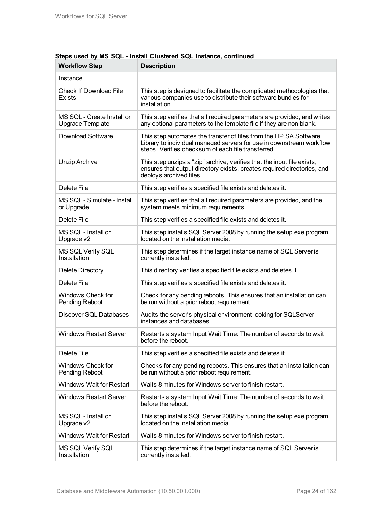| <b>Workflow Step</b>                           | <b>Description</b>                                                                                                                                                                              |
|------------------------------------------------|-------------------------------------------------------------------------------------------------------------------------------------------------------------------------------------------------|
| Instance                                       |                                                                                                                                                                                                 |
| <b>Check If Download File</b><br>Exists        | This step is designed to facilitate the complicated methodologies that<br>various companies use to distribute their software bundles for<br>installation.                                       |
| MS SQL - Create Install or<br>Upgrade Template | This step verifies that all required parameters are provided, and writes<br>any optional parameters to the template file if they are non-blank.                                                 |
| <b>Download Software</b>                       | This step automates the transfer of files from the HP SA Software<br>Library to individual managed servers for use in downstream workflow<br>steps. Verifies checksum of each file transferred. |
| <b>Unzip Archive</b>                           | This step unzips a "zip" archive, verifies that the input file exists,<br>ensures that output directory exists, creates required directories, and<br>deploys archived files.                    |
| Delete File                                    | This step verifies a specified file exists and deletes it.                                                                                                                                      |
| MS SQL - Simulate - Install<br>or Upgrade      | This step verifies that all required parameters are provided, and the<br>system meets minimum requirements.                                                                                     |
| Delete File                                    | This step verifies a specified file exists and deletes it.                                                                                                                                      |
| MS SQL - Install or<br>Upgrade v2              | This step installs SQL Server 2008 by running the setup.exe program<br>located on the installation media.                                                                                       |
| MS SQL Verify SQL<br>Installation              | This step determines if the target instance name of SQL Server is<br>currently installed.                                                                                                       |
| <b>Delete Directory</b>                        | This directory verifies a specified file exists and deletes it.                                                                                                                                 |
| Delete File                                    | This step verifies a specified file exists and deletes it.                                                                                                                                      |
| Windows Check for<br>Pending Reboot            | Check for any pending reboots. This ensures that an installation can<br>be run without a prior reboot requirement.                                                                              |
| Discover SQL Databases                         | Audits the server's physical environment looking for SQLServer<br>instances and databases.                                                                                                      |
| <b>Windows Restart Server</b>                  | Restarts a system Input Wait Time: The number of seconds to wait<br>before the reboot.                                                                                                          |
| Delete File                                    | This step verifies a specified file exists and deletes it.                                                                                                                                      |
| Windows Check for<br>Pending Reboot            | Checks for any pending reboots. This ensures that an installation can<br>be run without a prior reboot requirement.                                                                             |
| <b>Windows Wait for Restart</b>                | Waits 8 minutes for Windows server to finish restart.                                                                                                                                           |
| <b>Windows Restart Server</b>                  | Restarts a system Input Wait Time: The number of seconds to wait<br>before the reboot.                                                                                                          |
| MS SQL - Install or<br>Upgrade v2              | This step installs SQL Server 2008 by running the setup.exe program<br>located on the installation media.                                                                                       |
| <b>Windows Wait for Restart</b>                | Waits 8 minutes for Windows server to finish restart.                                                                                                                                           |
| MS SQL Verify SQL<br>Installation              | This step determines if the target instance name of SQL Server is<br>currently installed.                                                                                                       |

### **Steps used by MS SQL - Install Clustered SQL Instance, continued**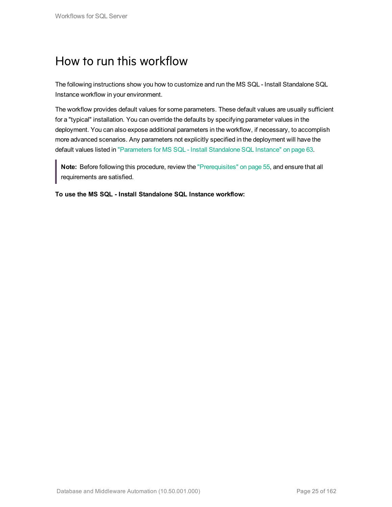### <span id="page-24-0"></span>How to run this workflow

The following instructions show you how to customize and run the MS SQL - Install Standalone SQL Instance workflow in your environment.

The workflow provides default values for some parameters. These default values are usually sufficient for a "typical" installation. You can override the defaults by specifying parameter values in the deployment. You can also expose additional parameters in the workflow, if necessary, to accomplish more advanced scenarios. Any parameters not explicitly specified in the deployment will have the default values listed in ["Parameters](#page-62-0) for MS SQL - Install Standalone SQL Instance" on page 63.

**Note:** Before following this procedure, review the ["Prerequisites"](#page-54-1) on page 55, and ensure that all requirements are satisfied.

**To use the MS SQL - Install Standalone SQL Instance workflow:**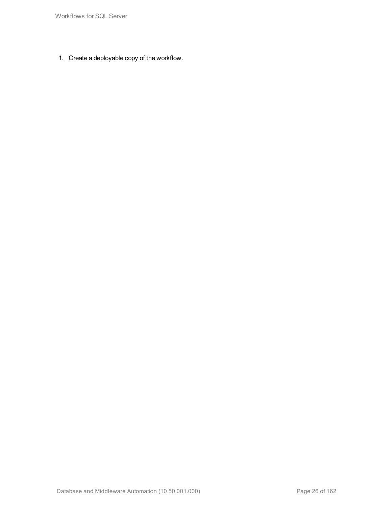1. Create a deployable copy of the workflow.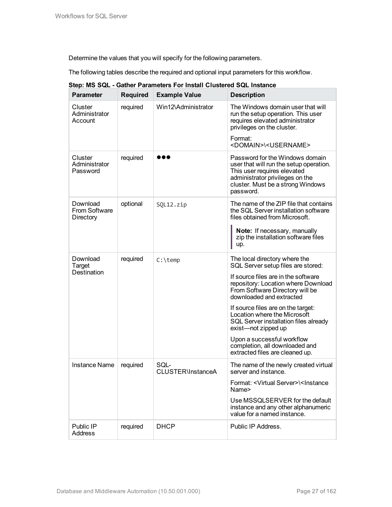Determine the values that you will specify for the following parameters.

The following tables describe the required and optional input parameters for this workflow.

**Step: MS SQL - Gather Parameters For Install Clustered SQL Instance**

| <b>Parameter</b>                       | <b>Required</b> | <b>Example Value</b>      | <b>Description</b>                                                                                                                                                                             |
|----------------------------------------|-----------------|---------------------------|------------------------------------------------------------------------------------------------------------------------------------------------------------------------------------------------|
| Cluster<br>Administrator<br>Account    | required        | Win12\Administrator       | The Windows domain user that will<br>run the setup operation. This user<br>requires elevated administrator<br>privileges on the cluster.                                                       |
|                                        |                 |                           | Format:<br><domain>\<username></username></domain>                                                                                                                                             |
| Cluster<br>Administrator<br>Password   | required        | ,,,                       | Password for the Windows domain<br>user that will run the setup operation.<br>This user requires elevated<br>administrator privileges on the<br>cluster. Must be a strong Windows<br>password. |
| Download<br>From Software<br>Directory | optional        | SQL12.zip                 | The name of the ZIP file that contains<br>the SQL Server installation software<br>files obtained from Microsoft.                                                                               |
|                                        |                 |                           | Note: If necessary, manually<br>zip the installation software files<br>up.                                                                                                                     |
| Download<br>Target                     | required        | $C:\text{temp}$           | The local directory where the<br>SQL Server setup files are stored:                                                                                                                            |
| Destination                            |                 |                           | If source files are in the software<br>repository: Location where Download<br>From Software Directory will be<br>downloaded and extracted                                                      |
|                                        |                 |                           | If source files are on the target:<br>Location where the Microsoft<br>SQL Server installation files already<br>exist-not zipped up                                                             |
|                                        |                 |                           | Upon a successful workflow<br>completion, all downloaded and<br>extracted files are cleaned up.                                                                                                |
| <b>Instance Name</b>                   | required        | SQL-<br>CLUSTER\InstanceA | The name of the newly created virtual<br>server and instance.                                                                                                                                  |
|                                        |                 |                           | Format: <virtual server="">\<instance<br>Name&gt;</instance<br></virtual>                                                                                                                      |
|                                        |                 |                           | Use MSSQLSERVER for the default<br>instance and any other alphanumeric<br>value for a named instance.                                                                                          |
| Public IP<br><b>Address</b>            | required        | <b>DHCP</b>               | Public IP Address.                                                                                                                                                                             |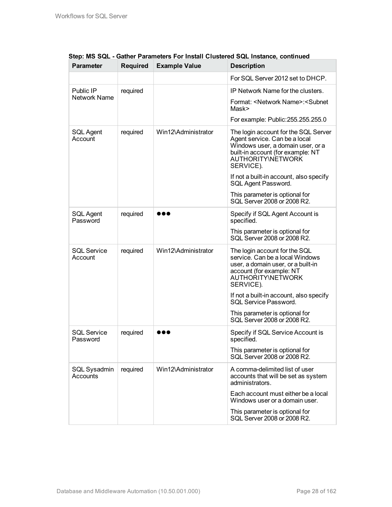| <b>Parameter</b>               | <b>Required</b> | <b>Example Value</b> | <b>Description</b>                                                                                                                                                                       |
|--------------------------------|-----------------|----------------------|------------------------------------------------------------------------------------------------------------------------------------------------------------------------------------------|
|                                |                 |                      | For SQL Server 2012 set to DHCP.                                                                                                                                                         |
| Public IP                      | required        |                      | IP Network Name for the clusters.                                                                                                                                                        |
| <b>Network Name</b>            |                 |                      | Format: <network name="">:<subnet<br>Mask&gt;</subnet<br></network>                                                                                                                      |
|                                |                 |                      | For example: Public: 255.255.255.0                                                                                                                                                       |
| <b>SQL Agent</b><br>Account    | required        | Win12\Administrator  | The login account for the SQL Server<br>Agent service. Can be a local<br>Windows user, a domain user, or a<br>built-in account (for example: NT<br><b>AUTHORITY\NETWORK</b><br>SERVICE). |
|                                |                 |                      | If not a built-in account, also specify<br>SQL Agent Password.                                                                                                                           |
|                                |                 |                      | This parameter is optional for<br>SQL Server 2008 or 2008 R2.                                                                                                                            |
| <b>SQL Agent</b><br>Password   | required        |                      | Specify if SQL Agent Account is<br>specified.                                                                                                                                            |
|                                |                 |                      | This parameter is optional for<br>SQL Server 2008 or 2008 R2.                                                                                                                            |
| <b>SQL Service</b><br>Account  | required        | Win12\Administrator  | The login account for the SQL<br>service. Can be a local Windows<br>user, a domain user, or a built-in<br>account (for example: NT<br>AUTHORITY\NETWORK<br>SERVICE).                     |
|                                |                 |                      | If not a built-in account, also specify<br><b>SQL Service Password.</b>                                                                                                                  |
|                                |                 |                      | This parameter is optional for<br>SQL Server 2008 or 2008 R2.                                                                                                                            |
| <b>SQL Service</b><br>Password | required        |                      | Specify if SQL Service Account is<br>specified.                                                                                                                                          |
|                                |                 |                      | This parameter is optional for<br>SQL Server 2008 or 2008 R2.                                                                                                                            |
| SQL Sysadmin<br>Accounts       | required        | Win12\Administrator  | A comma-delimited list of user<br>accounts that will be set as system<br>administrators.                                                                                                 |
|                                |                 |                      | Each account must either be a local<br>Windows user or a domain user.                                                                                                                    |
|                                |                 |                      | This parameter is optional for<br>SQL Server 2008 or 2008 R2.                                                                                                                            |

### **Step: MS SQL - Gather Parameters For Install Clustered SQL Instance, continued**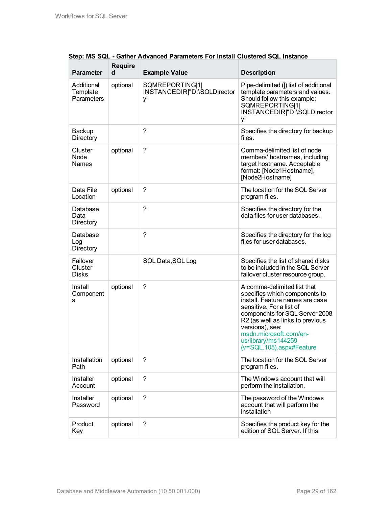| <b>Parameter</b>                     | <b>Require</b><br>d     | <b>Example Value</b>                                 | <b>Description</b>                                                                                                                                                                                                                                                                                |
|--------------------------------------|-------------------------|------------------------------------------------------|---------------------------------------------------------------------------------------------------------------------------------------------------------------------------------------------------------------------------------------------------------------------------------------------------|
| Additional<br>Template<br>Parameters | optional                | SQMREPORTING[1]<br>INSTANCEDIR "D:\SQLDirector<br>y" | Pipe-delimited ( ) list of additional<br>template parameters and values.<br>Should follow this example:<br>SQMREPORTING[1]<br>INSTANCEDIR "D:\SQLDirector<br>у"                                                                                                                                   |
| Backup<br>Directory                  |                         | ?                                                    | Specifies the directory for backup<br>files.                                                                                                                                                                                                                                                      |
| Cluster<br>Node<br>Names             | $\tilde{?}$<br>optional |                                                      | Comma-delimited list of node<br>members' hostnames, including<br>target hostname. Acceptable<br>format: [Node1Hostname],<br>[Node2Hostname]                                                                                                                                                       |
| Data File<br>Location                | optional                | $\tilde{?}$                                          | The location for the SQL Server<br>program files.                                                                                                                                                                                                                                                 |
| Database<br>Data<br>Directory        |                         | ?                                                    | Specifies the directory for the<br>data files for user databases.                                                                                                                                                                                                                                 |
| Database<br>Log<br>Directory         |                         | ?                                                    | Specifies the directory for the log<br>files for user databases.                                                                                                                                                                                                                                  |
| Failover<br>Cluster<br><b>Disks</b>  |                         | SQL Data, SQL Log                                    | Specifies the list of shared disks<br>to be included in the SQL Server<br>failover cluster resource group.                                                                                                                                                                                        |
| Install<br>Component<br>s            | optional                | ?                                                    | A comma-delimited list that<br>specifies which components to<br>install. Feature names are case<br>sensitive. For a list of<br>components for SQL Server 2008<br>R2 (as well as links to previous<br>versions), see:<br>msdn.microsoft.com/en-<br>us/library/ms144259<br>(v=SQL.105).aspx#Feature |
| Installation<br>Path                 | optional                | ?                                                    | The location for the SQL Server<br>program files.                                                                                                                                                                                                                                                 |
| Installer<br>Account                 | optional                | $\tilde{?}$                                          | The Windows account that will<br>perform the installation.                                                                                                                                                                                                                                        |
| Installer<br>Password                | optional                | $\tilde{?}$                                          | The password of the Windows<br>account that will perform the<br>installation                                                                                                                                                                                                                      |
| Product<br>Key                       | optional                | $\tilde{?}$                                          | Specifies the product key for the<br>edition of SQL Server. If this                                                                                                                                                                                                                               |

#### **Step: MS SQL - Gather Advanced Parameters For Install Clustered SQL Instance**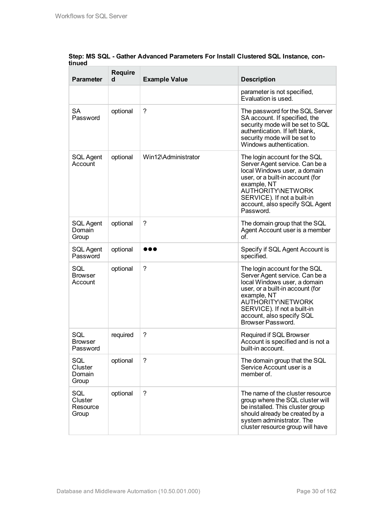| <b>Parameter</b>                    | <b>Require</b><br>d | <b>Example Value</b> | <b>Description</b>                                                                                                                                                                                                                                       |
|-------------------------------------|---------------------|----------------------|----------------------------------------------------------------------------------------------------------------------------------------------------------------------------------------------------------------------------------------------------------|
|                                     |                     |                      | parameter is not specified,<br>Evaluation is used.                                                                                                                                                                                                       |
| <b>SA</b><br>Password               | optional            | $\gamma$             | The password for the SQL Server<br>SA account. If specified, the<br>security mode will be set to SQL<br>authentication. If left blank,<br>security mode will be set to<br>Windows authentication.                                                        |
| <b>SQL Agent</b><br>Account         | optional            | Win12\Administrator  | The login account for the SQL<br>Server Agent service. Can be a<br>local Windows user, a domain<br>user, or a built-in account (for<br>example, NT<br>AUTHORITY\NETWORK<br>SERVICE). If not a built-in<br>account, also specify SQL Agent<br>Password.   |
| <b>SQL Agent</b><br>Domain<br>Group | optional            | $\tilde{?}$          | The domain group that the SQL<br>Agent Account user is a member<br>of.                                                                                                                                                                                   |
| <b>SQL Agent</b><br>Password        | optional            |                      | Specify if SQL Agent Account is<br>specified.                                                                                                                                                                                                            |
| SQL<br><b>Browser</b><br>Account    | optional            | $\overline{?}$       | The login account for the SQL<br>Server Agent service. Can be a<br>local Windows user, a domain<br>user, or a built-in account (for<br>example, NT<br>AUTHORITY\NETWORK<br>SERVICE). If not a built-in<br>account, also specify SQL<br>Browser Password. |
| SQL<br><b>Browser</b><br>Password   | required            | $\tilde{?}$          | Required if SQL Browser<br>Account is specified and is not a<br>built-in account.                                                                                                                                                                        |
| SQL<br>Cluster<br>Domain<br>Group   | optional            | ?                    | The domain group that the SQL<br>Service Account user is a<br>member of.                                                                                                                                                                                 |
| SQL<br>Cluster<br>Resource<br>Group | optional            | $\tilde{?}$          | The name of the cluster resource<br>group where the SQL cluster will<br>be installed. This cluster group<br>should already be created by a<br>system administrator. The<br>cluster resource group will have                                              |

**Step: MS SQL - Gather Advanced Parameters For Install Clustered SQL Instance, continued**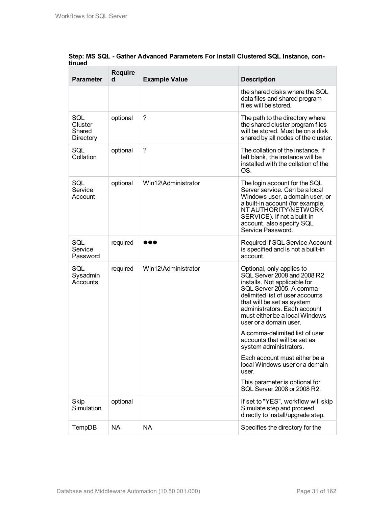| <b>Parameter</b>                      | <b>Require</b><br>d | <b>Example Value</b>     | <b>Description</b>                                                                                                                                                                                                                                                                 |
|---------------------------------------|---------------------|--------------------------|------------------------------------------------------------------------------------------------------------------------------------------------------------------------------------------------------------------------------------------------------------------------------------|
|                                       |                     |                          | the shared disks where the SQL<br>data files and shared program<br>files will be stored.                                                                                                                                                                                           |
| SQL<br>Cluster<br>Shared<br>Directory | optional            | $\overline{\phantom{0}}$ | The path to the directory where<br>the shared cluster program files<br>will be stored. Must be on a disk<br>shared by all nodes of the cluster.                                                                                                                                    |
| SQL<br>Collation                      | optional            | $\overline{?}$           | The collation of the instance. If<br>left blank, the instance will be<br>installed with the collation of the<br>OS.                                                                                                                                                                |
| SQL<br>Service<br>Account             | optional            | Win12\Administrator      | The login account for the SQL<br>Server service. Can be a local<br>Windows user, a domain user, or<br>a built-in account (for example,<br>NT AUTHORITY NETWORK<br>SERVICE). If not a built-in<br>account, also specify SQL<br>Service Password.                                    |
| SQL<br>Service<br>Password            | required            |                          | Required if SQL Service Account<br>is specified and is not a built-in<br>account.                                                                                                                                                                                                  |
| SQL<br>Sysadmin<br>Accounts           | required            | Win12\Administrator      | Optional, only applies to<br>SQL Server 2008 and 2008 R2<br>installs. Not applicable for<br>SQL Server 2005. A comma-<br>delimited list of user accounts<br>that will be set as system<br>administrators. Each account<br>must either be a local Windows<br>user or a domain user. |
|                                       |                     |                          | A comma-delimited list of user<br>accounts that will be set as<br>system administrators.                                                                                                                                                                                           |
|                                       |                     |                          | Each account must either be a<br>local Windows user or a domain<br>user.                                                                                                                                                                                                           |
|                                       |                     |                          | This parameter is optional for<br>SQL Server 2008 or 2008 R2.                                                                                                                                                                                                                      |
| Skip<br>Simulation                    | optional            |                          | If set to "YES", workflow will skip<br>Simulate step and proceed<br>directly to install/upgrade step.                                                                                                                                                                              |
| TempDB                                | ΝA                  | ΝA                       | Specifies the directory for the                                                                                                                                                                                                                                                    |

**Step: MS SQL - Gather Advanced Parameters For Install Clustered SQL Instance, continued**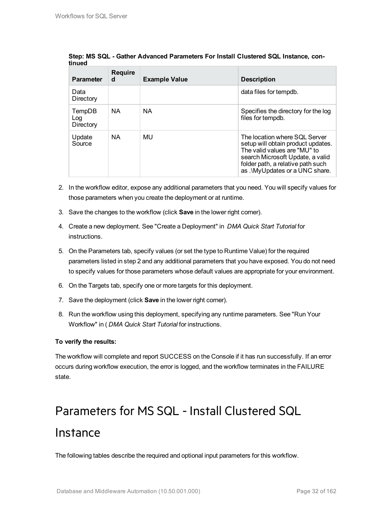| <b>Parameter</b>           | <b>Require</b><br>d | <b>Example Value</b> | <b>Description</b>                                                                                                                                                                                             |
|----------------------------|---------------------|----------------------|----------------------------------------------------------------------------------------------------------------------------------------------------------------------------------------------------------------|
| Data<br>Directory          |                     |                      | data files for tempdb.                                                                                                                                                                                         |
| TempDB<br>Log<br>Directory | <b>NA</b>           | NA.                  | Specifies the directory for the log<br>files for tempdb.                                                                                                                                                       |
| Update<br>Source           | <b>NA</b>           | MU                   | The location where SQL Server<br>setup will obtain product updates.<br>The valid values are "MU" to<br>search Microsoft Update, a valid<br>folder path, a relative path such<br>as .\MyUpdates or a UNC share. |

**Step: MS SQL - Gather Advanced Parameters For Install Clustered SQL Instance, continued**

- 2. In the workflow editor, expose any additional parameters that you need. You will specify values for those parameters when you create the deployment or at runtime.
- 3. Save the changes to the workflow (click **Save** in the lower right corner).
- 4. Create a new deployment. See "Create a Deployment" in *DMA Quick Start Tutorial* for instructions.
- 5. On the Parameters tab, specify values (or set the type to Runtime Value) for the required parameters listed in step 2 and any additional parameters that you have exposed. You do not need to specify values for those parameters whose default values are appropriate for your environment.
- 6. On the Targets tab, specify one or more targets for this deployment.
- 7. Save the deployment (click **Save** in the lower right corner).
- 8. Run the workflow using this deployment, specifying any runtime parameters. See "Run Your Workflow" in ( *DMA Quick Start Tutorial* for instructions.

#### **To verify the results:**

The workflow will complete and report SUCCESS on the Console if it has run successfully. If an error occurs during workflow execution, the error is logged, and the workflow terminates in the FAILURE state.

# <span id="page-31-0"></span>Parameters for MS SQL - Install Clustered SQL **Instance**

The following tables describe the required and optional input parameters for this workflow.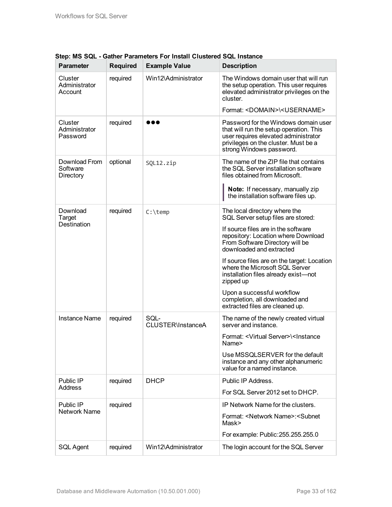| <b>Parameter</b>                       | <b>Required</b> | <b>Example Value</b>             | <b>Description</b>                                                                                                                                                                          |
|----------------------------------------|-----------------|----------------------------------|---------------------------------------------------------------------------------------------------------------------------------------------------------------------------------------------|
| Cluster<br>Administrator<br>Account    | required        | Win12\Administrator              | The Windows domain user that will run<br>the setup operation. This user requires<br>elevated administrator privileges on the<br>cluster.                                                    |
|                                        |                 |                                  | Format: <domain>\<username></username></domain>                                                                                                                                             |
| Cluster<br>Administrator<br>Password   | required        |                                  | Password for the Windows domain user<br>that will run the setup operation. This<br>user requires elevated administrator<br>privileges on the cluster. Must be a<br>strong Windows password. |
| Download From<br>Software<br>Directory | optional        | SQL12.zip                        | The name of the ZIP file that contains<br>the SQL Server installation software<br>files obtained from Microsoft.<br>Note: If necessary, manually zip<br>the installation software files up. |
| Download<br>Target                     | required        | $C:\text{temp}$                  | The local directory where the<br>SQL Server setup files are stored:                                                                                                                         |
| <b>Destination</b>                     |                 |                                  | If source files are in the software<br>repository: Location where Download<br>From Software Directory will be<br>downloaded and extracted                                                   |
|                                        |                 |                                  | If source files are on the target: Location<br>where the Microsoft SQL Server<br>installation files already exist-not<br>zipped up                                                          |
|                                        |                 |                                  | Upon a successful workflow<br>completion, all downloaded and<br>extracted files are cleaned up.                                                                                             |
| <b>Instance Name</b>                   | required        | SQL-<br><b>CLUSTER\InstanceA</b> | The name of the newly created virtual<br>server and instance.                                                                                                                               |
|                                        |                 |                                  | Format: <virtual server="">\<instance<br>Name&gt;</instance<br></virtual>                                                                                                                   |
|                                        |                 |                                  | Use MSSQLSERVER for the default<br>instance and any other alphanumeric<br>value for a named instance.                                                                                       |
| Public IP                              | required        | <b>DHCP</b>                      | Public IP Address.                                                                                                                                                                          |
| Address                                |                 |                                  | For SQL Server 2012 set to DHCP.                                                                                                                                                            |
| Public IP<br><b>Network Name</b>       | required        |                                  | IP Network Name for the clusters.                                                                                                                                                           |
|                                        |                 |                                  | Format: <network name="">:<subnet<br>Mask&gt;</subnet<br></network>                                                                                                                         |
|                                        |                 |                                  | For example: Public: 255.255.255.0                                                                                                                                                          |
| <b>SQL Agent</b>                       | required        | Win12\Administrator              | The login account for the SQL Server                                                                                                                                                        |

|  |  | Step: MS SQL - Gather Parameters For Install Clustered SQL Instance |  |  |
|--|--|---------------------------------------------------------------------|--|--|
|  |  |                                                                     |  |  |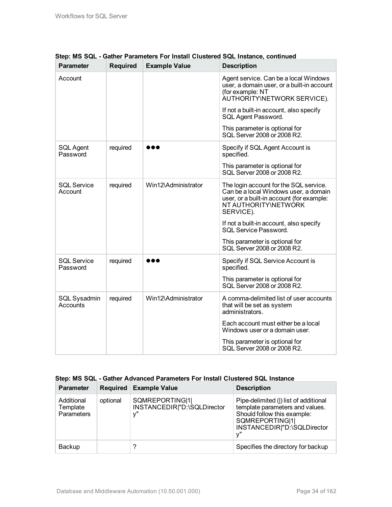| <b>Parameter</b>                | <b>Required</b> | <b>Example Value</b> | <b>Description</b>                                                                                                                                                |
|---------------------------------|-----------------|----------------------|-------------------------------------------------------------------------------------------------------------------------------------------------------------------|
| Account                         |                 |                      | Agent service. Can be a local Windows<br>user, a domain user, or a built-in account<br>(for example: NT<br>AUTHORITY\NETWORK SERVICE).                            |
|                                 |                 |                      | If not a built-in account, also specify<br>SQL Agent Password.                                                                                                    |
|                                 |                 |                      | This parameter is optional for<br>SQL Server 2008 or 2008 R2.                                                                                                     |
| <b>SQL Agent</b><br>Password    | required        | ) 0 0                | Specify if SQL Agent Account is<br>specified.                                                                                                                     |
|                                 |                 |                      | This parameter is optional for<br>SQL Server 2008 or 2008 R2.                                                                                                     |
| <b>SQL Service</b><br>Account   | required        | Win12\Administrator  | The login account for the SQL service.<br>Can be a local Windows user, a domain<br>user, or a built-in account (for example:<br>NT AUTHORITY\NETWORK<br>SERVICE). |
|                                 |                 |                      | If not a built-in account, also specify<br><b>SQL Service Password.</b>                                                                                           |
|                                 |                 |                      | This parameter is optional for<br>SQL Server 2008 or 2008 R2.                                                                                                     |
| <b>SQL Service</b><br>Password  | required        | ,,,                  | Specify if SQL Service Account is<br>specified.                                                                                                                   |
|                                 |                 |                      | This parameter is optional for<br>SQL Server 2008 or 2008 R2.                                                                                                     |
| <b>SQL Sysadmin</b><br>Accounts | required        | Win12\Administrator  | A comma-delimited list of user accounts<br>that will be set as system<br>administrators.                                                                          |
|                                 |                 |                      | Each account must either be a local<br>Windows user or a domain user.                                                                                             |
|                                 |                 |                      | This parameter is optional for<br>SQL Server 2008 or 2008 R2.                                                                                                     |

### **Step: MS SQL - Gather Parameters For Install Clustered SQL Instance, continued**

### **Step: MS SQL - Gather Advanced Parameters For Install Clustered SQL Instance**

| <b>Parameter</b>                            | <b>Required</b> | <b>Example Value</b>                                 | <b>Description</b>                                                                                                                                        |
|---------------------------------------------|-----------------|------------------------------------------------------|-----------------------------------------------------------------------------------------------------------------------------------------------------------|
| Additional<br>Template<br><b>Parameters</b> | optional        | SQMREPORTING[1]<br>INSTANCEDIR "D:\SQLDirector<br>v" | Pipe-delimited ( ) list of additional<br>template parameters and values.<br>Should follow this example:<br>SQMREPORTING[1]<br>INSTANCEDIR "D:\SQLDirector |
| Backup                                      |                 |                                                      | Specifies the directory for backup                                                                                                                        |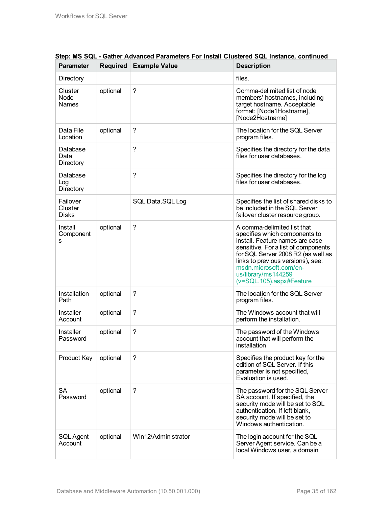| <b>Parameter</b>                    | Required | <b>Example Value</b>     | <b>Description</b>                                                                                                                                                                                                                                                                             |
|-------------------------------------|----------|--------------------------|------------------------------------------------------------------------------------------------------------------------------------------------------------------------------------------------------------------------------------------------------------------------------------------------|
| Directory                           |          |                          | files.                                                                                                                                                                                                                                                                                         |
| Cluster<br>Node<br><b>Names</b>     | optional | $\overline{\phantom{0}}$ | Comma-delimited list of node<br>members' hostnames, including<br>target hostname. Acceptable<br>format: [Node1Hostname],<br>[Node2Hostname]                                                                                                                                                    |
| Data File<br>Location               | optional | $\tilde{?}$              | The location for the SQL Server<br>program files.                                                                                                                                                                                                                                              |
| Database<br>Data<br>Directory       |          | $\overline{?}$           | Specifies the directory for the data<br>files for user databases.                                                                                                                                                                                                                              |
| Database<br>Log<br>Directory        |          | $\overline{?}$           | Specifies the directory for the log<br>files for user databases.                                                                                                                                                                                                                               |
| Failover<br>Cluster<br><b>Disks</b> |          | SQL Data, SQL Log        | Specifies the list of shared disks to<br>be included in the SQL Server<br>failover cluster resource group.                                                                                                                                                                                     |
| Install<br>Component<br>s           | optional | $\overline{?}$           | A comma-delimited list that<br>specifies which components to<br>install. Feature names are case<br>sensitive. For a list of components<br>for SQL Server 2008 R2 (as well as<br>links to previous versions), see:<br>msdn.microsoft.com/en-<br>us/library/ms144259<br>(v=SQL.105).aspx#Feature |
| Installation<br>Path                | optional | $\tilde{?}$              | The location for the SQL Server<br>program files.                                                                                                                                                                                                                                              |
| Installer<br>Account                | optional | $\tilde{?}$              | The Windows account that will<br>perform the installation.                                                                                                                                                                                                                                     |
| Installer<br>Password               | optional | $\tilde{?}$              | The password of the Windows<br>account that will perform the<br>installation                                                                                                                                                                                                                   |
| Product Key                         | optional | ?                        | Specifies the product key for the<br>edition of SQL Server. If this<br>parameter is not specified,<br>Evaluation is used.                                                                                                                                                                      |
| <b>SA</b><br>Password               | optional | $\overline{\cdot}$       | The password for the SQL Server<br>SA account. If specified, the<br>security mode will be set to SQL<br>authentication. If left blank,<br>security mode will be set to<br>Windows authentication.                                                                                              |
| <b>SQL Agent</b><br>Account         | optional | Win12\Administrator      | The login account for the SQL<br>Server Agent service. Can be a<br>local Windows user, a domain                                                                                                                                                                                                |

### **Step: MS SQL - Gather Advanced Parameters For Install Clustered SQL Instance, continued**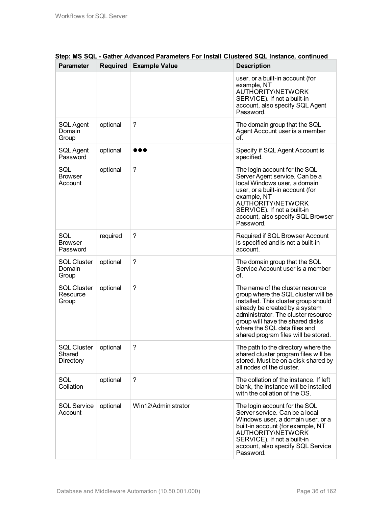| <b>Parameter</b>                              | <b>Required</b> | <b>Example Value</b>     | <b>Description</b>                                                                                                                                                                                                                                                                                   |  |
|-----------------------------------------------|-----------------|--------------------------|------------------------------------------------------------------------------------------------------------------------------------------------------------------------------------------------------------------------------------------------------------------------------------------------------|--|
|                                               |                 |                          | user, or a built-in account (for<br>example, NT<br>AUTHORITY\NETWORK<br>SERVICE). If not a built-in<br>account, also specify SQL Agent<br>Password.                                                                                                                                                  |  |
| <b>SQL Agent</b><br>Domain<br>Group           | optional        | ?                        | The domain group that the SQL<br>Agent Account user is a member<br>of.                                                                                                                                                                                                                               |  |
| <b>SQL Agent</b><br>Password                  | optional        |                          | Specify if SQL Agent Account is<br>specified.                                                                                                                                                                                                                                                        |  |
| SQL<br><b>Browser</b><br>Account              | optional        | ?                        | The login account for the SQL<br>Server Agent service. Can be a<br>local Windows user, a domain<br>user, or a built-in account (for<br>example, NT<br>AUTHORITY\NETWORK<br>SERVICE). If not a built-in<br>account, also specify SQL Browser<br>Password.                                             |  |
| SQL<br><b>Browser</b><br>Password             | required        | ?                        | Required if SQL Browser Account<br>is specified and is not a built-in<br>account.                                                                                                                                                                                                                    |  |
| <b>SQL Cluster</b><br>Domain<br>Group         | optional        | ?                        | The domain group that the SQL<br>Service Account user is a member<br>of.                                                                                                                                                                                                                             |  |
| <b>SQL Cluster</b><br>Resource<br>Group       | optional        | $\overline{\phantom{0}}$ | The name of the cluster resource<br>group where the SQL cluster will be<br>installed. This cluster group should<br>already be created by a system<br>administrator. The cluster resource<br>group will have the shared disks<br>where the SQL data files and<br>shared program files will be stored. |  |
| SQL Cluster   optional<br>Shared<br>Directory |                 | $\tilde{?}$              | The path to the directory where the<br>shared cluster program files will be<br>stored. Must be on a disk shared by<br>all nodes of the cluster.                                                                                                                                                      |  |
| SQL<br>Collation                              | optional        | ?                        | The collation of the instance. If left<br>blank, the instance will be installed<br>with the collation of the OS.                                                                                                                                                                                     |  |
| <b>SQL Service</b><br>Account                 | optional        | Win12\Administrator      | The login account for the SQL<br>Server service. Can be a local<br>Windows user, a domain user, or a<br>built-in account (for example, NT<br>AUTHORITY\NETWORK<br>SERVICE). If not a built-in<br>account, also specify SQL Service<br>Password.                                                      |  |

### **Step: MS SQL - Gather Advanced Parameters For Install Clustered SQL Instance, continued**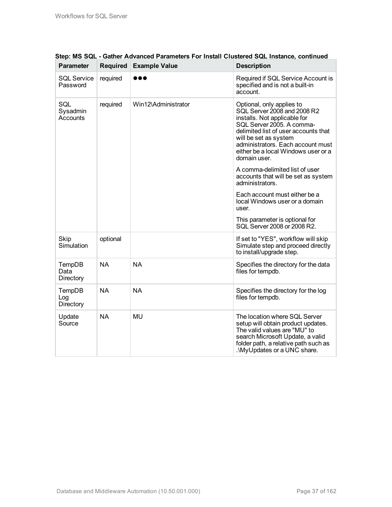| <b>Parameter</b>               | <b>Required</b> | <b>Example Value</b> | <b>Description</b>                                                                                                                                                                                                                                                                                                                                                                                                                                                                           |
|--------------------------------|-----------------|----------------------|----------------------------------------------------------------------------------------------------------------------------------------------------------------------------------------------------------------------------------------------------------------------------------------------------------------------------------------------------------------------------------------------------------------------------------------------------------------------------------------------|
| <b>SQL Service</b><br>Password | required        |                      | Required if SQL Service Account is<br>specified and is not a built-in<br>account.                                                                                                                                                                                                                                                                                                                                                                                                            |
| SQL<br>Sysadmin<br>Accounts    | required        | Win12\Administrator  | Optional, only applies to<br>SQL Server 2008 and 2008 R2<br>installs. Not applicable for<br>SQL Server 2005. A comma-<br>delimited list of user accounts that<br>will be set as system<br>administrators. Each account must<br>either be a local Windows user or a<br>domain user.<br>A comma-delimited list of user<br>accounts that will be set as system<br>administrators.<br>Each account must either be a<br>local Windows user or a domain<br>user.<br>This parameter is optional for |
|                                |                 |                      | SQL Server 2008 or 2008 R2.                                                                                                                                                                                                                                                                                                                                                                                                                                                                  |
| Skip<br>Simulation             | optional        |                      | If set to "YES", workflow will skip<br>Simulate step and proceed directly<br>to install/upgrade step.                                                                                                                                                                                                                                                                                                                                                                                        |
| TempDB<br>Data<br>Directory    | <b>NA</b>       | <b>NA</b>            | Specifies the directory for the data<br>files for tempdb.                                                                                                                                                                                                                                                                                                                                                                                                                                    |
| TempDB<br>Log<br>Directory     | <b>NA</b>       | <b>NA</b>            | Specifies the directory for the log<br>files for tempdb.                                                                                                                                                                                                                                                                                                                                                                                                                                     |
| Update<br>Source               | <b>NA</b>       | <b>MU</b>            | The location where SQL Server<br>setup will obtain product updates.<br>The valid values are "MU" to<br>search Microsoft Update, a valid<br>folder path, a relative path such as<br>.\MyUpdates or a UNC share.                                                                                                                                                                                                                                                                               |

**Step: MS SQL - Gather Advanced Parameters For Install Clustered SQL Instance, continued**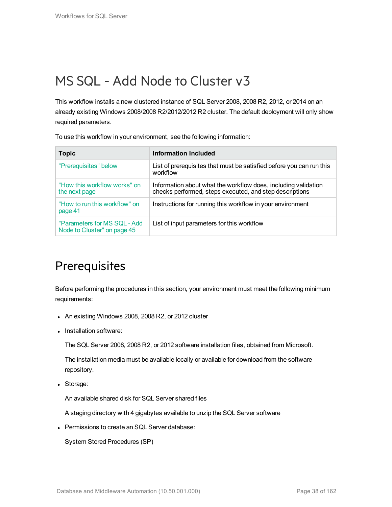# MS SQL - Add Node to Cluster v3

This workflow installs a new clustered instance of SQL Server 2008, 2008 R2, 2012, or 2014 on an already existing Windows 2008/2008 R2/2012/2012 R2 cluster. The default deployment will only show required parameters.

To use this workflow in your environment, see the following information:

| <b>Topic</b>                                                | Information Included                                                                                                      |
|-------------------------------------------------------------|---------------------------------------------------------------------------------------------------------------------------|
| "Prerequisites" below                                       | List of prerequisites that must be satisfied before you can run this<br>workflow                                          |
| "How this workflow works" on<br>the next page               | Information about what the workflow does, including validation<br>checks performed, steps executed, and step descriptions |
| "How to run this workflow" on<br>page 41                    | Instructions for running this workflow in your environment                                                                |
| "Parameters for MS SQL - Add<br>Node to Cluster" on page 45 | List of input parameters for this workflow                                                                                |

# <span id="page-37-0"></span>**Prerequisites**

Before performing the procedures in this section, your environment must meet the following minimum requirements:

- An existing Windows 2008, 2008 R2, or 2012 cluster
- Installation software:

The SQL Server 2008, 2008 R2, or 2012 software installation files, obtained from Microsoft.

The installation media must be available locally or available for download from the software repository.

• Storage:

An available shared disk for SQL Server shared files

A staging directory with 4 gigabytes available to unzip the SQL Server software

• Permissions to create an SQL Server database:

System Stored Procedures (SP)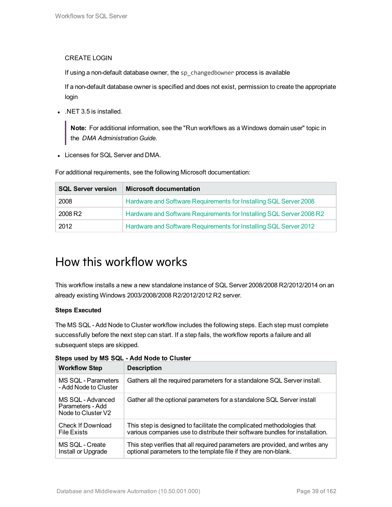## CREATE LOGIN

If using a non-default database owner, the sp\_changedbowner process is available

If a non-default database owner is specified and does not exist, permission to create the appropriate login

. . NET 3.5 is installed.

**Note:** For additional information, see the "Run workflows as a Windows domain user" topic in the *DMA Administration Guide*.

• Licenses for SQL Server and DMA.

For additional requirements, see the following Microsoft documentation:

| <b>SQL Server version</b> | <b>Microsoft documentation</b>                                       |
|---------------------------|----------------------------------------------------------------------|
| 2008                      | Hardware and Software Requirements for Installing SQL Server 2008    |
| 2008 R <sub>2</sub>       | Hardware and Software Requirements for Installing SQL Server 2008 R2 |
| 2012                      | Hardware and Software Requirements for Installing SQL Server 2012    |

# <span id="page-38-0"></span>How this workflow works

This workflow installs a new a new standalone instance of SQL Server 2008/2008 R2/2012/2014 on an already existing Windows 2003/2008/2008 R2/2012/2012 R2 server.

## **Steps Executed**

The MS SQL - Add Node to Cluster workflow includes the following steps. Each step must complete successfully before the next step can start. If a step fails, the workflow reports a failure and all subsequent steps are skipped.

| <b>Workflow Step</b>                                        | <b>Description</b>                                                                                                                                     |
|-------------------------------------------------------------|--------------------------------------------------------------------------------------------------------------------------------------------------------|
| MS SQL - Parameters<br>- Add Node to Cluster                | Gathers all the required parameters for a standalone SQL Server install.                                                                               |
| MS SQL - Advanced<br>Parameters - Add<br>Node to Cluster V2 | Gather all the optional parameters for a standalone SQL Server install                                                                                 |
| <b>Check If Download</b><br><b>File Exists</b>              | This step is designed to facilitate the complicated methodologies that<br>various companies use to distribute their software bundles for installation. |
| MS SQL - Create<br>Install or Upgrade                       | This step verifies that all required parameters are provided, and writes any<br>optional parameters to the template file if they are non-blank.        |

# **Steps used by MS SQL - Add Node to Cluster**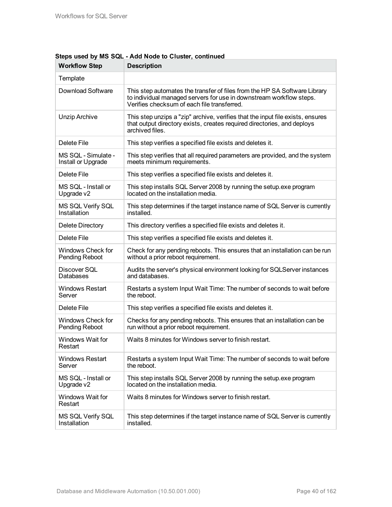| <b>Workflow Step</b>                       | 0000 0000 07 MO OQL - AUG NOGC 10 ORGER, CONTRIBO<br><b>Description</b>                                                                                                                         |
|--------------------------------------------|-------------------------------------------------------------------------------------------------------------------------------------------------------------------------------------------------|
| Template                                   |                                                                                                                                                                                                 |
| <b>Download Software</b>                   | This step automates the transfer of files from the HP SA Software Library<br>to individual managed servers for use in downstream workflow steps.<br>Verifies checksum of each file transferred. |
| <b>Unzip Archive</b>                       | This step unzips a "zip" archive, verifies that the input file exists, ensures<br>that output directory exists, creates required directories, and deploys<br>archived files.                    |
| Delete File                                | This step verifies a specified file exists and deletes it.                                                                                                                                      |
| MS SQL - Simulate -<br>Install or Upgrade  | This step verifies that all required parameters are provided, and the system<br>meets minimum requirements.                                                                                     |
| Delete File                                | This step verifies a specified file exists and deletes it.                                                                                                                                      |
| MS SQL - Install or<br>Upgrade v2          | This step installs SQL Server 2008 by running the setup.exe program<br>located on the installation media.                                                                                       |
| MS SQL Verify SQL<br>Installation          | This step determines if the target instance name of SQL Server is currently<br>installed.                                                                                                       |
| <b>Delete Directory</b>                    | This directory verifies a specified file exists and deletes it.                                                                                                                                 |
| Delete File                                | This step verifies a specified file exists and deletes it.                                                                                                                                      |
| <b>Windows Check for</b><br>Pending Reboot | Check for any pending reboots. This ensures that an installation can be run<br>without a prior reboot requirement.                                                                              |
| Discover SQL<br>Databases                  | Audits the server's physical environment looking for SQLServer instances<br>and databases.                                                                                                      |
| <b>Windows Restart</b><br>Server           | Restarts a system Input Wait Time: The number of seconds to wait before<br>the reboot.                                                                                                          |
| Delete File                                | This step verifies a specified file exists and deletes it.                                                                                                                                      |
| Windows Check for<br>Pending Reboot        | Checks for any pending reboots. This ensures that an installation can be<br>run without a prior reboot requirement.                                                                             |
| Windows Wait for<br>Restart                | Waits 8 minutes for Windows server to finish restart.                                                                                                                                           |
| <b>Windows Restart</b><br>Server           | Restarts a system Input Wait Time: The number of seconds to wait before<br>the reboot.                                                                                                          |
| MS SQL - Install or<br>Upgrade v2          | This step installs SQL Server 2008 by running the setup.exe program<br>located on the installation media.                                                                                       |
| Windows Wait for<br>Restart                | Waits 8 minutes for Windows server to finish restart.                                                                                                                                           |
| MS SQL Verify SQL<br>Installation          | This step determines if the target instance name of SQL Server is currently<br>installed.                                                                                                       |

# **Steps used by MS SQL - Add Node to Cluster, continued**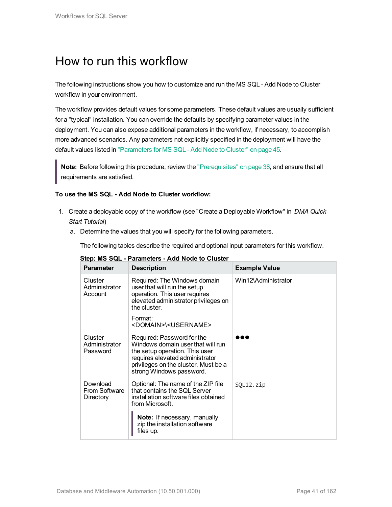# <span id="page-40-0"></span>How to run this workflow

The following instructions show you how to customize and run the MS SQL - Add Node to Cluster workflow in your environment.

The workflow provides default values for some parameters. These default values are usually sufficient for a "typical" installation. You can override the defaults by specifying parameter values in the deployment. You can also expose additional parameters in the workflow, if necessary, to accomplish more advanced scenarios. Any parameters not explicitly specified in the deployment will have the default values listed in ["Parameters](#page-44-0) for MS SQL - Add Node to Cluster" on page 45.

**Note:** Before following this procedure, review the ["Prerequisites"](#page-37-0) on page 38, and ensure that all requirements are satisfied.

### **To use the MS SQL - Add Node to Cluster workflow:**

- 1. Create a deployable copy of the workflow (see "Create a Deployable Workflow" in *DMA Quick Start Tutorial*)
	- a. Determine the values that you will specify for the following parameters.

The following tables describe the required and optional input parameters for this workflow.

| <b>Parameter</b>                       | <b>Description</b>                                                                                                                                                                                          | <b>Example Value</b> |
|----------------------------------------|-------------------------------------------------------------------------------------------------------------------------------------------------------------------------------------------------------------|----------------------|
| Cluster<br>Administrator<br>Account    | Required: The Windows domain<br>user that will run the setup<br>operation. This user requires<br>elevated administrator privileges on<br>the cluster.<br>Format:<br><domain>\<username></username></domain> | Win12\Administrator  |
| Cluster<br>Administrator<br>Password   | Required: Password for the<br>Windows domain user that will run<br>the setup operation. This user<br>requires elevated administrator<br>privileges on the cluster. Must be a<br>strong Windows password.    | b C                  |
| Download<br>From Software<br>Directory | Optional: The name of the ZIP file<br>that contains the SQL Server<br>installation software files obtained<br>from Microsoft.<br>Note: If necessary, manually                                               | SQL12.zip            |
|                                        | zip the installation software<br>files up.                                                                                                                                                                  |                      |

#### **Step: MS SQL - Parameters - Add Node to Cluster**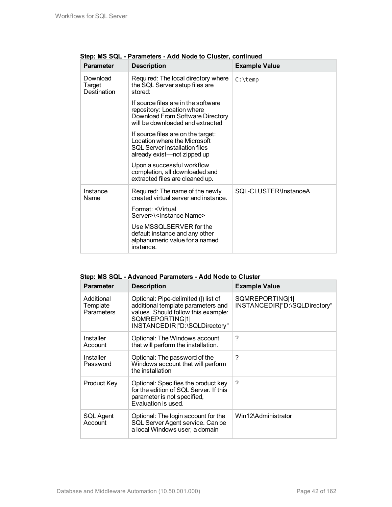| <b>Parameter</b>                  | olep. Mo OQL - I alamelers - Aud Noue to Oluster, continued<br><b>Description</b>                                                         | <b>Example Value</b>  |
|-----------------------------------|-------------------------------------------------------------------------------------------------------------------------------------------|-----------------------|
| Download<br>Target<br>Destination | Required: The local directory where<br>the SQL Server setup files are<br>stored:                                                          | $C:\text{temp}$       |
|                                   | If source files are in the software<br>repository: Location where<br>Download From Software Directory<br>will be downloaded and extracted |                       |
|                                   | If source files are on the target:<br>Location where the Microsoft<br>SQL Server installation files<br>already exist-not zipped up        |                       |
|                                   | Upon a successful workflow<br>completion, all downloaded and<br>extracted files are cleaned up.                                           |                       |
| Instance<br>Name                  | Required: The name of the newly<br>created virtual server and instance.                                                                   | SQL-CLUSTER\InstanceA |
|                                   | Format: <virtual<br>Server&gt;\<instance name=""></instance></virtual<br>                                                                 |                       |
|                                   | Use MSSQLSERVER for the<br>default instance and any other<br>alphanumeric value for a named<br>instance.                                  |                       |

**Step: MS SQL - Parameters - Add Node to Cluster, continued**

| Step: MS SQL - Advanced Parameters - Add Node to Cluster |  |  |
|----------------------------------------------------------|--|--|
|                                                          |  |  |

| <b>Parameter</b>                     | <b>Description</b>                                                                                                                                                    | <b>Example Value</b>                             |
|--------------------------------------|-----------------------------------------------------------------------------------------------------------------------------------------------------------------------|--------------------------------------------------|
| Additional<br>Template<br>Parameters | Optional: Pipe-delimited ( ) list of<br>additional template parameters and<br>values. Should follow this example:<br>SQMREPORTING[1]<br>INSTANCEDIR "D:\SQLDirectory" | SQMREPORTING[1]<br>INSTANCEDIR "D:\SQLDirectory" |
| <b>Installer</b><br>Account          | Optional: The Windows account<br>that will perform the installation.                                                                                                  | ?                                                |
| Installer<br>Password                | Optional: The password of the<br>Windows account that will perform<br>the installation                                                                                | ?                                                |
| Product Key                          | Optional: Specifies the product key<br>for the edition of SQL Server. If this<br>parameter is not specified,<br>Evaluation is used.                                   | ?                                                |
| <b>SQL Agent</b><br>Account          | Optional: The login account for the<br>SQL Server Agent service. Can be<br>a local Windows user, a domain                                                             | Win12\Administrator                              |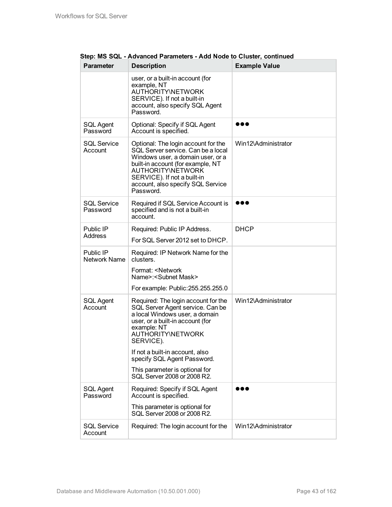| <b>Parameter</b>                 | $\blacksquare$ Advanced Functions Add Node to Graster, continuou<br><b>Description</b>                                                                                                                                                                    | <b>Example Value</b> |
|----------------------------------|-----------------------------------------------------------------------------------------------------------------------------------------------------------------------------------------------------------------------------------------------------------|----------------------|
|                                  | user, or a built-in account (for<br>example, NT<br>AUTHORITY\NETWORK<br>SERVICE). If not a built-in<br>account, also specify SQL Agent<br>Password.                                                                                                       |                      |
| <b>SQL Agent</b><br>Password     | Optional: Specify if SQL Agent<br>Account is specified.                                                                                                                                                                                                   |                      |
| <b>SQL Service</b><br>Account    | Optional: The login account for the<br>SQL Server service. Can be a local<br>Windows user, a domain user, or a<br>built-in account (for example, NT<br>AUTHORITY\NETWORK<br>SERVICE). If not a built-in<br>account, also specify SQL Service<br>Password. | Win12\Administrator  |
| <b>SQL Service</b><br>Password   | Required if SQL Service Account is<br>specified and is not a built-in<br>account.                                                                                                                                                                         |                      |
| Public IP                        | Required: Public IP Address.                                                                                                                                                                                                                              | <b>DHCP</b>          |
| Address                          | For SQL Server 2012 set to DHCP.                                                                                                                                                                                                                          |                      |
| Public IP<br><b>Network Name</b> | Required: IP Network Name for the<br>clusters.                                                                                                                                                                                                            |                      |
|                                  | Format: <network<br>Name&gt;:<subnet mask=""></subnet></network<br>                                                                                                                                                                                       |                      |
|                                  | For example: Public: 255.255.255.0                                                                                                                                                                                                                        |                      |
| <b>SQL Agent</b><br>Account      | Required: The login account for the<br>SQL Server Agent service. Can be<br>a local Windows user, a domain<br>user, or a built-in account (for<br>example: NT<br>AUTHORITY\NETWORK<br>SERVICE).                                                            | Win12\Administrator  |
|                                  | If not a built-in account, also<br>specify SQL Agent Password.                                                                                                                                                                                            |                      |
|                                  | This parameter is optional for<br>SQL Server 2008 or 2008 R2.                                                                                                                                                                                             |                      |
| <b>SQL Agent</b><br>Password     | Required: Specify if SQL Agent<br>Account is specified.                                                                                                                                                                                                   | n o o                |
|                                  | This parameter is optional for<br>SQL Server 2008 or 2008 R2.                                                                                                                                                                                             |                      |
| <b>SQL Service</b><br>Account    | Required: The login account for the                                                                                                                                                                                                                       | Win12\Administrator  |

**Step: MS SQL - Advanced Parameters - Add Node to Cluster, continued**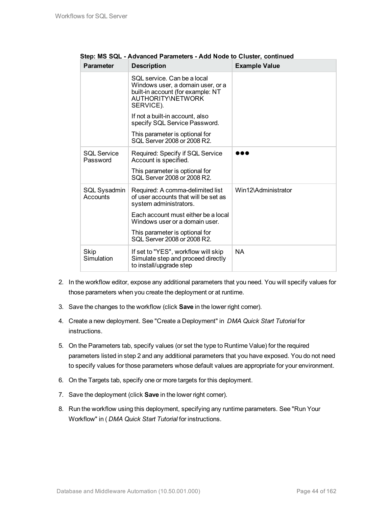| <b>Parameter</b>          | <b>Description</b>                                                                                                                             | <b>Example Value</b> |
|---------------------------|------------------------------------------------------------------------------------------------------------------------------------------------|----------------------|
|                           | SOL service. Can be a local<br>Windows user, a domain user, or a<br>built-in account (for example: NT<br><b>AUTHORITY\NETWORK</b><br>SERVICE). |                      |
|                           | If not a built-in account, also<br>specify SQL Service Password.                                                                               |                      |
|                           | This parameter is optional for<br>SOL Server 2008 or 2008 R2                                                                                   |                      |
| SQL Service<br>Password   | Required: Specify if SQL Service<br>Account is specified.<br>This parameter is optional for<br>SQL Server 2008 or 2008 R2.                     |                      |
| SQL Sysadmin<br>Accounts  | Required: A comma-delimited list<br>of user accounts that will be set as<br>system administrators.                                             | Win12\Administrator  |
|                           | Each account must either be a local<br>Windows user or a domain user.                                                                          |                      |
|                           | This parameter is optional for<br>SQL Server 2008 or 2008 R2.                                                                                  |                      |
| <b>Skip</b><br>Simulation | If set to "YES", workflow will skip<br>Simulate step and proceed directly<br>to install/upgrade step                                           | ΝA                   |

| Step: MS SQL - Advanced Parameters - Add Node to Cluster, continued |
|---------------------------------------------------------------------|
|---------------------------------------------------------------------|

- 2. In the workflow editor, expose any additional parameters that you need. You will specify values for those parameters when you create the deployment or at runtime.
- 3. Save the changes to the workflow (click **Save** in the lower right corner).
- 4. Create a new deployment. See "Create a Deployment" in *DMA Quick Start Tutorial* for instructions.
- 5. On the Parameters tab, specify values (or set the type to Runtime Value) for the required parameters listed in step 2 and any additional parameters that you have exposed. You do not need to specify values for those parameters whose default values are appropriate for your environment.
- 6. On the Targets tab, specify one or more targets for this deployment.
- 7. Save the deployment (click **Save** in the lower right corner).
- 8. Run the workflow using this deployment, specifying any runtime parameters. See "Run Your Workflow" in ( *DMA Quick Start Tutorial* for instructions.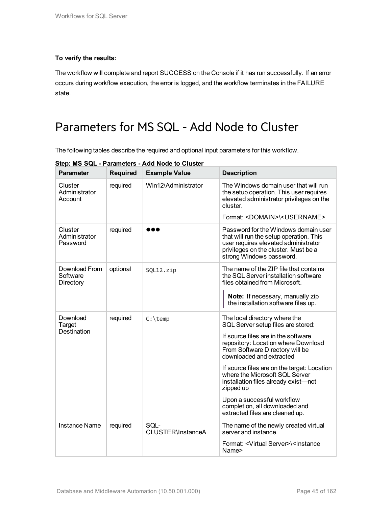## **To verify the results:**

The workflow will complete and report SUCCESS on the Console if it has run successfully. If an error occurs during workflow execution, the error is logged, and the workflow terminates in the FAILURE state.

# <span id="page-44-0"></span>Parameters for MS SQL - Add Node to Cluster

The following tables describe the required and optional input parameters for this workflow.

| <b>Parameter</b>                       | <b>Required</b> | <b>Example Value</b>             | <b>Description</b>                                                                                                                                                                                                                                                                                                                                                                                                                                        |
|----------------------------------------|-----------------|----------------------------------|-----------------------------------------------------------------------------------------------------------------------------------------------------------------------------------------------------------------------------------------------------------------------------------------------------------------------------------------------------------------------------------------------------------------------------------------------------------|
| Cluster<br>Administrator<br>Account    | required        | Win12\Administrator              | The Windows domain user that will run<br>the setup operation. This user requires<br>elevated administrator privileges on the<br>cluster.                                                                                                                                                                                                                                                                                                                  |
|                                        |                 |                                  | Format: <domain>\<username></username></domain>                                                                                                                                                                                                                                                                                                                                                                                                           |
| Cluster<br>Administrator<br>Password   | required        |                                  | Password for the Windows domain user<br>that will run the setup operation. This<br>user requires elevated administrator<br>privileges on the cluster. Must be a<br>strong Windows password.                                                                                                                                                                                                                                                               |
| Download From<br>Software<br>Directory | optional        | SQL12.zip                        | The name of the ZIP file that contains<br>the SQL Server installation software<br>files obtained from Microsoft.<br>Note: If necessary, manually zip<br>the installation software files up.                                                                                                                                                                                                                                                               |
| Download<br>Target<br>Destination      | required        | $C:\text{temp}$                  | The local directory where the<br>SQL Server setup files are stored:<br>If source files are in the software<br>repository: Location where Download<br>From Software Directory will be<br>downloaded and extracted<br>If source files are on the target: Location<br>where the Microsoft SQL Server<br>installation files already exist-not<br>zipped up<br>Upon a successful workflow<br>completion, all downloaded and<br>extracted files are cleaned up. |
| <b>Instance Name</b>                   | required        | SQL-<br><b>CLUSTER\InstanceA</b> | The name of the newly created virtual<br>server and instance.<br>Format: <virtual server="">\<instance<br>Name&gt;</instance<br></virtual>                                                                                                                                                                                                                                                                                                                |

**Step: MS SQL - Parameters - Add Node to Cluster**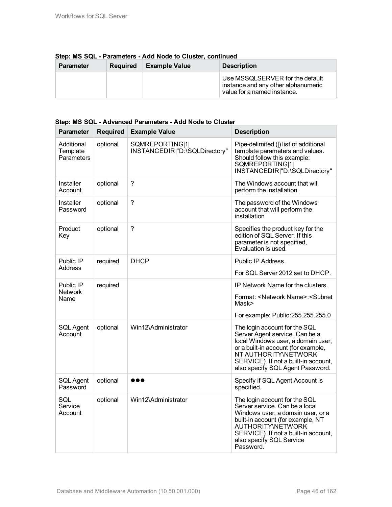| <b>Parameter</b> | Reguired | <b>Example Value</b> | <b>Description</b>                                                                                    |
|------------------|----------|----------------------|-------------------------------------------------------------------------------------------------------|
|                  |          |                      | Use MSSQLSERVER for the default<br>instance and any other alphanumeric<br>value for a named instance. |

## **Step: MS SQL - Parameters - Add Node to Cluster, continued**

## **Step: MS SQL - Advanced Parameters - Add Node to Cluster**

| <b>Parameter</b>                     | <b>Required</b> | <b>Example Value</b>                             | <b>Description</b>                                                                                                                                                                                                                               |
|--------------------------------------|-----------------|--------------------------------------------------|--------------------------------------------------------------------------------------------------------------------------------------------------------------------------------------------------------------------------------------------------|
| Additional<br>Template<br>Parameters | optional        | SQMREPORTING[1]<br>INSTANCEDIR "D:\SQLDirectory" | Pipe-delimited ( ) list of additional<br>template parameters and values.<br>Should follow this example:<br>SQMREPORTING[1]<br>INSTANCEDIR "D:\SQLDirectory"                                                                                      |
| Installer<br>Account                 | optional        | $\overline{?}$                                   | The Windows account that will<br>perform the installation.                                                                                                                                                                                       |
| Installer<br>Password                | optional        | $\overline{?}$                                   | The password of the Windows<br>account that will perform the<br>installation                                                                                                                                                                     |
| Product<br>Key                       | optional        | $\overline{?}$                                   | Specifies the product key for the<br>edition of SQL Server. If this<br>parameter is not specified,<br>Evaluation is used.                                                                                                                        |
| Public IP<br>Address                 | required        | <b>DHCP</b>                                      | Public IP Address.                                                                                                                                                                                                                               |
|                                      |                 |                                                  | For SQL Server 2012 set to DHCP.                                                                                                                                                                                                                 |
| Public IP<br><b>Network</b><br>Name  | required        |                                                  | IP Network Name for the clusters.<br>Format: <network name="">:<subnet<br>Mask&gt;<br/>For example: Public: 255.255.255.0</subnet<br></network>                                                                                                  |
| <b>SQL Agent</b><br>Account          | optional        | Win12\Administrator                              | The login account for the SQL<br>Server Agent service. Can be a<br>local Windows user, a domain user,<br>or a built-in account (for example,<br>NT AUTHORITY\NÈTWORK<br>SERVICE). If not a built-in account,<br>also specify SQL Agent Password. |
| <b>SQL Agent</b><br>Password         | optional        |                                                  | Specify if SQL Agent Account is<br>specified.                                                                                                                                                                                                    |
| SQL<br>Service<br>Account            | optional        | Win12\Administrator                              | The login account for the SQL<br>Server service. Can be a local<br>Windows user, a domain user, or a<br>built-in account (for example, NT<br>AUTHORITY\NETWORK<br>SERVICE). If not a built-in account,<br>also specify SQL Service<br>Password.  |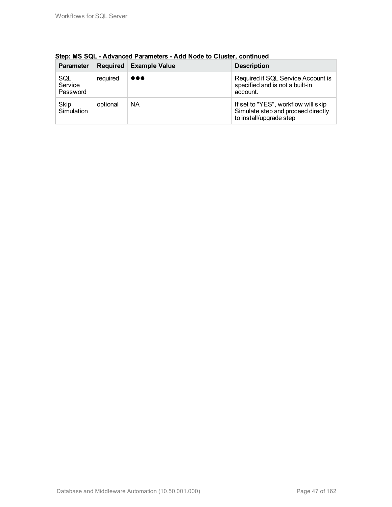| <b>Parameter</b>           |          | Required   Example Value | <b>Description</b>                                                                                   |
|----------------------------|----------|--------------------------|------------------------------------------------------------------------------------------------------|
| SQL<br>Service<br>Password | required | $\bullet\bullet\bullet$  | Required if SQL Service Account is<br>specified and is not a built-in<br>account.                    |
| Skip<br>Simulation         | optional | NA.                      | If set to "YES", workflow will skip<br>Simulate step and proceed directly<br>to install/upgrade step |

## **Step: MS SQL - Advanced Parameters - Add Node to Cluster, continued**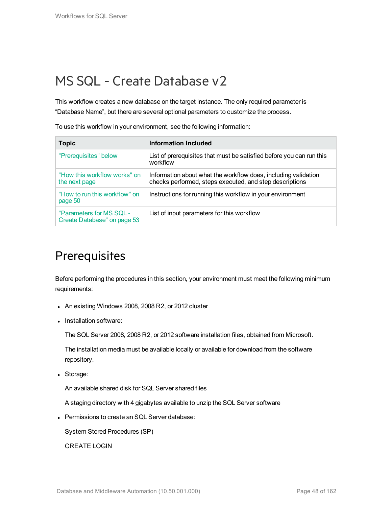# MS SQL - Create Database v2

This workflow creates a new database on the target instance. The only required parameter is "Database Name", but there are several optional parameters to customize the process.

To use this workflow in your environment, see the following information:

| <b>Topic</b>                                            | <b>Information Included</b>                                                                                               |
|---------------------------------------------------------|---------------------------------------------------------------------------------------------------------------------------|
| "Prerequisites" below                                   | List of prerequisites that must be satisfied before you can run this<br>workflow                                          |
| "How this workflow works" on<br>the next page           | Information about what the workflow does, including validation<br>checks performed, steps executed, and step descriptions |
| "How to run this workflow" on<br>page 50                | Instructions for running this workflow in your environment                                                                |
| "Parameters for MS SQL -<br>Create Database" on page 53 | List of input parameters for this workflow                                                                                |

# <span id="page-47-0"></span>**Prerequisites**

Before performing the procedures in this section, your environment must meet the following minimum requirements:

- An existing Windows 2008, 2008 R2, or 2012 cluster
- Installation software:

The SQL Server 2008, 2008 R2, or 2012 software installation files, obtained from Microsoft.

The installation media must be available locally or available for download from the software repository.

• Storage:

An available shared disk for SQL Server shared files

A staging directory with 4 gigabytes available to unzip the SQL Server software

• Permissions to create an SQL Server database:

System Stored Procedures (SP)

CREATE LOGIN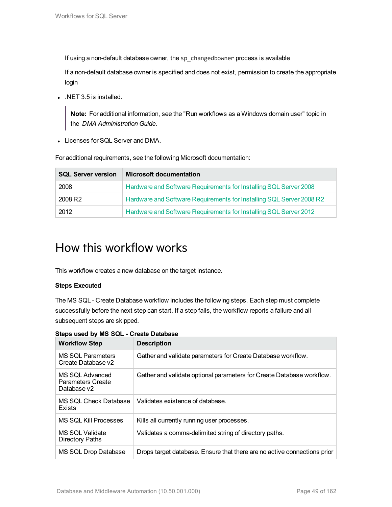If using a non-default database owner, the sp\_changedbowner process is available

If a non-default database owner is specified and does not exist, permission to create the appropriate login

• . NET 3.5 is installed.

**Note:** For additional information, see the "Run workflows as a Windows domain user" topic in the *DMA Administration Guide*.

• Licenses for SQL Server and DMA.

For additional requirements, see the following Microsoft documentation:

| <b>SQL Server version</b> | <b>Microsoft documentation</b>                                       |
|---------------------------|----------------------------------------------------------------------|
| 2008                      | Hardware and Software Requirements for Installing SQL Server 2008    |
| 2008 R <sub>2</sub>       | Hardware and Software Requirements for Installing SQL Server 2008 R2 |
| 2012                      | Hardware and Software Requirements for Installing SQL Server 2012    |

# <span id="page-48-0"></span>How this workflow works

This workflow creates a new database on the target instance.

## **Steps Executed**

The MS SQL - Create Database workflow includes the following steps. Each step must complete successfully before the next step can start. If a step fails, the workflow reports a failure and all subsequent steps are skipped.

| $1.999$ access by $1.199$ cm $-$<br><b>Workflow Step</b> | <b>Description</b>                                                       |
|----------------------------------------------------------|--------------------------------------------------------------------------|
| <b>MS SQL Parameters</b><br>Create Database v2           | Gather and validate parameters for Create Database workflow.             |
| MS SQL Advanced<br>Parameters Create<br>Database v2      | Gather and validate optional parameters for Create Database workflow.    |
| MS SQL Check Database<br><b>Exists</b>                   | Validates existence of database.                                         |
| <b>MS SQL Kill Processes</b>                             | Kills all currently running user processes.                              |
| MS SQL Validate<br>Directory Paths                       | Validates a comma-delimited string of directory paths.                   |
| MS SQL Drop Database                                     | Drops target database. Ensure that there are no active connections prior |

**Steps used by MS SQL - Create Database**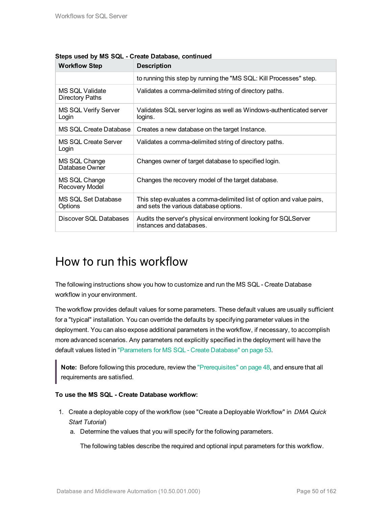| <b>Workflow Step</b>                      | <b>Description</b>                                                                                              |  |  |
|-------------------------------------------|-----------------------------------------------------------------------------------------------------------------|--|--|
|                                           | to running this step by running the "MS SQL: Kill Processes" step.                                              |  |  |
| MS SQL Validate<br><b>Directory Paths</b> | Validates a comma-delimited string of directory paths.                                                          |  |  |
| <b>MS SQL Verify Server</b><br>Login      | Validates SQL server logins as well as Windows-authenticated server<br>logins.                                  |  |  |
| MS SQL Create Database                    | Creates a new database on the target Instance.                                                                  |  |  |
| <b>MS SOL Create Server</b><br>Login      | Validates a comma-delimited string of directory paths.                                                          |  |  |
| MS SQL Change<br>Database Owner           | Changes owner of target database to specified login.                                                            |  |  |
| MS SQL Change<br>Recovery Model           | Changes the recovery model of the target database.                                                              |  |  |
| MS SQL Set Database<br>Options            | This step evaluates a comma-delimited list of option and value pairs,<br>and sets the various database options. |  |  |
| Discover SQL Databases                    | Audits the server's physical environment looking for SQLServer<br>instances and databases.                      |  |  |

|  |  |  |  | Steps used by MS SQL - Create Database, continued |
|--|--|--|--|---------------------------------------------------|
|  |  |  |  |                                                   |

# <span id="page-49-0"></span>How to run this workflow

The following instructions show you how to customize and run the MS SQL - Create Database workflow in your environment.

The workflow provides default values for some parameters. These default values are usually sufficient for a "typical" installation. You can override the defaults by specifying parameter values in the deployment. You can also expose additional parameters in the workflow, if necessary, to accomplish more advanced scenarios. Any parameters not explicitly specified in the deployment will have the default values listed in ["Parameters](#page-52-0) for MS SQL - Create Database" on page 53.

**Note:** Before following this procedure, review the ["Prerequisites"](#page-47-0) on page 48, and ensure that all requirements are satisfied.

## **To use the MS SQL - Create Database workflow:**

- 1. Create a deployable copy of the workflow (see "Create a Deployable Workflow" in *DMA Quick Start Tutorial*)
	- a. Determine the values that you will specify for the following parameters.

The following tables describe the required and optional input parameters for this workflow.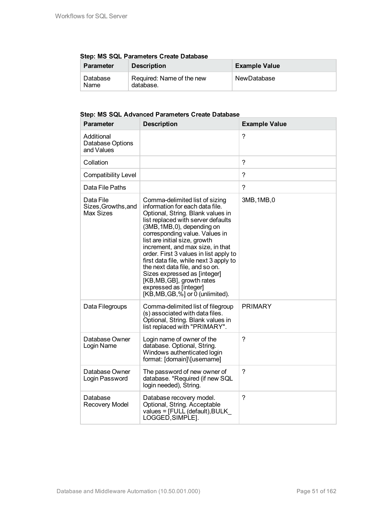|                  | Step: MS SQL Parameters Create Database |                    |
|------------------|-----------------------------------------|--------------------|
| <b>Parameter</b> | <b>Description</b>                      | <b>Example Val</b> |

| <b>Parameter</b> | <b>Description</b>                     | <b>Example Value</b> |
|------------------|----------------------------------------|----------------------|
| Database<br>Name | Required: Name of the new<br>database. | NewDatabase          |

## **Step: MS SQL Advanced Parameters Create Database**

| Parameter                                     | <b>Description</b>                                                                                                                                                                                                                                                                                                                                                                                                                                                                                                                    | <b>Example Value</b> |
|-----------------------------------------------|---------------------------------------------------------------------------------------------------------------------------------------------------------------------------------------------------------------------------------------------------------------------------------------------------------------------------------------------------------------------------------------------------------------------------------------------------------------------------------------------------------------------------------------|----------------------|
| Additional<br>Database Options<br>and Values  |                                                                                                                                                                                                                                                                                                                                                                                                                                                                                                                                       | $\gamma$             |
| Collation                                     |                                                                                                                                                                                                                                                                                                                                                                                                                                                                                                                                       | $\overline{?}$       |
| <b>Compatibility Level</b>                    |                                                                                                                                                                                                                                                                                                                                                                                                                                                                                                                                       | $\overline{?}$       |
| Data File Paths                               |                                                                                                                                                                                                                                                                                                                                                                                                                                                                                                                                       | $\overline{?}$       |
| Data File<br>Sizes, Growths, and<br>Max Sizes | Comma-delimited list of sizing<br>information for each data file.<br>Optional, String. Blank values in<br>list replaced with server defaults<br>(3MB, 1MB, 0), depending on<br>corresponding value. Values in<br>list are initial size, growth<br>increment, and max size, in that<br>order. First 3 values in list apply to<br>first data file, while next 3 apply to<br>the next data file, and so on.<br>Sizes expressed as [integer]<br>[KB, MB, GB], growth rates<br>expressed as [integer]<br>[KB, MB, GB, %] or 0 (unlimited). | 3MB, 1MB, 0          |
| Data Filegroups                               | Comma-delimited list of filegroup<br>(s) associated with data files.<br>Optional, String. Blank values in<br>list replaced with "PRIMARY".                                                                                                                                                                                                                                                                                                                                                                                            | <b>PRIMARY</b>       |
| Database Owner<br>Login Name                  | Login name of owner of the<br>database. Optional, String.<br>Windows authenticated login<br>format: [domain]\[username]                                                                                                                                                                                                                                                                                                                                                                                                               | $\gamma$             |
| Database Owner<br>Login Password              | The password of new owner of<br>database. *Required (if new SQL<br>login needed), String.                                                                                                                                                                                                                                                                                                                                                                                                                                             | $\gamma$             |
| Database<br>Recovery Model                    | Database recovery model.<br>Optional, String. Acceptable<br>values = [FULL (default), BULK<br>LOGGED, SIMPLE].                                                                                                                                                                                                                                                                                                                                                                                                                        | $\gamma$             |

٠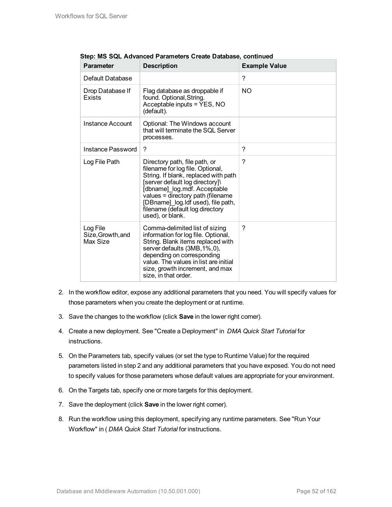| <b>Parameter</b>                          | <b>Description</b>                                                                                                                                                                                                                                                                                             | <b>Example Value</b> |  |
|-------------------------------------------|----------------------------------------------------------------------------------------------------------------------------------------------------------------------------------------------------------------------------------------------------------------------------------------------------------------|----------------------|--|
| Default Database                          |                                                                                                                                                                                                                                                                                                                | ?                    |  |
| Drop Database If<br>Exists                | Flag database as droppable if<br>found. Optional, String.<br>Acceptable inputs = YES, NO<br>(default).                                                                                                                                                                                                         | NO.                  |  |
| Instance Account                          | Optional: The Windows account<br>that will terminate the SOL Server<br>processes.                                                                                                                                                                                                                              |                      |  |
| Instance Password                         | ?                                                                                                                                                                                                                                                                                                              | ?                    |  |
| Log File Path                             | Directory path, file path, or<br>filename for log file. Optional,<br>String. If blank, replaced with path<br>[server default log directory]\<br>[dbname] log.mdf. Acceptable<br>values = directory path (filename<br>[DBname]_log.Idf used), file path,<br>filename (default log directory<br>used), or blank. | ?                    |  |
| Log File<br>Size, Growth, and<br>Max Size | Comma-delimited list of sizing<br>information for log file. Optional,<br>String. Blank items replaced with<br>server defaults (3MB, 1%, 0),<br>depending on corresponding<br>value. The values in list are initial<br>size, growth increment, and max<br>size, in that order.                                  | ?                    |  |

| Step: MS SQL Advanced Parameters Create Database, continued |  |  |
|-------------------------------------------------------------|--|--|
|-------------------------------------------------------------|--|--|

- 2. In the workflow editor, expose any additional parameters that you need. You will specify values for those parameters when you create the deployment or at runtime.
- 3. Save the changes to the workflow (click **Save** in the lower right corner).
- 4. Create a new deployment. See "Create a Deployment" in *DMA Quick Start Tutorial* for instructions.
- 5. On the Parameters tab, specify values (or set the type to Runtime Value) for the required parameters listed in step 2 and any additional parameters that you have exposed. You do not need to specify values for those parameters whose default values are appropriate for your environment.
- 6. On the Targets tab, specify one or more targets for this deployment.
- 7. Save the deployment (click **Save** in the lower right corner).
- 8. Run the workflow using this deployment, specifying any runtime parameters. See "Run Your Workflow" in ( *DMA Quick Start Tutorial* for instructions.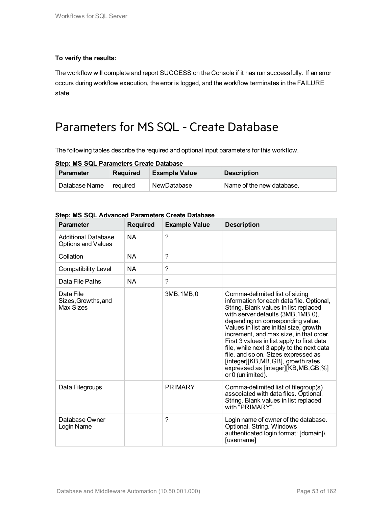## **To verify the results:**

The workflow will complete and report SUCCESS on the Console if it has run successfully. If an error occurs during workflow execution, the error is logged, and the workflow terminates in the FAILURE state.

# <span id="page-52-0"></span>Parameters for MS SQL - Create Database

The following tables describe the required and optional input parameters for this workflow.

| <b>Parameter</b> | <b>Required</b> | <b>Example Value</b> | <b>Description</b>        |  |
|------------------|-----------------|----------------------|---------------------------|--|
| Database Name    | required        | NewDatabase          | Name of the new database. |  |

**Step: MS SQL Parameters Create Database**

| <b>Parameter</b>                                        | <b>Required</b> | <b>Example Value</b>     | <b>Description</b>                                                                                                                                                                                                                                                                                                                                                                                                                                                                                                         |
|---------------------------------------------------------|-----------------|--------------------------|----------------------------------------------------------------------------------------------------------------------------------------------------------------------------------------------------------------------------------------------------------------------------------------------------------------------------------------------------------------------------------------------------------------------------------------------------------------------------------------------------------------------------|
| <b>Additional Database</b><br><b>Options and Values</b> | <b>NA</b>       | ?                        |                                                                                                                                                                                                                                                                                                                                                                                                                                                                                                                            |
| Collation                                               | <b>NA</b>       | 2                        |                                                                                                                                                                                                                                                                                                                                                                                                                                                                                                                            |
| <b>Compatibility Level</b>                              | <b>NA</b>       | ?                        |                                                                                                                                                                                                                                                                                                                                                                                                                                                                                                                            |
| Data File Paths                                         | <b>NA</b>       | ?                        |                                                                                                                                                                                                                                                                                                                                                                                                                                                                                                                            |
| Data File<br>Sizes, Growths, and<br>Max Sizes           |                 | 3MB, 1MB, 0              | Comma-delimited list of sizing<br>information for each data file. Optional,<br>String. Blank values in list replaced<br>with server defaults (3MB, 1MB, 0),<br>depending on corresponding value.<br>Values in list are initial size, growth<br>increment, and max size, in that order.<br>First 3 values in list apply to first data<br>file, while next 3 apply to the next data<br>file, and so on. Sizes expressed as<br>[integer][KB, MB, GB], growth rates<br>expressed as [integer][KB,MB,GB,%]<br>or 0 (unlimited). |
| Data Filegroups                                         |                 | <b>PRIMARY</b>           | Comma-delimited list of filegroup(s)<br>associated with data files. Optional,<br>String. Blank values in list replaced<br>with "PRIMARY".                                                                                                                                                                                                                                                                                                                                                                                  |
| Database Owner<br>Login Name                            |                 | $\overline{\phantom{0}}$ | Login name of owner of the database.<br>Optional, String. Windows<br>authenticated login format: [domain]\<br>[username]                                                                                                                                                                                                                                                                                                                                                                                                   |

**Step: MS SQL Advanced Parameters Create Database**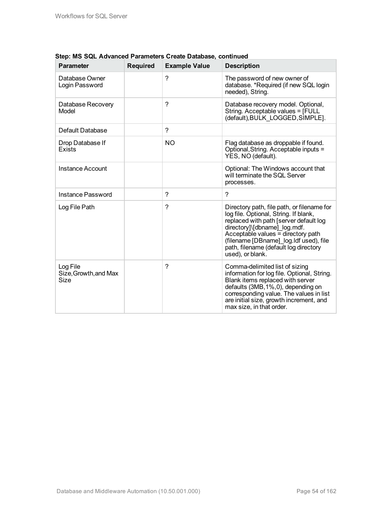| <b>Parameter</b>                                 | <b>Required</b> | <b>Example Value</b> | <b>Description</b>                                                                                                                                                                                                                                                                                         |  |
|--------------------------------------------------|-----------------|----------------------|------------------------------------------------------------------------------------------------------------------------------------------------------------------------------------------------------------------------------------------------------------------------------------------------------------|--|
| Database Owner<br>Login Password                 |                 | ?                    | The password of new owner of<br>database. *Required (if new SQL login<br>needed), String.                                                                                                                                                                                                                  |  |
| Database Recovery<br>Model                       |                 | $\overline{?}$       | Database recovery model. Optional,<br>String. Acceptable values = [FULL<br>(default), BULK LOGGED, SIMPLE].                                                                                                                                                                                                |  |
| Default Database                                 |                 | ?                    |                                                                                                                                                                                                                                                                                                            |  |
| Drop Database If<br>Exists                       |                 | <b>NO</b>            | Flag database as droppable if found.<br>Optional, String. Acceptable inputs =<br>YES, NO (default).                                                                                                                                                                                                        |  |
| Instance Account                                 |                 |                      | Optional: The Windows account that<br>will terminate the SOL Server<br>processes.                                                                                                                                                                                                                          |  |
| Instance Password                                |                 | ?                    | $\overline{?}$                                                                                                                                                                                                                                                                                             |  |
| Log File Path                                    |                 | ?                    | Directory path, file path, or filename for<br>log file. Optional, String. If blank,<br>replaced with path [server default log<br>directory]\[dbname]_log.mdf.<br>Acceptable values = directory path<br>(filename [DBname] log.Idf used), file<br>path, filename (default log directory<br>used), or blank. |  |
| Log File<br>Size, Growth, and Max<br><b>Size</b> |                 | ?                    | Comma-delimited list of sizing<br>information for log file. Optional, String.<br>Blank items replaced with server<br>defaults (3MB, 1%, 0), depending on<br>corresponding value. The values in list<br>are initial size, growth increment, and<br>max size, in that order.                                 |  |

## **Step: MS SQL Advanced Parameters Create Database, continued**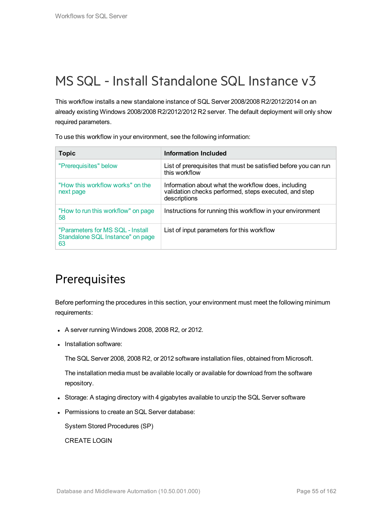# MS SQL - Install Standalone SQL Instance v3

This workflow installs a new standalone instance of SQL Server 2008/2008 R2/2012/2014 on an already existing Windows 2008/2008 R2/2012/2012 R2 server. The default deployment will only show required parameters.

To use this workflow in your environment, see the following information:

| <b>Topic</b>                                                               | Information Included                                                                                                         |  |  |
|----------------------------------------------------------------------------|------------------------------------------------------------------------------------------------------------------------------|--|--|
| "Prerequisites" below                                                      | List of prerequisites that must be satisfied before you can run<br>this workflow                                             |  |  |
| "How this workflow works" on the<br>next page                              | Information about what the workflow does, including<br>validation checks performed, steps executed, and step<br>descriptions |  |  |
| "How to run this workflow" on page<br>58                                   | Instructions for running this workflow in your environment                                                                   |  |  |
| "Parameters for MS SQL - Install<br>Standalone SQL Instance" on page<br>63 | List of input parameters for this workflow                                                                                   |  |  |

# <span id="page-54-0"></span>**Prerequisites**

Before performing the procedures in this section, your environment must meet the following minimum requirements:

- $\bullet$  A server running Windows 2008, 2008 R2, or 2012.
- Installation software:

The SQL Server 2008, 2008 R2, or 2012 software installation files, obtained from Microsoft.

The installation media must be available locally or available for download from the software repository.

- Storage: A staging directory with 4 gigabytes available to unzip the SQL Server software
- Permissions to create an SQL Server database:

System Stored Procedures (SP)

CREATE LOGIN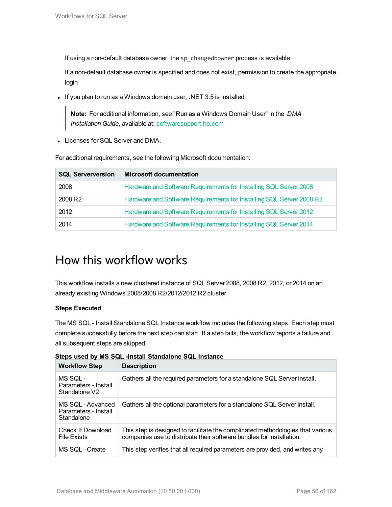If using a non-default database owner, the sp\_changedbowner process is available

If a non-default database owner is specified and does not exist, permission to create the appropriate login

 $\bullet$  If you plan to run as a Windows domain user, .NET 3.5 is installed.

**Note:** For additional information, see "Run as a Windows Domain User" in the *DMA Installation Guide*, available at: [softwaresupport.hp.com](https://softwaresupport.hp.com/)

• Licenses for SQL Server and DMA.

For additional requirements, see the following Microsoft documentation:

| <b>SQL Serverversion</b> | <b>Microsoft documentation</b>                                       |
|--------------------------|----------------------------------------------------------------------|
| 2008                     | Hardware and Software Requirements for Installing SQL Server 2008    |
| 2008 R <sub>2</sub>      | Hardware and Software Requirements for Installing SQL Server 2008 R2 |
| 2012                     | Hardware and Software Requirements for Installing SQL Server 2012    |
| 2014                     | Hardware and Software Requirements for Installing SQL Server 2014    |

# <span id="page-55-0"></span>How this workflow works

This workflow installs a new clustered instance of SQL Server 2008, 2008 R2, 2012, or 2014 on an already existing Windows 2008/2008 R2/2012/2012 R2 cluster.

## **Steps Executed**

The MS SQL - Install Standalone SQL Instance workflow includes the following steps. Each step must complete successfully before the next step can start. If a step fails, the workflow reports a failure and all subsequent steps are skipped.

| <b>Workflow Step</b>                                    | <b>Description</b>                                                                                                                                     |
|---------------------------------------------------------|--------------------------------------------------------------------------------------------------------------------------------------------------------|
| MS SQL -<br>Parameters - Install<br>Standalone V2       | Gathers all the required parameters for a standalone SQL Server install.                                                                               |
| MS SQL - Advanced<br>Parameters - Install<br>Standalone | Gathers all the optional parameters for a standalone SQL Server install.                                                                               |
| Check If Download<br><b>File Exists</b>                 | This step is designed to facilitate the complicated methodologies that various<br>companies use to distribute their software bundles for installation. |
| MS SQL - Create                                         | This step verifies that all required parameters are provided, and writes any                                                                           |

**Steps used by MS SQL -Install Standalone SQL Instance**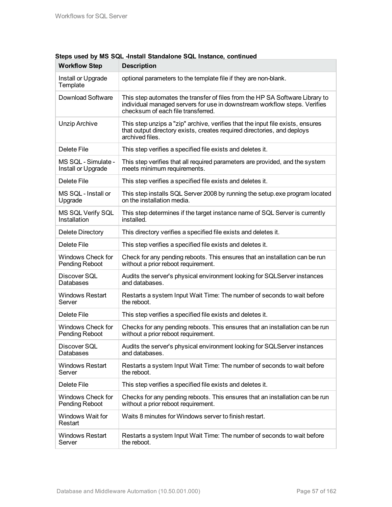| <b>Workflow Step</b>           | <b>Description</b>                                                                                                                                                                              |  |  |  |
|--------------------------------|-------------------------------------------------------------------------------------------------------------------------------------------------------------------------------------------------|--|--|--|
| Install or Upgrade<br>Template | optional parameters to the template file if they are non-blank.                                                                                                                                 |  |  |  |
| Download Software              | This step automates the transfer of files from the HP SA Software Library to<br>individual managed servers for use in downstream workflow steps. Verifies<br>checksum of each file transferred. |  |  |  |
| Unzip Archive                  | This step unzips a "zip" archive, verifies that the input file exists, ensures<br>that output directory exists, creates required directories, and deploys<br>archived files.                    |  |  |  |
| Delete File                    | This step verifies a specified file exists and deletes it.                                                                                                                                      |  |  |  |
| MS SQL - Simulate -            | This step verifies that all required parameters are provided, and the system                                                                                                                    |  |  |  |
| Install or Upgrade             | meets minimum requirements.                                                                                                                                                                     |  |  |  |
| Delete File                    | This step verifies a specified file exists and deletes it.                                                                                                                                      |  |  |  |
| MS SQL - Install or            | This step installs SQL Server 2008 by running the setup.exe program located                                                                                                                     |  |  |  |
| Upgrade                        | on the installation media.                                                                                                                                                                      |  |  |  |
| MS SQL Verify SQL              | This step determines if the target instance name of SQL Server is currently                                                                                                                     |  |  |  |
| Installation                   | installed.                                                                                                                                                                                      |  |  |  |
| Delete Directory               | This directory verifies a specified file exists and deletes it.                                                                                                                                 |  |  |  |
| Delete File                    | This step verifies a specified file exists and deletes it.                                                                                                                                      |  |  |  |
| <b>Windows Check for</b>       | Check for any pending reboots. This ensures that an installation can be run                                                                                                                     |  |  |  |
| Pending Reboot                 | without a prior reboot requirement.                                                                                                                                                             |  |  |  |
| Discover SQL                   | Audits the server's physical environment looking for SQLServer instances                                                                                                                        |  |  |  |
| Databases                      | and databases.                                                                                                                                                                                  |  |  |  |
| <b>Windows Restart</b>         | Restarts a system Input Wait Time: The number of seconds to wait before                                                                                                                         |  |  |  |
| Server                         | the reboot.                                                                                                                                                                                     |  |  |  |
| Delete File                    | This step verifies a specified file exists and deletes it.                                                                                                                                      |  |  |  |
| Windows Check for              | Checks for any pending reboots. This ensures that an installation can be run                                                                                                                    |  |  |  |
| Pending Reboot                 | without a prior reboot requirement.                                                                                                                                                             |  |  |  |
| Discover SQL                   | Audits the server's physical environment looking for SQLServer instances                                                                                                                        |  |  |  |
| Databases                      | and databases.                                                                                                                                                                                  |  |  |  |
| <b>Windows Restart</b>         | Restarts a system Input Wait Time: The number of seconds to wait before                                                                                                                         |  |  |  |
| Server                         | the reboot.                                                                                                                                                                                     |  |  |  |
| Delete File                    | This step verifies a specified file exists and deletes it.                                                                                                                                      |  |  |  |
| Windows Check for              | Checks for any pending reboots. This ensures that an installation can be run                                                                                                                    |  |  |  |
| Pending Reboot                 | without a prior reboot requirement.                                                                                                                                                             |  |  |  |
| Windows Wait for<br>Restart    | Waits 8 minutes for Windows server to finish restart.                                                                                                                                           |  |  |  |
| <b>Windows Restart</b>         | Restarts a system Input Wait Time: The number of seconds to wait before                                                                                                                         |  |  |  |
| Server                         | the reboot.                                                                                                                                                                                     |  |  |  |

**Steps used by MS SQL -Install Standalone SQL Instance, continued**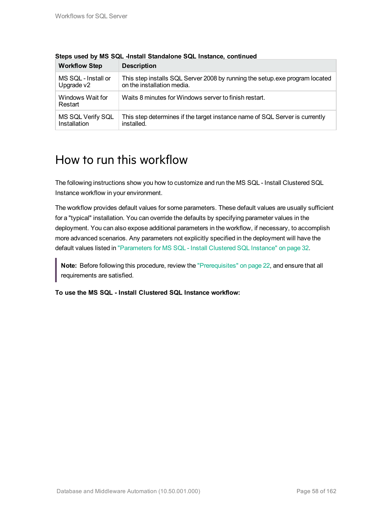| <b>Workflow Step</b>              | <b>Description</b>                                                                                        |
|-----------------------------------|-----------------------------------------------------------------------------------------------------------|
| MS SQL - Install or<br>Upgrade v2 | This step installs SQL Server 2008 by running the setup.exe program located<br>on the installation media. |
| Windows Wait for<br>Restart       | Waits 8 minutes for Windows server to finish restart.                                                     |
| MS SQL Verify SQL<br>Installation | This step determines if the target instance name of SQL Server is currently<br>installed.                 |

## **Steps used by MS SQL -Install Standalone SQL Instance, continued**

# <span id="page-57-0"></span>How to run this workflow

The following instructions show you how to customize and run the MS SQL - Install Clustered SQL Instance workflow in your environment.

The workflow provides default values for some parameters. These default values are usually sufficient for a "typical" installation. You can override the defaults by specifying parameter values in the deployment. You can also expose additional parameters in the workflow, if necessary, to accomplish more advanced scenarios. Any parameters not explicitly specified in the deployment will have the default values listed in ["Parameters](#page-31-0) for MS SQL - Install Clustered SQL Instance" on page 32.

**Note:** Before following this procedure, review the ["Prerequisites"](#page-21-0) on page 22, and ensure that all requirements are satisfied.

**To use the MS SQL - Install Clustered SQL Instance workflow:**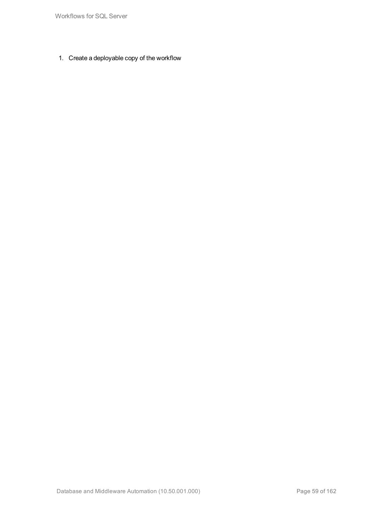1. Create a deployable copy of the workflow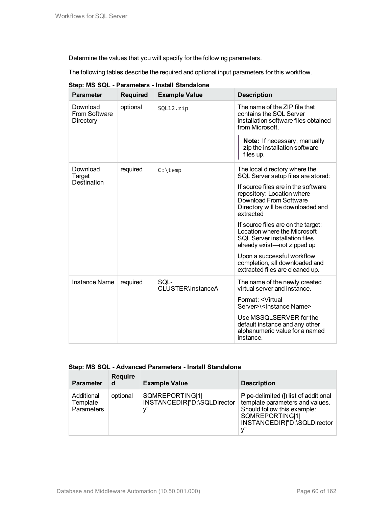Determine the values that you will specify for the following parameters.

The following tables describe the required and optional input parameters for this workflow.

| <b>Parameter</b>                       | <b>Required</b> | <b>Olop.</b> MO OQL - I didinoloro - moldir Oldindarono<br><b>Example Value</b> | <b>Description</b>                                                                                                                                                                                |
|----------------------------------------|-----------------|---------------------------------------------------------------------------------|---------------------------------------------------------------------------------------------------------------------------------------------------------------------------------------------------|
| Download<br>From Software<br>Directory | optional        | SQL12.zip                                                                       | The name of the ZIP file that<br>contains the SQL Server<br>installation software files obtained<br>from Microsoft.<br>Note: If necessary, manually<br>zip the installation software<br>files up. |
| Download<br>Target                     | required        | $C:\text{temp}$                                                                 | The local directory where the<br>SQL Server setup files are stored:                                                                                                                               |
| Destination                            |                 |                                                                                 | If source files are in the software<br>repository: Location where<br>Download From Software<br>Directory will be downloaded and<br>extracted                                                      |
|                                        |                 |                                                                                 | If source files are on the target:<br>Location where the Microsoft<br><b>SQL Server installation files</b><br>already exist-not zipped up                                                         |
|                                        |                 |                                                                                 | Upon a successful workflow<br>completion, all downloaded and<br>extracted files are cleaned up.                                                                                                   |
| <b>Instance Name</b>                   | required        | SQL-<br>CLUSTER\InstanceA                                                       | The name of the newly created<br>virtual server and instance.                                                                                                                                     |
|                                        |                 |                                                                                 | Format: <virtual<br>Server&gt;\<instance name=""></instance></virtual<br>                                                                                                                         |
|                                        |                 |                                                                                 | Use MSSQLSERVER for the<br>default instance and any other<br>alphanumeric value for a named<br>instance.                                                                                          |

**Step: MS SQL - Parameters - Install Standalone**

|  | Step: MS SQL - Advanced Parameters - Install Standalone |  |
|--|---------------------------------------------------------|--|
|  |                                                         |  |

| <b>Parameter</b>                     | Require<br>d | <b>Example Value</b>                                 | <b>Description</b>                                                                                                                                        |
|--------------------------------------|--------------|------------------------------------------------------|-----------------------------------------------------------------------------------------------------------------------------------------------------------|
| Additional<br>Template<br>Parameters | optional     | SQMREPORTING[1]<br>INSTANCEDIR "D:\SQLDirector<br>v" | Pipe-delimited ( ) list of additional<br>template parameters and values.<br>Should follow this example:<br>SQMREPORTING[1]<br>INSTANCEDIR "D:\SQLDirector |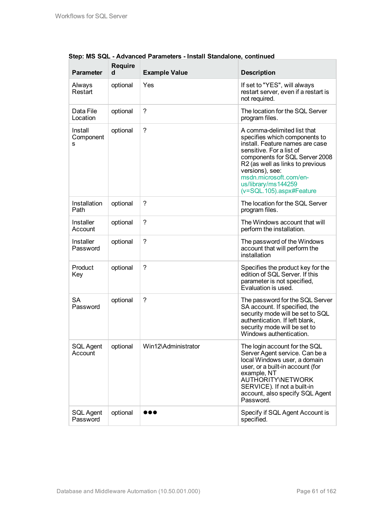| <b>Parameter</b>             | <b>Require</b><br>d | <b>Example Value</b> | <b>Description</b>                                                                                                                                                                                                                                                                                      |
|------------------------------|---------------------|----------------------|---------------------------------------------------------------------------------------------------------------------------------------------------------------------------------------------------------------------------------------------------------------------------------------------------------|
| Always<br>Restart            | optional            | Yes                  | If set to "YES", will always<br>restart server, even if a restart is<br>not required.                                                                                                                                                                                                                   |
| Data File<br>Location        | optional            | $\tilde{?}$          | The location for the SQL Server<br>program files.                                                                                                                                                                                                                                                       |
| Install<br>Component<br>s    | optional            | $\overline{?}$       | A comma-delimited list that<br>specifies which components to<br>install. Feature names are case<br>sensitive. For a list of<br>components for SQL Server 2008<br>R2 (as well as links to previous<br>versions), see:<br>msdn.microsoft.com/en-<br>us/library/ms144259<br>$(v = SQL.105)$ . aspx#Feature |
| Installation<br>Path         | optional            | $\tilde{?}$          | The location for the SQL Server<br>program files.                                                                                                                                                                                                                                                       |
| Installer<br>Account         | optional            | $\overline{?}$       | The Windows account that will<br>perform the installation.                                                                                                                                                                                                                                              |
| Installer<br>Password        | optional            | $\overline{?}$       | The password of the Windows<br>account that will perform the<br>installation                                                                                                                                                                                                                            |
| Product<br>Key               | optional            | $\tilde{?}$          | Specifies the product key for the<br>edition of SQL Server. If this<br>parameter is not specified,<br>Evaluation is used.                                                                                                                                                                               |
| <b>SA</b><br>Password        | optional            | $\tilde{?}$          | The password for the SQL Server<br>SA account. If specified, the<br>security mode will be set to SQL<br>authentication. If left blank,<br>security mode will be set to<br>Windows authentication.                                                                                                       |
| <b>SQL Agent</b><br>Account  | optional            | Win12\Administrator  | The login account for the SQL<br>Server Agent service. Can be a<br>local Windows user, a domain<br>user, or a built-in account (for<br>example, NT<br>AUTHORITY\NETWORK<br>SERVICE). If not a built-in<br>account, also specify SQL Agent<br>Password.                                                  |
| <b>SQL Agent</b><br>Password | optional            |                      | Specify if SQL Agent Account is<br>specified.                                                                                                                                                                                                                                                           |

# **Step: MS SQL - Advanced Parameters - Install Standalone, continued**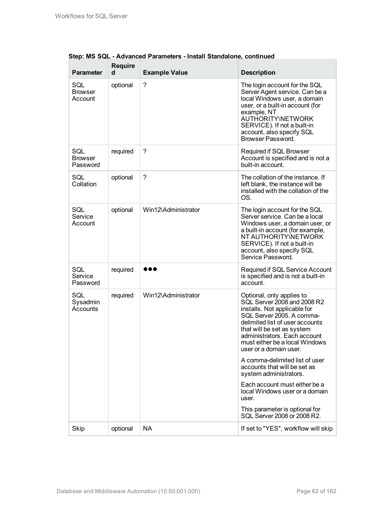| <b>Parameter</b>                  | <b>Require</b><br>d | <b>Example Value</b> | <b>Description</b>                                                                                                                                                                                                                                                                                                                                                                                              |
|-----------------------------------|---------------------|----------------------|-----------------------------------------------------------------------------------------------------------------------------------------------------------------------------------------------------------------------------------------------------------------------------------------------------------------------------------------------------------------------------------------------------------------|
| SQL<br><b>Browser</b><br>Account  | optional            | ?                    | The login account for the SQL<br>Server Agent service. Can be a<br>local Windows user, a domain<br>user, or a built-in account (for<br>example, NT<br>AUTHORITY\NETWORK<br>SERVICE). If not a built-in<br>account, also specify SQL<br>Browser Password.                                                                                                                                                        |
| SQL<br><b>Browser</b><br>Password | required            | ?                    | Required if SQL Browser<br>Account is specified and is not a<br>built-in account.                                                                                                                                                                                                                                                                                                                               |
| SQL<br>Collation                  | optional            | $\tilde{?}$          | The collation of the instance. If<br>left blank, the instance will be<br>installed with the collation of the<br>OS.                                                                                                                                                                                                                                                                                             |
| SQL<br>Service<br>Account         | optional            | Win12\Administrator  | The login account for the SQL<br>Server service. Can be a local<br>Windows user, a domain user, or<br>a built-in account (for example,<br>NT AUTHORITY NETWORK<br>SERVICE). If not a built-in<br>account, also specify SQL<br>Service Password.                                                                                                                                                                 |
| SQL<br>Service<br>Password        | required            |                      | Required if SQL Service Account<br>is specified and is not a built-in<br>account.                                                                                                                                                                                                                                                                                                                               |
| SQL<br>Sysadmin<br>Accounts       | required            | Win12\Administrator  | Optional, only applies to<br>SQL Server 2008 and 2008 R2<br>installs. Not applicable for<br>SQL Server 2005. A comma-<br>delimited list of user accounts<br>that will be set as system<br>administrators. Each account<br>must either be a local Windows<br>user or a domain user.<br>A comma-delimited list of user<br>accounts that will be set as<br>system administrators.<br>Each account must either be a |
|                                   |                     |                      | local Windows user or a domain<br>user.                                                                                                                                                                                                                                                                                                                                                                         |
|                                   |                     |                      | This parameter is optional for<br>SQL Server 2008 or 2008 R2.                                                                                                                                                                                                                                                                                                                                                   |
| <b>Skip</b>                       | optional            | <b>NA</b>            | If set to "YES", workflow will skip                                                                                                                                                                                                                                                                                                                                                                             |

## **Step: MS SQL - Advanced Parameters - Install Standalone, continued**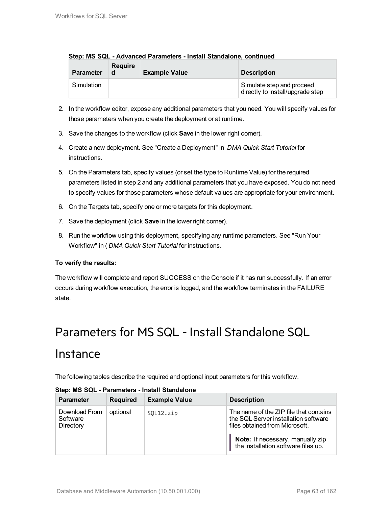| <b>Parameter</b> | Require<br>d | <b>Example Value</b> | <b>Description</b>                                            |
|------------------|--------------|----------------------|---------------------------------------------------------------|
| Simulation       |              |                      | Simulate step and proceed<br>directly to install/upgrade step |

## **Step: MS SQL - Advanced Parameters - Install Standalone, continued**

- 2. In the workflow editor, expose any additional parameters that you need. You will specify values for those parameters when you create the deployment or at runtime.
- 3. Save the changes to the workflow (click **Save** in the lower right corner).
- 4. Create a new deployment. See "Create a Deployment" in *DMA Quick Start Tutorial* for instructions.
- 5. On the Parameters tab, specify values (or set the type to Runtime Value) for the required parameters listed in step 2 and any additional parameters that you have exposed. You do not need to specify values for those parameters whose default values are appropriate for your environment.
- 6. On the Targets tab, specify one or more targets for this deployment.
- 7. Save the deployment (click **Save** in the lower right corner).
- 8. Run the workflow using this deployment, specifying any runtime parameters. See "Run Your Workflow" in ( *DMA Quick Start Tutorial* for instructions.

## **To verify the results:**

The workflow will complete and report SUCCESS on the Console if it has run successfully. If an error occurs during workflow execution, the error is logged, and the workflow terminates in the FAILURE state.

# <span id="page-62-0"></span>Parameters for MS SQL - Install Standalone SQL

# Instance

The following tables describe the required and optional input parameters for this workflow.

| <b>Parameter</b>                       | <b>Required</b> | <b>Example Value</b> | <b>Description</b>                                                                                                                                                                          |
|----------------------------------------|-----------------|----------------------|---------------------------------------------------------------------------------------------------------------------------------------------------------------------------------------------|
| Download From<br>Software<br>Directory | optional        | SQL12.zip            | The name of the ZIP file that contains<br>the SQL Server installation software<br>files obtained from Microsoft.<br>Note: If necessary, manually zip<br>the installation software files up. |

**Step: MS SQL - Parameters - Install Standalone**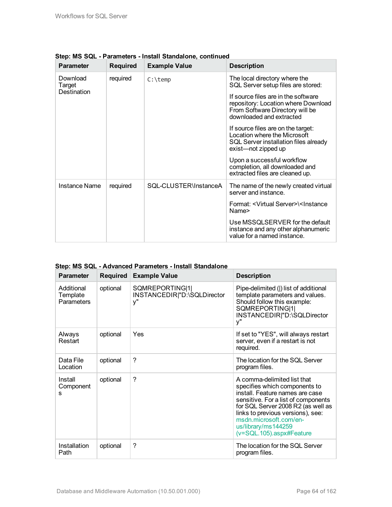| <b>Parameter</b>                  | <b>Required</b> | <b>Example Value</b>  | <b>Description</b>                                                                                                                        |
|-----------------------------------|-----------------|-----------------------|-------------------------------------------------------------------------------------------------------------------------------------------|
| Download<br>Target<br>Destination | required        | $C:\text{temp}$       | The local directory where the<br>SQL Server setup files are stored:                                                                       |
|                                   |                 |                       | If source files are in the software<br>repository: Location where Download<br>From Software Directory will be<br>downloaded and extracted |
|                                   |                 |                       | If source files are on the target:<br>Location where the Microsoft<br>SQL Server installation files already<br>exist—not zipped up        |
|                                   |                 |                       | Upon a successful workflow<br>completion, all downloaded and<br>extracted files are cleaned up.                                           |
| Instance Name                     | required        | SQL-CLUSTER\InstanceA | The name of the newly created virtual<br>server and instance.                                                                             |
|                                   |                 |                       | Format: <virtual server="">\<instance<br>Name&gt;</instance<br></virtual>                                                                 |
|                                   |                 |                       | Use MSSQLSERVER for the default<br>instance and any other alphanumeric<br>value for a named instance.                                     |

**Step: MS SQL - Parameters - Install Standalone, continued**

| Step: MS SQL - Advanced Parameters - Install Standalone |  |  |  |  |  |  |  |
|---------------------------------------------------------|--|--|--|--|--|--|--|
|---------------------------------------------------------|--|--|--|--|--|--|--|

| <b>Parameter</b>                     | <b>Required</b> | <b>Example Value</b>                                 | <b>Description</b>                                                                                                                                                                                                                                                                                   |
|--------------------------------------|-----------------|------------------------------------------------------|------------------------------------------------------------------------------------------------------------------------------------------------------------------------------------------------------------------------------------------------------------------------------------------------------|
| Additional<br>Template<br>Parameters | optional        | SQMREPORTING[1]<br>INSTANCEDIR "D:\SQLDirector<br>у" | Pipe-delimited ( ) list of additional<br>template parameters and values.<br>Should follow this example:<br>SQMREPORTING[1]<br>INSTANCEDIR "D:\SQLDirector<br>y"                                                                                                                                      |
| Always<br>Restart                    | optional        | Yes                                                  | If set to "YES", will always restart<br>server, even if a restart is not<br>required.                                                                                                                                                                                                                |
| Data File<br>Location                | optional        | ?                                                    | The location for the SQL Server<br>program files.                                                                                                                                                                                                                                                    |
| Install<br>Component<br>s            | optional        | ?                                                    | A comma-delimited list that<br>specifies which components to<br>install. Feature names are case<br>sensitive. For a list of components<br>for SQL Server 2008 R2 (as well as<br>links to previous versions), see:<br>msdn.microsoft.com/en-<br>us/library/ms144259<br>$(v = SQL.105)$ . aspx#Feature |
| Installation<br>Path                 | optional        | $\overline{\phantom{0}}$                             | The location for the SQL Server<br>program files.                                                                                                                                                                                                                                                    |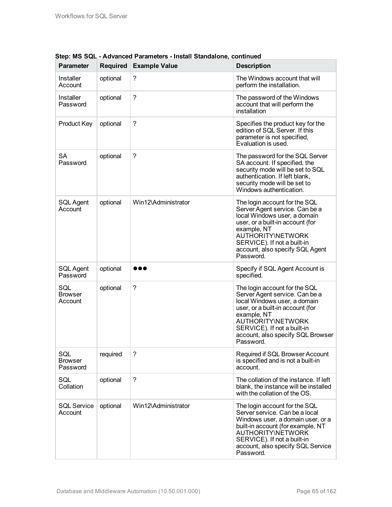| <b>Parameter</b>                  | <b>Required</b> | <b>Example Value</b>     | <b>Description</b>                                                                                                                                                                                                                                       |
|-----------------------------------|-----------------|--------------------------|----------------------------------------------------------------------------------------------------------------------------------------------------------------------------------------------------------------------------------------------------------|
| Installer<br>Account              | optional        | $\overline{\phantom{0}}$ | The Windows account that will<br>perform the installation.                                                                                                                                                                                               |
| Installer<br>Password             | optional        | $\gamma$                 | The password of the Windows<br>account that will perform the<br>installation                                                                                                                                                                             |
| Product Key                       | optional        | $\overline{\phantom{0}}$ | Specifies the product key for the<br>edition of SQL Server. If this<br>parameter is not specified,<br>Evaluation is used.                                                                                                                                |
| <b>SA</b><br>Password             | optional        | $\overline{?}$           | The password for the SQL Server<br>SA account. If specified, the<br>security mode will be set to SQL<br>authentication. If left blank,<br>security mode will be set to<br>Windows authentication.                                                        |
| <b>SQL Agent</b><br>Account       | optional        | Win12\Administrator      | The login account for the SQL<br>Server Agent service. Can be a<br>local Windows user, a domain<br>user, or a built-in account (for<br>example, NT<br>AUTHORITY\NETWORK<br>SERVICE). If not a built-in<br>account, also specify SQL Agent<br>Password.   |
| <b>SQL Agent</b><br>Password      | optional        |                          | Specify if SQL Agent Account is<br>specified.                                                                                                                                                                                                            |
| SQL<br><b>Browser</b><br>Account  | optional        | $\overline{?}$           | The login account for the SQL<br>Server Agent service. Can be a<br>local Windows user, a domain<br>user, or a built-in account (for<br>example, NT<br>AUTHORITY\NETWORK<br>SERVICE). If not a built-in<br>account, also specify SQL Browser<br>Password. |
| SQL<br><b>Browser</b><br>Password | required        | ?                        | Required if SQL Browser Account<br>is specified and is not a built-in<br>account.                                                                                                                                                                        |
| SQL<br>Collation                  | optional        | ?                        | The collation of the instance. If left<br>blank, the instance will be installed<br>with the collation of the OS.                                                                                                                                         |
| <b>SQL Service</b><br>Account     | optional        | Win12\Administrator      | The login account for the SQL<br>Server service. Can be a local<br>Windows user, a domain user, or a<br>built-in account (for example, NT<br>AUTHORITY\NETWORK<br>SERVICE). If not a built-in<br>account, also specify SQL Service<br>Password.          |

**Step: MS SQL - Advanced Parameters - Install Standalone, continued**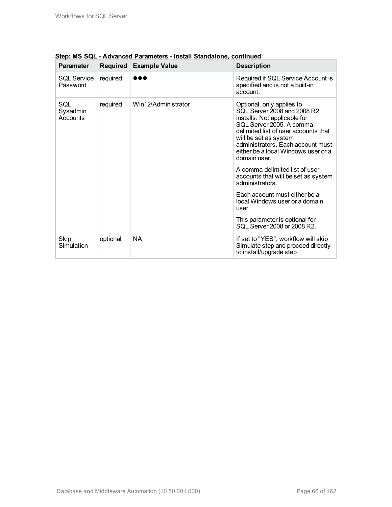| <b>Parameter</b>               | Required | <b>Example Value</b> | <b>Description</b>                                                                                                                                                                                                                                                                                                                                                                                                                                                                                                         |
|--------------------------------|----------|----------------------|----------------------------------------------------------------------------------------------------------------------------------------------------------------------------------------------------------------------------------------------------------------------------------------------------------------------------------------------------------------------------------------------------------------------------------------------------------------------------------------------------------------------------|
| <b>SQL Service</b><br>Password | required | D A                  | Required if SQL Service Account is<br>specified and is not a built-in<br>account.                                                                                                                                                                                                                                                                                                                                                                                                                                          |
| SQL<br>Sysadmin<br>Accounts    | required | Win12\Administrator  | Optional, only applies to<br>SQL Server 2008 and 2008 R2<br>installs. Not applicable for<br>SQL Server 2005. A comma-<br>delimited list of user accounts that<br>will be set as system<br>administrators. Each account must<br>either be a local Windows user or a<br>domain user.<br>A comma-delimited list of user<br>accounts that will be set as system<br>administrators<br>Each account must either be a<br>local Windows user or a domain<br>user.<br>This parameter is optional for<br>SQL Server 2008 or 2008 R2. |
| Skip<br>Simulation             | optional | <b>NA</b>            | If set to "YES", workflow will skip<br>Simulate step and proceed directly<br>to install/upgrade step                                                                                                                                                                                                                                                                                                                                                                                                                       |

**Step: MS SQL - Advanced Parameters - Install Standalone, continued**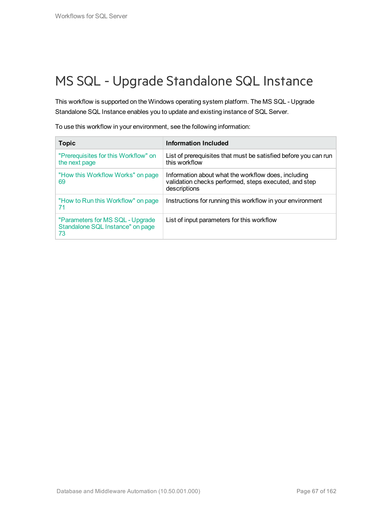# MS SQL - Upgrade Standalone SQL Instance

This workflow is supported on the Windows operating system platform. The MS SQL - Upgrade Standalone SQL Instance enables you to update and existing instance of SQL Server.

To use this workflow in your environment, see the following information:

| <b>Topic</b>                                                               | Information Included                                                                                                         |
|----------------------------------------------------------------------------|------------------------------------------------------------------------------------------------------------------------------|
| "Prerequisites for this Workflow" on<br>the next page                      | List of prerequisites that must be satisfied before you can run<br>this workflow                                             |
| "How this Workflow Works" on page<br>69                                    | Information about what the workflow does, including<br>validation checks performed, steps executed, and step<br>descriptions |
| "How to Run this Workflow" on page<br>71                                   | Instructions for running this workflow in your environment                                                                   |
| "Parameters for MS SQL - Upgrade<br>Standalone SQL Instance" on page<br>73 | List of input parameters for this workflow                                                                                   |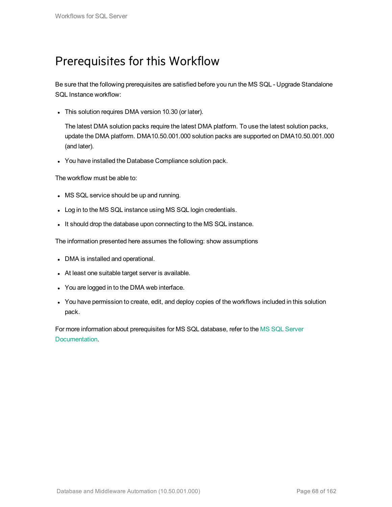# <span id="page-67-0"></span>Prerequisites for this Workflow

Be sure that the following prerequisites are satisfied before you run the MS SQL - Upgrade Standalone SQL Instance workflow:

• This solution requires DMA version 10.30 (or later).

The latest DMA solution packs require the latest DMA platform. To use the latest solution packs, update the DMA platform. DMA10.50.001.000 solution packs are supported on DMA10.50.001.000 (and later).

• You have installed the Database Compliance solution pack.

The workflow must be able to:

- MS SQL service should be up and running.
- Log in to the MS SQL instance using MS SQL login credentials.
- It should drop the database upon connecting to the MS SQL instance.

The information presented here assumes the following: show assumptions

- DMA is installed and operational.
- At least one suitable target server is available.
- You are logged in to the DMA web interface.
- You have permission to create, edit, and deploy copies of the workflows included in this solution pack.

For more information about prerequisites for MS SQL database, refer to the [MS SQL Server](https://msdn.microsoft.com/en-us/library/bb545450.aspx) [Documentation](https://msdn.microsoft.com/en-us/library/bb545450.aspx).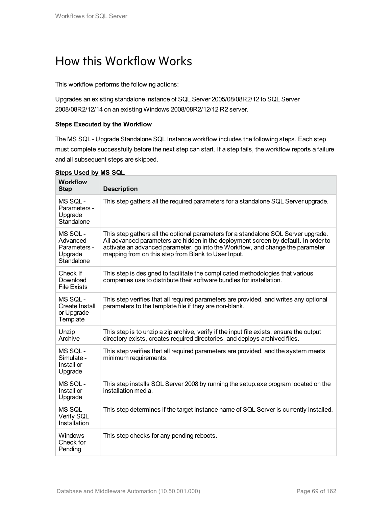# <span id="page-68-0"></span>How this Workflow Works

This workflow performs the following actions:

Upgrades an existing standalone instance of SQL Server 2005/08/08R2/12 to SQL Server 2008/08R2/12/14 on an existing Windows 2008/08R2/12/12 R2 server.

### **Steps Executed by the Workflow**

The MS SQL - Upgrade Standalone SQL Instance workflow includes the following steps. Each step must complete successfully before the next step can start. If a step fails, the workflow reports a failure and all subsequent steps are skipped.

| <b>Workflow</b><br><b>Step</b>                                | <b>Description</b>                                                                                                                                                                                                                                                                                                 |
|---------------------------------------------------------------|--------------------------------------------------------------------------------------------------------------------------------------------------------------------------------------------------------------------------------------------------------------------------------------------------------------------|
| MS SQL -<br>Parameters -<br>Upgrade<br>Standalone             | This step gathers all the required parameters for a standalone SQL Server upgrade.                                                                                                                                                                                                                                 |
| MS SQL -<br>Advanced<br>Parameters -<br>Upgrade<br>Standalone | This step gathers all the optional parameters for a standalone SQL Server upgrade.<br>All advanced parameters are hidden in the deployment screen by default. In order to<br>activate an advanced parameter, go into the Workflow, and change the parameter<br>mapping from on this step from Blank to User Input. |
| Check If<br>Download<br><b>File Exists</b>                    | This step is designed to facilitate the complicated methodologies that various<br>companies use to distribute their software bundles for installation.                                                                                                                                                             |
| MS SQL -<br><b>Create Install</b><br>or Upgrade<br>Template   | This step verifies that all required parameters are provided, and writes any optional<br>parameters to the template file if they are non-blank.                                                                                                                                                                    |
| Unzip<br>Archive                                              | This step is to unzip a zip archive, verify if the input file exists, ensure the output<br>directory exists, creates required directories, and deploys archived files.                                                                                                                                             |
| MS SQL -<br>Simulate -<br>Install or<br>Upgrade               | This step verifies that all required parameters are provided, and the system meets<br>minimum requirements.                                                                                                                                                                                                        |
| MS SQL -<br>Install or<br>Upgrade                             | This step installs SQL Server 2008 by running the setup.exe program located on the<br>installation media.                                                                                                                                                                                                          |
| MS SQL<br>Verify SQL<br>Installation                          | This step determines if the target instance name of SQL Server is currently installed.                                                                                                                                                                                                                             |
| Windows<br>Check for<br>Pending                               | This step checks for any pending reboots.                                                                                                                                                                                                                                                                          |

**Steps Used by MS SQL**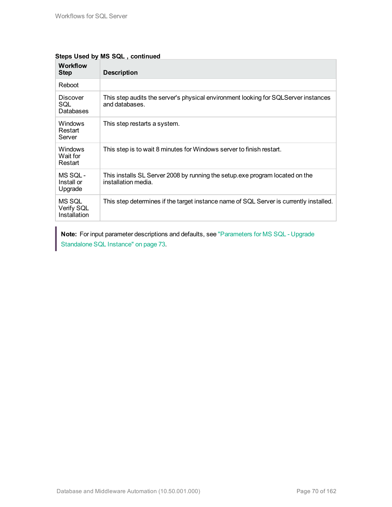| <b>Workflow</b><br><b>Step</b>        | <b>Description</b>                                                                                   |
|---------------------------------------|------------------------------------------------------------------------------------------------------|
| Reboot                                |                                                                                                      |
| Discover<br>SQL.<br>Databases         | This step audits the server's physical environment looking for SQLServer instances<br>and databases. |
| <b>Windows</b><br>Restart<br>Server   | This step restarts a system.                                                                         |
| <b>Windows</b><br>Wait for<br>Restart | This step is to wait 8 minutes for Windows server to finish restart.                                 |
| MS SQL -<br>Install or<br>Upgrade     | This installs SL Server 2008 by running the setup.exe program located on the<br>installation media.  |
| MS SQL<br>Verify SQL<br>Installation  | This step determines if the target instance name of SQL Server is currently installed.               |

## **Steps Used by MS SQL , continued**

**Note:** For input parameter descriptions and defaults, see ["Parameters](#page-72-0) for MS SQL - Upgrade [Standalone](#page-72-0) SQL Instance" on page 73.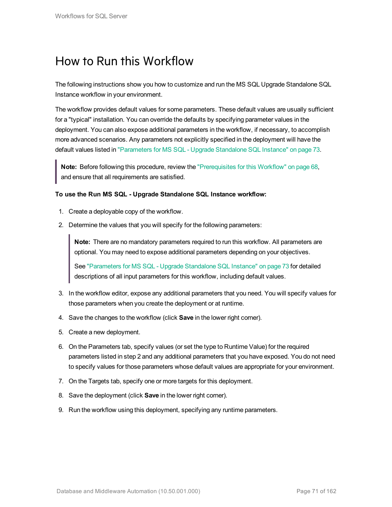# <span id="page-70-0"></span>How to Run this Workflow

The following instructions show you how to customize and run the MS SQL Upgrade Standalone SQL Instance workflow in your environment.

The workflow provides default values for some parameters. These default values are usually sufficient for a "typical" installation. You can override the defaults by specifying parameter values in the deployment. You can also expose additional parameters in the workflow, if necessary, to accomplish more advanced scenarios. Any parameters not explicitly specified in the deployment will have the default values listed in ["Parameters](#page-72-0) for MS SQL - Upgrade Standalone SQL Instance" on page 73.

**Note:** Before following this procedure, review the ["Prerequisites](#page-67-0) for this Workflow" on page 68, and ensure that all requirements are satisfied.

### **To use the Run MS SQL - Upgrade Standalone SQL Instance workflow:**

- 1. Create a deployable copy of the workflow.
- 2. Determine the values that you will specify for the following parameters:

**Note:** There are no mandatory parameters required to run this workflow. All parameters are optional. You may need to expose additional parameters depending on your objectives.

See ["Parameters](#page-72-0) for MS SQL - Upgrade Standalone SQL Instance" on page 73 for detailed descriptions of all input parameters for this workflow, including default values.

- 3. In the workflow editor, expose any additional parameters that you need. You will specify values for those parameters when you create the deployment or at runtime.
- 4. Save the changes to the workflow (click **Save** in the lower right corner).
- 5. Create a new deployment.
- 6. On the Parameters tab, specify values (or set the type to Runtime Value) for the required parameters listed in step 2 and any additional parameters that you have exposed. You do not need to specify values for those parameters whose default values are appropriate for your environment.
- 7. On the Targets tab, specify one or more targets for this deployment.
- 8. Save the deployment (click **Save** in the lower right corner).
- 9. Run the workflow using this deployment, specifying any runtime parameters.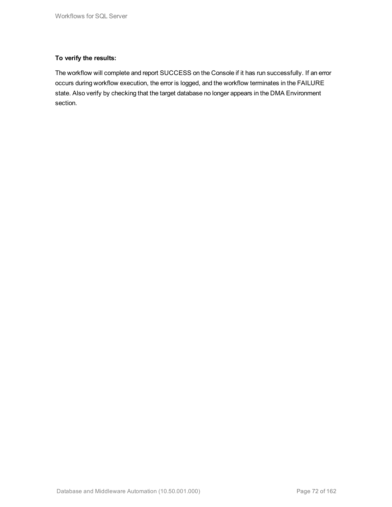### **To verify the results:**

The workflow will complete and report SUCCESS on the Console if it has run successfully. If an error occurs during workflow execution, the error is logged, and the workflow terminates in the FAILURE state. Also verify by checking that the target database no longer appears in the DMA Environment section.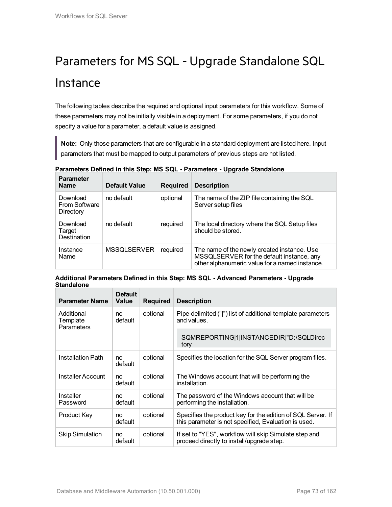# Parameters for MS SQL - Upgrade Standalone SQL Instance

The following tables describe the required and optional input parameters for this workflow. Some of these parameters may not be initially visible in a deployment. For some parameters, if you do not specify a value for a parameter, a default value is assigned.

**Note:** Only those parameters that are configurable in a standard deployment are listed here. Input parameters that must be mapped to output parameters of previous steps are not listed.

| <b>Parameter</b><br><b>Name</b>        | <b>Default Value</b> | <b>Required</b> | <b>Description</b>                                                                                                                         |
|----------------------------------------|----------------------|-----------------|--------------------------------------------------------------------------------------------------------------------------------------------|
| Download<br>From Software<br>Directory | no default           | optional        | The name of the ZIP file containing the SQL<br>Server setup files                                                                          |
| Download<br>Target<br>Destination      | no default           | required        | The local directory where the SQL Setup files<br>should be stored.                                                                         |
| Instance<br>Name                       | <b>MSSQLSERVER</b>   | required        | The name of the newly created instance. Use<br>MSSQLSERVER for the default instance, any<br>other alphanumeric value for a named instance. |

**Parameters Defined in this Step: MS SQL - Parameters - Upgrade Standalone**

#### **Additional Parameters Defined in this Step: MS SQL - Advanced Parameters - Upgrade Standalone**

| <b>Parameter Name</b>                | <b>Default</b><br>Value | Required | <b>Description</b>                                                                                                  |
|--------------------------------------|-------------------------|----------|---------------------------------------------------------------------------------------------------------------------|
| Additional<br>Template<br>Parameters | no<br>default           | optional | Pipe-delimited (" ") list of additional template parameters<br>and values.                                          |
|                                      |                         |          | SQMREPORTING 1 INSTANCEDIR "D:\SQLDirec<br>tory                                                                     |
| Installation Path                    | no<br>default           | optional | Specifies the location for the SQL Server program files.                                                            |
| Installer Account                    | no<br>default           | optional | The Windows account that will be performing the<br>installation.                                                    |
| Installer<br>Password                | no<br>default           | optional | The password of the Windows account that will be<br>performing the installation.                                    |
| Product Key                          | no<br>default           | optional | Specifies the product key for the edition of SQL Server. If<br>this parameter is not specified, Evaluation is used. |
| <b>Skip Simulation</b>               | no<br>default           | optional | If set to "YES", workflow will skip Simulate step and<br>proceed directly to install/upgrade step.                  |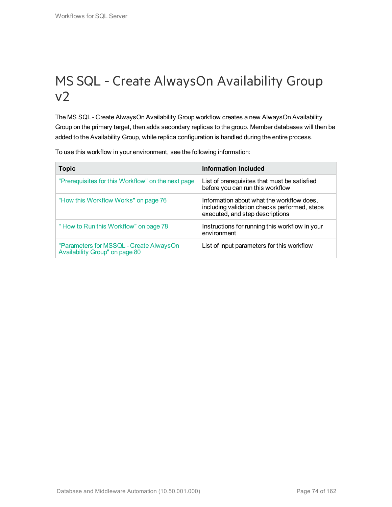# MS SQL - Create AlwaysOn Availability Group v2

The MS SQL - Create AlwaysOn Availability Group workflow creates a new AlwaysOn Availability Group on the primary target, then adds secondary replicas to the group. Member databases will then be added to the Availability Group, while replica configuration is handled during the entire process.

To use this workflow in your environment, see the following information:

| Topic                                                                     | Information Included                                                                                                         |
|---------------------------------------------------------------------------|------------------------------------------------------------------------------------------------------------------------------|
| "Prerequisites for this Workflow" on the next page                        | List of prerequisites that must be satisfied<br>before you can run this workflow                                             |
| "How this Workflow Works" on page 76                                      | Information about what the workflow does,<br>including validation checks performed, steps<br>executed, and step descriptions |
| "How to Run this Workflow" on page 78                                     | Instructions for running this workflow in your<br>environment                                                                |
| "Parameters for MSSQL - Create AlwaysOn<br>Availability Group" on page 80 | List of input parameters for this workflow                                                                                   |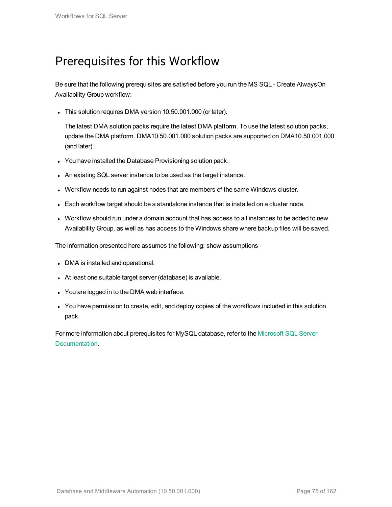### <span id="page-74-0"></span>Prerequisites for this Workflow

Be sure that the following prerequisites are satisfied before you run the MS SQL - Create AlwaysOn Availability Group workflow:

This solution requires DMA version 10.50.001.000 (or later).

The latest DMA solution packs require the latest DMA platform. To use the latest solution packs, update the DMA platform. DMA10.50.001.000 solution packs are supported on DMA10.50.001.000 (and later).

- You have installed the Database Provisioning solution pack.
- An existing SQL server instance to be used as the target instance.
- Workflow needs to run against nodes that are members of the same Windows cluster.
- Each workflow target should be a standalone instance that is installed on a cluster node.
- Workflow should run under a domain account that has access to all instances to be added to new Availability Group, as well as has access to the Windows share where backup files will be saved.

The information presented here assumes the following: show assumptions

- DMA is installed and operational.
- At least one suitable target server (database) is available.
- You are logged in to the DMA web interface.
- You have permission to create, edit, and deploy copies of the workflows included in this solution pack.

For more information about prerequisites for MySQL database, refer to the [Microsoft SQL Server](http://msdn.microsoft.com/en-us/library) [Documentation](http://msdn.microsoft.com/en-us/library).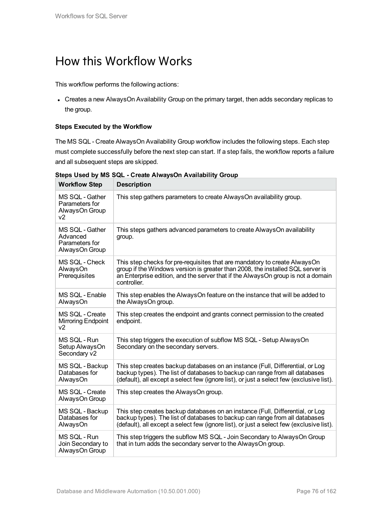## <span id="page-75-0"></span>How this Workflow Works

This workflow performs the following actions:

• Creates a new AlwaysOn Availability Group on the primary target, then adds secondary replicas to the group.

#### **Steps Executed by the Workflow**

The MS SQL - Create AlwaysOn Availability Group workflow includes the following steps. Each step must complete successfully before the next step can start. If a step fails, the workflow reports a failure and all subsequent steps are skipped.

| <b>Workflow Step</b>                                            | <b>Description</b>                                                                                                                                                                                                                                             |
|-----------------------------------------------------------------|----------------------------------------------------------------------------------------------------------------------------------------------------------------------------------------------------------------------------------------------------------------|
| MS SQL - Gather<br>Parameters for<br>AlwaysOn Group<br>ν2       | This step gathers parameters to create AlwaysOn availability group.                                                                                                                                                                                            |
| MS SQL - Gather<br>Advanced<br>Parameters for<br>AlwaysOn Group | This steps gathers advanced parameters to create AlwaysOn availability<br>group.                                                                                                                                                                               |
| MS SQL - Check<br>AlwaysOn<br>Prerequisites                     | This step checks for pre-requisites that are mandatory to create AlwaysOn<br>group if the Windows version is greater than 2008, the installed SQL server is<br>an Enterprise edition, and the server that if the AlwaysOn group is not a domain<br>controller. |
| MS SQL - Enable<br>AlwaysOn                                     | This step enables the AlwaysOn feature on the instance that will be added to<br>the AlwaysOn group.                                                                                                                                                            |
| MS SQL - Create<br>Mirroring Endpoint<br>ν2                     | This step creates the endpoint and grants connect permission to the created<br>endpoint.                                                                                                                                                                       |
| MS SQL - Run<br>Setup AlwaysOn<br>Secondary v2                  | This step triggers the execution of subflow MS SQL - Setup AlwaysOn<br>Secondary on the secondary servers.                                                                                                                                                     |
| MS SQL - Backup<br>Databases for<br>AlwaysOn                    | This step creates backup databases on an instance (Full, Differential, or Log<br>backup types). The list of databases to backup can range from all databases<br>(default), all except a select few (ignore list), or just a select few (exclusive list).       |
| MS SQL - Create<br>AlwaysOn Group                               | This step creates the AlwaysOn group.                                                                                                                                                                                                                          |
| MS SQL - Backup<br>Databases for<br>AlwaysOn                    | This step creates backup databases on an instance (Full, Differential, or Log<br>backup types). The list of databases to backup can range from all databases<br>(default), all except a select few (ignore list), or just a select few (exclusive list).       |
| MS SQL - Run<br>Join Secondary to<br>AlwaysOn Group             | This step triggers the subflow MS SQL - Join Secondary to AlwaysOn Group<br>that in turn adds the secondary server to the AlwaysOn group.                                                                                                                      |

**Steps Used by MS SQL - Create AlwaysOn Availability Group**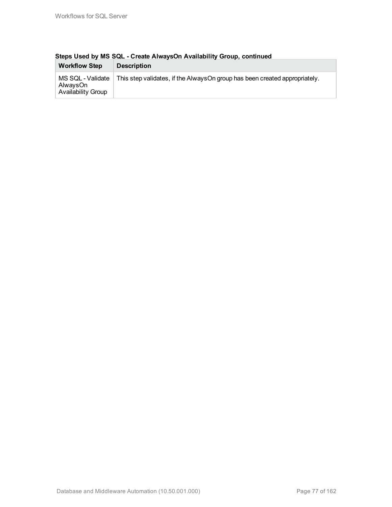| <b>Workflow Step</b>                                       | <b>Description</b>                                                         |
|------------------------------------------------------------|----------------------------------------------------------------------------|
| MS SQL - Validate<br>AlwaysOn<br><b>Availability Group</b> | This step validates, if the AlwaysOn group has been created appropriately. |

| Steps Used by MS SQL - Create AlwaysOn Availability Group, continued |  |  |  |
|----------------------------------------------------------------------|--|--|--|
|                                                                      |  |  |  |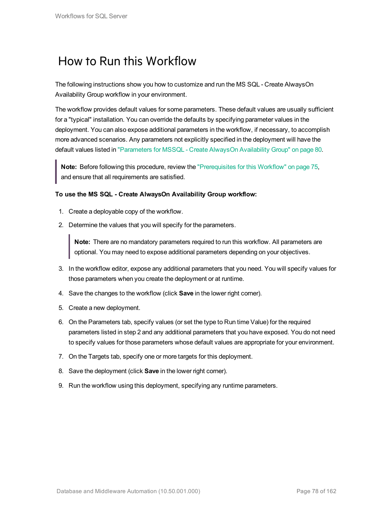## <span id="page-77-0"></span>How to Run this Workflow

The following instructions show you how to customize and run the MS SQL - Create AlwaysOn Availability Group workflow in your environment.

The workflow provides default values for some parameters. These default values are usually sufficient for a "typical" installation. You can override the defaults by specifying parameter values in the deployment. You can also expose additional parameters in the workflow, if necessary, to accomplish more advanced scenarios. Any parameters not explicitly specified in the deployment will have the default values listed in ["Parameters](#page-79-0) for MSSQL - Create AlwaysOn Availability Group" on page 80.

**Note:** Before following this procedure, review the ["Prerequisites](#page-74-0) for this Workflow" on page 75, and ensure that all requirements are satisfied.

#### **To use the MS SQL - Create AlwaysOn Availability Group workflow:**

- 1. Create a deployable copy of the workflow.
- 2. Determine the values that you will specify for the parameters.

**Note:** There are no mandatory parameters required to run this workflow. All parameters are optional. You may need to expose additional parameters depending on your objectives.

- 3. In the workflow editor, expose any additional parameters that you need. You will specify values for those parameters when you create the deployment or at runtime.
- 4. Save the changes to the workflow (click **Save** in the lower right corner).
- 5. Create a new deployment.
- 6. On the Parameters tab, specify values (or set the type to Run time Value) for the required parameters listed in step 2 and any additional parameters that you have exposed. You do not need to specify values for those parameters whose default values are appropriate for your environment.
- 7. On the Targets tab, specify one or more targets for this deployment.
- 8. Save the deployment (click **Save** in the lower right corner).
- 9. Run the workflow using this deployment, specifying any runtime parameters.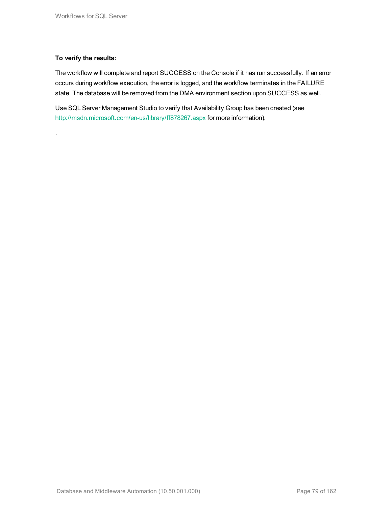#### **To verify the results:**

.

The workflow will complete and report SUCCESS on the Console if it has run successfully. If an error occurs during workflow execution, the error is logged, and the workflow terminates in the FAILURE state. The database will be removed from the DMA environment section upon SUCCESS as well.

Use SQL Server Management Studio to verify that Availability Group has been created (see <http://msdn.microsoft.com/en-us/library/ff878267.aspx> for more information).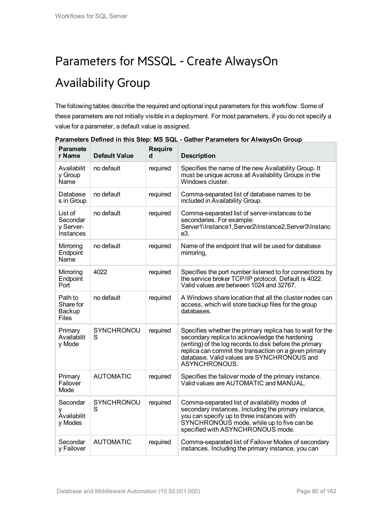# <span id="page-79-0"></span>Parameters for MSSQL - Create AlwaysOn Availability Group

The following tables describe the required and optional input parameters for this workflow. Some of these parameters are not initially visible in a deployment. For most parameters, if you do not specify a value for a parameter, a default value is assigned.

| <b>Paramete</b><br>r Name                     | <b>Default Value</b> | <b>Require</b><br>d | <b>Description</b>                                                                                                                                                                                                                                                                             |
|-----------------------------------------------|----------------------|---------------------|------------------------------------------------------------------------------------------------------------------------------------------------------------------------------------------------------------------------------------------------------------------------------------------------|
| Availabilit<br>y Group<br>Name                | no default           | required            | Specifies the name of the new Availability Group. It<br>must be unique across all Availability Groups in the<br>Windows cluster.                                                                                                                                                               |
| Database<br>s in Group                        | no default           | required            | Comma-separated list of database names to be<br>included in Availability Group.                                                                                                                                                                                                                |
| List of<br>Secondar<br>y Server-<br>Instances | no default           | required            | Comma-separated list of server-instances to be<br>secondaries. For example:<br>Server1\Instance1,Server2\Instance2,Server3\Instanc<br>e3.                                                                                                                                                      |
| Mirroring<br>Endpoint<br>Name                 | no default           | required            | Name of the endpoint that will be used for database<br>mirroring,                                                                                                                                                                                                                              |
| Mirroring<br>Endpoint<br>Port                 | 4022                 | required            | Specifies the port number listened to for connections by<br>the service broker TCP/IP protocol. Default is 4022.<br>Valid values are between 1024 and 32767.                                                                                                                                   |
| Path to<br>Share for<br>Backup<br>Files       | no default           | required            | A Windows share location that all the cluster nodes can<br>access, which will store backup files for the group<br>databases.                                                                                                                                                                   |
| Primary<br>Availabilit<br>y Mode              | SYNCHRONOU<br>S      | required            | Specifies whether the primary replica has to wait for the<br>secondary replica to acknowledge the hardening<br>(writing) of the log records to disk before the primary<br>replica can commit the transaction on a given primary<br>database. Valid values are SYNCHRONOUS and<br>ASYNCHRONOUS. |
| Primary<br>Failover<br>Mode                   | <b>AUTOMATIC</b>     | required            | Specifies the failover mode of the primary instance.<br>Valid values are AUTOMATIC and MANUAL.                                                                                                                                                                                                 |
| Secondar<br>У<br>Availabilit<br>y Modes       | SYNCHRONOU<br>S      | required            | Comma-separated list of availability modes of<br>secondary instances. Including the primary instance,<br>you can specify up to three instances with<br>SYNCHRONOUS mode, while up to five can be<br>specified with ASYNCHRONOUS mode.                                                          |
| Secondar<br>y Failover                        | <b>AUTOMATIC</b>     | required            | Comma-separated list of Failover Modes of secondary<br>instances. Including the primary instance, you can                                                                                                                                                                                      |

**Parameters Defined in this Step: MS SQL - Gather Parameters for AlwaysOn Group**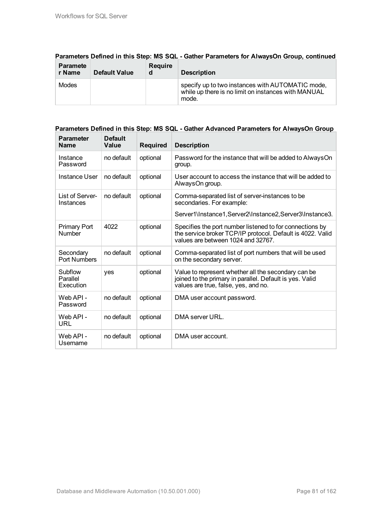| <b>Paramete</b><br>r Name | <b>Default Value</b> | <b>Require</b><br>d | <b>Description</b>                                                                                               |
|---------------------------|----------------------|---------------------|------------------------------------------------------------------------------------------------------------------|
| Modes                     |                      |                     | specify up to two instances with AUTOMATIC mode,<br>while up there is no limit on instances with MANUAL<br>mode. |

#### **Parameters Defined in this Step: MS SQL - Gather Parameters for AlwaysOn Group, continued**

| Parameters Defined in this Step: MS SQL - Gather Advanced Parameters for AlwaysOn Group |                |  |  |  |
|-----------------------------------------------------------------------------------------|----------------|--|--|--|
| <b>Parameter</b>                                                                        | <b>Default</b> |  |  |  |

| <b>Name</b>                          | Value      | <b>Required</b> | <b>Description</b>                                                                                                                                           |
|--------------------------------------|------------|-----------------|--------------------------------------------------------------------------------------------------------------------------------------------------------------|
| Instance<br>Password                 | no default | optional        | Password for the instance that will be added to AlwaysOn<br>group.                                                                                           |
| Instance User                        | no default | optional        | User account to access the instance that will be added to<br>AlwaysOn group.                                                                                 |
| List of Server-<br>Instances         | no default | optional        | Comma-separated list of server-instances to be<br>secondaries. For example:                                                                                  |
|                                      |            |                 | Server1\Instance1,Server2\Instance2,Server3\Instance3.                                                                                                       |
| <b>Primary Port</b><br><b>Number</b> | 4022       | optional        | Specifies the port number listened to for connections by<br>the service broker TCP/IP protocol. Default is 4022. Valid<br>values are between 1024 and 32767. |
| Secondary<br><b>Port Numbers</b>     | no default | optional        | Comma-separated list of port numbers that will be used<br>on the secondary server.                                                                           |
| Subflow<br>Parallel<br>Execution     | ves        | optional        | Value to represent whether all the secondary can be<br>joined to the primary in parallel. Default is yes. Valid<br>values are true, false, yes, and no.      |
| Web API -<br>Password                | no default | optional        | DMA user account password.                                                                                                                                   |
| Web API -<br>URL                     | no default | optional        | DMA server URL.                                                                                                                                              |
| Web API -<br>Username                | no default | optional        | DMA user account.                                                                                                                                            |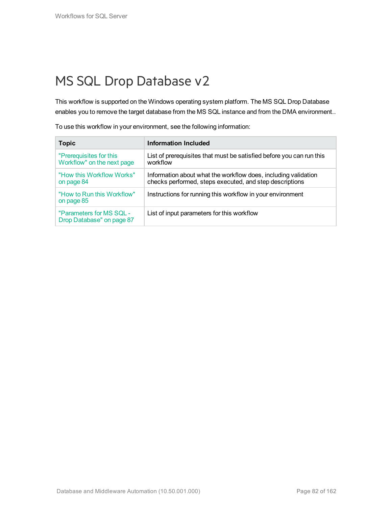# MS SQL Drop Database v2

This workflow is supported on the Windows operating system platform. The MS SQL Drop Database enables you to remove the target database from the MS SQL instance and from the DMA environment..

|  | To use this workflow in your environment, see the following information: |
|--|--------------------------------------------------------------------------|
|  |                                                                          |

| <b>Topic</b>                                          | <b>Information Included</b>                                                                                               |
|-------------------------------------------------------|---------------------------------------------------------------------------------------------------------------------------|
| "Prerequisites for this<br>Workflow" on the next page | List of prerequisites that must be satisfied before you can run this<br>workflow                                          |
| "How this Workflow Works"<br>on page 84               | Information about what the workflow does, including validation<br>checks performed, steps executed, and step descriptions |
| "How to Run this Workflow"<br>on page 85              | Instructions for running this workflow in your environment                                                                |
| "Parameters for MS SQL -<br>Drop Database" on page 87 | List of input parameters for this workflow                                                                                |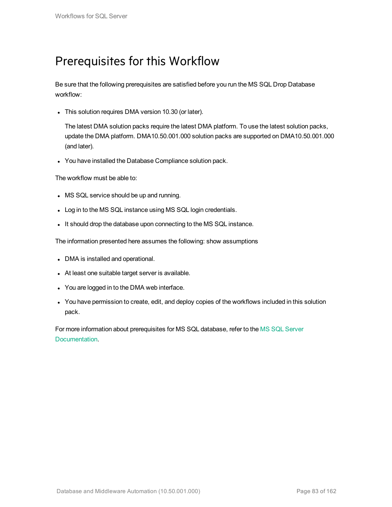### <span id="page-82-0"></span>Prerequisites for this Workflow

Be sure that the following prerequisites are satisfied before you run the MS SQL Drop Database workflow:

• This solution requires DMA version 10.30 (or later).

The latest DMA solution packs require the latest DMA platform. To use the latest solution packs, update the DMA platform. DMA10.50.001.000 solution packs are supported on DMA10.50.001.000 (and later).

• You have installed the Database Compliance solution pack.

The workflow must be able to:

- MS SQL service should be up and running.
- Log in to the MS SQL instance using MS SQL login credentials.
- It should drop the database upon connecting to the MS SQL instance.

The information presented here assumes the following: show assumptions

- DMA is installed and operational.
- At least one suitable target server is available.
- You are logged in to the DMA web interface.
- You have permission to create, edit, and deploy copies of the workflows included in this solution pack.

For more information about prerequisites for MS SQL database, refer to the [MS SQL Server](https://msdn.microsoft.com/en-us/library/bb545450.aspx) [Documentation](https://msdn.microsoft.com/en-us/library/bb545450.aspx).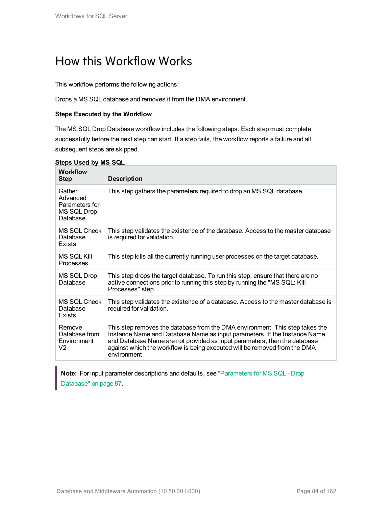## <span id="page-83-0"></span>How this Workflow Works

This workflow performs the following actions:

Drops a MS SQL database and removes it from the DMA environment.

#### **Steps Executed by the Workflow**

The MS SQL Drop Database workflow includes the following steps. Each step must complete successfully before the next step can start. If a step fails, the workflow reports a failure and all subsequent steps are skipped.

| <b>Workflow</b><br><b>Step</b>                                  | <b>Description</b>                                                                                                                                                                                                                                                                                                                  |
|-----------------------------------------------------------------|-------------------------------------------------------------------------------------------------------------------------------------------------------------------------------------------------------------------------------------------------------------------------------------------------------------------------------------|
| Gather<br>Advanced<br>Parameters for<br>MS SQL Drop<br>Database | This step gathers the parameters required to drop an MS SQL database.                                                                                                                                                                                                                                                               |
| MS SQL Check<br>Database<br>Exists                              | This step validates the existence of the database. Access to the master database<br>is required for validation.                                                                                                                                                                                                                     |
| MS SQL Kill<br>Processes                                        | This step kills all the currently running user processes on the target database.                                                                                                                                                                                                                                                    |
| MS SQL Drop<br>Database                                         | This step drops the target database. To run this step, ensure that there are no<br>active connections prior to running this step by running the "MS SQL: Kill<br>Processes" step.                                                                                                                                                   |
| MS SQL Check<br>Database<br>Exists                              | This step validates the existence of a database. Access to the master database is<br>required for validation.                                                                                                                                                                                                                       |
| Remove<br>Database from<br>Environment<br>V <sub>2</sub>        | This step removes the database from the DMA environment. This step takes the<br>Instance Name and Database Name as input parameters. If the Instance Name<br>and Database Name are not provided as input parameters, then the database<br>against which the workflow is being executed will be removed from the DMA<br>environment. |

**Steps Used by MS SQL**

**Note:** For input parameter descriptions and defaults, see ["Parameters](#page-86-0) for MS SQL - Drop [Database"](#page-86-0) on page 87.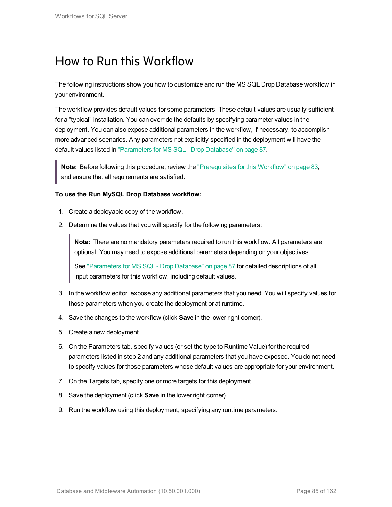## <span id="page-84-0"></span>How to Run this Workflow

The following instructions show you how to customize and run the MS SQL Drop Database workflow in your environment.

The workflow provides default values for some parameters. These default values are usually sufficient for a "typical" installation. You can override the defaults by specifying parameter values in the deployment. You can also expose additional parameters in the workflow, if necessary, to accomplish more advanced scenarios. Any parameters not explicitly specified in the deployment will have the default values listed in ["Parameters](#page-86-0) for MS SQL - Drop Database" on page 87.

**Note:** Before following this procedure, review the ["Prerequisites](#page-82-0) for this Workflow" on page 83, and ensure that all requirements are satisfied.

#### **To use the Run MySQL Drop Database workflow:**

- 1. Create a deployable copy of the workflow.
- 2. Determine the values that you will specify for the following parameters:

**Note:** There are no mandatory parameters required to run this workflow. All parameters are optional. You may need to expose additional parameters depending on your objectives.

See ["Parameters](#page-86-0) for MS SQL - Drop Database" on page 87 for detailed descriptions of all input parameters for this workflow, including default values.

- 3. In the workflow editor, expose any additional parameters that you need. You will specify values for those parameters when you create the deployment or at runtime.
- 4. Save the changes to the workflow (click **Save** in the lower right corner).
- 5. Create a new deployment.
- 6. On the Parameters tab, specify values (or set the type to Runtime Value) for the required parameters listed in step 2 and any additional parameters that you have exposed. You do not need to specify values for those parameters whose default values are appropriate for your environment.
- 7. On the Targets tab, specify one or more targets for this deployment.
- 8. Save the deployment (click **Save** in the lower right corner).
- 9. Run the workflow using this deployment, specifying any runtime parameters.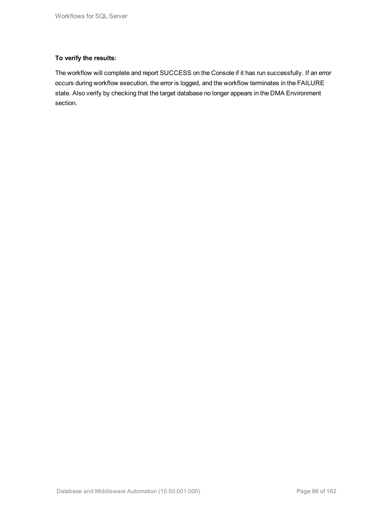#### **To verify the results:**

The workflow will complete and report SUCCESS on the Console if it has run successfully. If an error occurs during workflow execution, the error is logged, and the workflow terminates in the FAILURE state. Also verify by checking that the target database no longer appears in the DMA Environment section.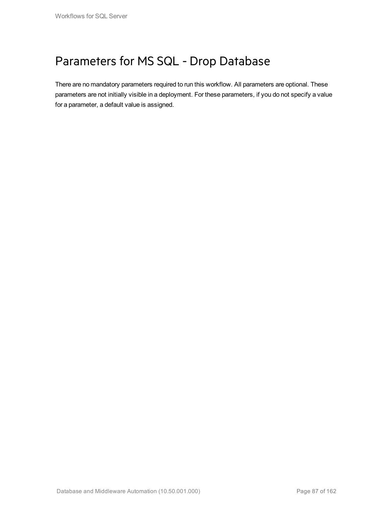## <span id="page-86-0"></span>Parameters for MS SQL - Drop Database

There are no mandatory parameters required to run this workflow. All parameters are optional. These parameters are not initially visible in a deployment. For these parameters, if you do not specify a value for a parameter, a default value is assigned.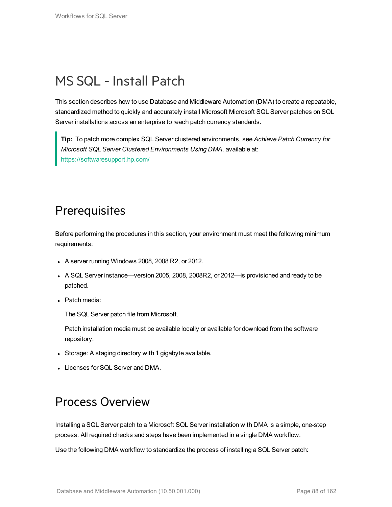# MS SQL - Install Patch

This section describes how to use Database and Middleware Automation (DMA) to create a repeatable, standardized method to quickly and accurately install Microsoft Microsoft SQL Server patches on SQL Server installations across an enterprise to reach patch currency standards.

**Tip:** To patch more complex SQL Server clustered environments, see *Achieve Patch Currency for Microsoft SQL Server Clustered Environments Using DMA*, available at: <https://softwaresupport.hp.com/>

## **Prerequisites**

Before performing the procedures in this section, your environment must meet the following minimum requirements:

- $\bullet$  A server running Windows 2008, 2008 R2, or 2012.
- A SQL Server instance—version 2005, 2008, 2008R2, or 2012—is provisioned and ready to be patched.
- Patch media:

The SQL Server patch file from Microsoft.

Patch installation media must be available locally or available for download from the software repository.

- Storage: A staging directory with 1 gigabyte available.
- Licenses for SQL Server and DMA.

### Process Overview

Installing a SQL Server patch to a Microsoft SQL Server installation with DMA is a simple, one-step process. All required checks and steps have been implemented in a single DMA workflow.

Use the following DMA workflow to standardize the process of installing a SQL Server patch: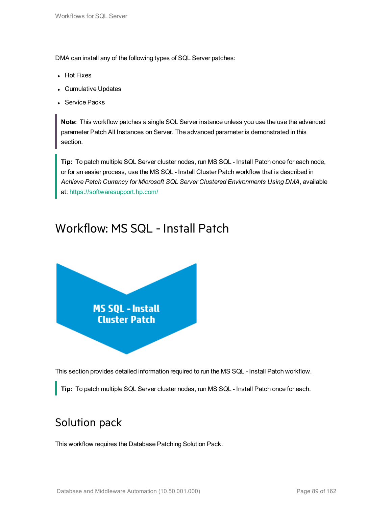DMA can install any of the following types of SQL Server patches:

- Hot Fixes
- Cumulative Updates
- Service Packs

**Note:** This workflow patches a single SQL Server instance unless you use the use the advanced parameter Patch All Instances on Server. The advanced parameter is demonstrated in this section.

**Tip:** To patch multiple SQL Server cluster nodes, run MS SQL - Install Patch once for each node, or for an easier process, use the MS SQL - Install Cluster Patch workflow that is described in *Achieve Patch Currency for Microsoft SQL Server Clustered Environments Using DMA*, available at: <https://softwaresupport.hp.com/>

### Workflow: MS SQL - Install Patch

**MS SOL - Install Cluster Patch** 

This section provides detailed information required to run the MS SQL - Install Patch workflow.

**Tip:** To patch multiple SQL Server cluster nodes, run MS SQL - Install Patch once for each.

### Solution pack

This workflow requires the Database Patching Solution Pack.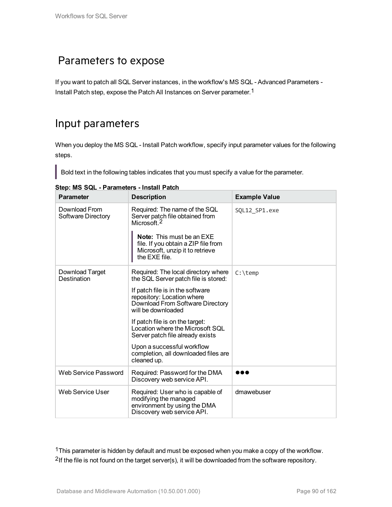#### Parameters to expose

If you want to patch all SQL Server instances, in the workflow's MS SQL - Advanced Parameters - Install Patch step, expose the Patch All Instances on Server parameter.1

#### Input parameters

When you deploy the MS SQL - Install Patch workflow, specify input parameter values for the following steps.

Bold text in the following tables indicates that you must specify a value for the parameter.

| <b>Parameter</b>                    | <b>Description</b>                                                                                                          | <b>Example Value</b> |
|-------------------------------------|-----------------------------------------------------------------------------------------------------------------------------|----------------------|
| Download From<br>Software Directory | Required: The name of the SQL<br>Server patch file obtained from<br>Microsoft. $2$                                          | SQL12 SP1.exe        |
|                                     | <b>Note:</b> This must be an EXE<br>file. If you obtain a ZIP file from<br>Microsoft, unzip it to retrieve<br>the EXE file. |                      |
| Download Target<br>Destination      | Required: The local directory where<br>the SQL Server patch file is stored:                                                 | $C:\text{temp}$      |
|                                     | If patch file is in the software<br>repository: Location where<br>Download From Software Directory<br>will be downloaded    |                      |
|                                     | If patch file is on the target:<br>Location where the Microsoft SQL<br>Server patch file already exists                     |                      |
|                                     | Upon a successful workflow<br>completion, all downloaded files are<br>cleaned up.                                           |                      |
| Web Service Password                | Required: Password for the DMA<br>Discovery web service API.                                                                | n o e                |
| <b>Web Service User</b>             | Required: User who is capable of<br>modifying the managed<br>environment by using the DMA<br>Discovery web service API.     | dmawebuser           |

**Step: MS SQL - Parameters - Install Patch**

1This parameter is hidden by default and must be exposed when you make a copy of the workflow. 2If the file is not found on the target server(s), it will be downloaded from the software repository.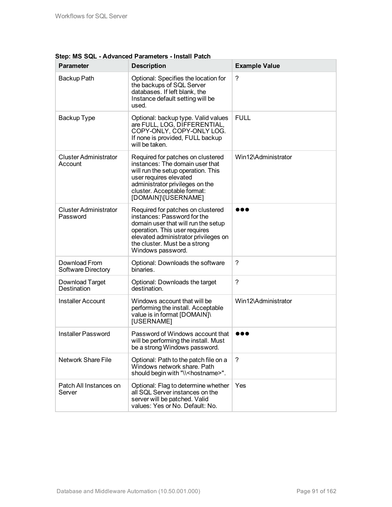| <b>Parameter</b>                         | <b>Description</b>                                                                                                                                                                                                                     | <b>Example Value</b> |
|------------------------------------------|----------------------------------------------------------------------------------------------------------------------------------------------------------------------------------------------------------------------------------------|----------------------|
| Backup Path                              | Optional: Specifies the location for<br>the backups of SQL Server<br>databases. If left blank, the<br>Instance default setting will be<br>used.                                                                                        | ?                    |
| Backup Type                              | Optional: backup type. Valid values<br>are FULL, LOG, DIFFERENTIAL,<br>COPY-ONLY, COPY-ONLY LOG.<br>If none is provided, FULL backup<br>will be taken.                                                                                 | <b>FULL</b>          |
| <b>Cluster Administrator</b><br>Account  | Required for patches on clustered<br>instances: The domain user that<br>will run the setup operation. This<br>user requires elevated<br>administrator privileges on the<br>cluster. Acceptable format:<br>[DOMAIN]\[USERNAME]          | Win12\Administrator  |
| <b>Cluster Administrator</b><br>Password | Required for patches on clustered<br>instances: Password for the<br>domain user that will run the setup<br>operation. This user requires<br>elevated administrator privileges on<br>the cluster. Must be a strong<br>Windows password. |                      |
| Download From<br>Software Directory      | Optional: Downloads the software<br>binaries.                                                                                                                                                                                          | $\tilde{?}$          |
| Download Target<br><b>Destination</b>    | Optional: Downloads the target<br>destination.                                                                                                                                                                                         | $\tilde{?}$          |
| <b>Installer Account</b>                 | Windows account that will be<br>performing the install. Acceptable<br>value is in format [DOMAIN]\<br>[USERNAME]                                                                                                                       | Win12\Administrator  |
| <b>Installer Password</b>                | Password of Windows account that<br>will be performing the install. Must<br>be a strong Windows password.                                                                                                                              |                      |
| <b>Network Share File</b>                | Optional: Path to the patch file on a<br>Windows network share. Path<br>should begin with "\\ <hostname>".</hostname>                                                                                                                  | ?                    |
| Patch All Instances on<br>Server         | Optional: Flag to determine whether<br>all SQL Server instances on the<br>server will be patched. Valid<br>values: Yes or No. Default: No.                                                                                             | Yes                  |

**Step: MS SQL - Advanced Parameters - Install Patch**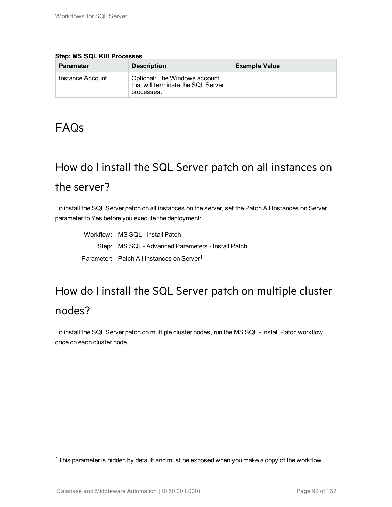| <b>Parameter</b> | <b>Description</b>                                                                | <b>Example Value</b> |
|------------------|-----------------------------------------------------------------------------------|----------------------|
| Instance Account | Optional: The Windows account<br>that will terminate the SQL Server<br>processes. |                      |

#### **Step: MS SQL Kill Processes**

### FAQs

# How do I install the SQL Server patch on all instances on the server?

To install the SQL Server patch on all instances on the server, set the Patch All Instances on Server parameter to Yes before you execute the deployment:

| Workflow: MS SQL - Install Patch                      |
|-------------------------------------------------------|
| Step: MS SQL - Advanced Parameters - Install Patch    |
| Parameter: Patch All Instances on Server <sup>1</sup> |

# How do I install the SQL Server patch on multiple cluster nodes?

To install the SQL Server patch on multiple cluster nodes, run the MS SQL - Install Patch workflow once on each cluster node.

1This parameter is hidden by default and must be exposed when you make a copy of the workflow.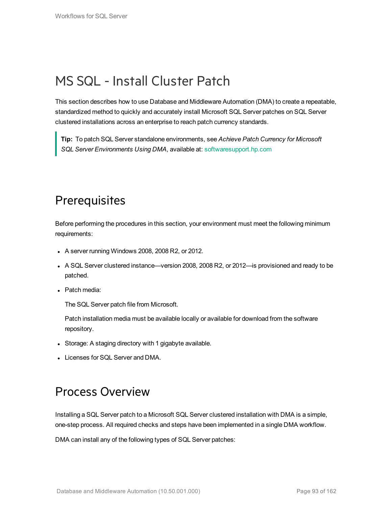# MS SQL - Install Cluster Patch

This section describes how to use Database and Middleware Automation (DMA) to create a repeatable, standardized method to quickly and accurately install Microsoft SQL Server patches on SQL Server clustered installations across an enterprise to reach patch currency standards.

**Tip:** To patch SQL Server standalone environments, see *Achieve Patch Currency for Microsoft SQL Server Environments Using DMA*, available at: [softwaresupport.hp.com](https://softwaresupport.hp.com/)

## **Prerequisites**

Before performing the procedures in this section, your environment must meet the following minimum requirements:

- $\bullet$  A server running Windows 2008, 2008 R2, or 2012.
- A SQL Server clustered instance—version 2008, 2008 R2, or 2012—is provisioned and ready to be patched.
- Patch media:

The SQL Server patch file from Microsoft.

Patch installation media must be available locally or available for download from the software repository.

- Storage: A staging directory with 1 gigabyte available.
- Licenses for SQL Server and DMA.

### Process Overview

Installing a SQL Server patch to a Microsoft SQL Server clustered installation with DMA is a simple, one-step process. All required checks and steps have been implemented in a single DMA workflow.

DMA can install any of the following types of SQL Server patches: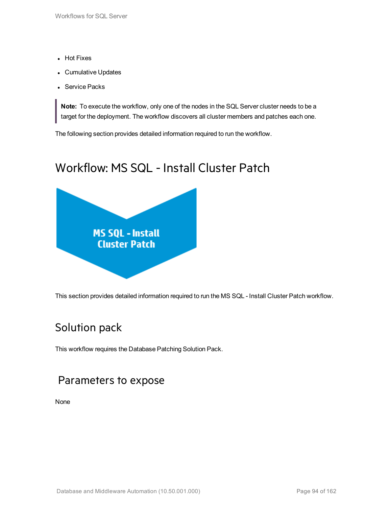- Hot Fixes
- Cumulative Updates
- Service Packs

**Note:** To execute the workflow, only one of the nodes in the SQL Server cluster needs to be a target for the deployment. The workflow discovers all cluster members and patches each one.

The following section provides detailed information required to run the workflow.

### Workflow: MS SQL - Install Cluster Patch



This section provides detailed information required to run the MS SQL - Install Cluster Patch workflow.

### Solution pack

This workflow requires the Database Patching Solution Pack.

#### Parameters to expose

None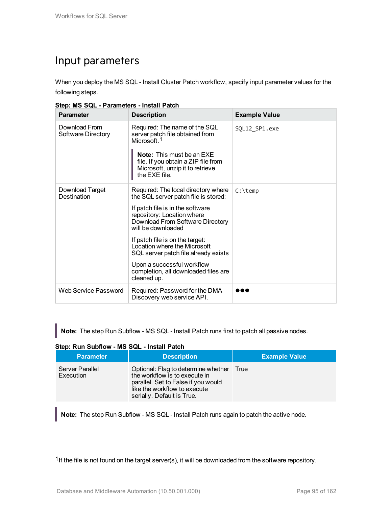### Input parameters

When you deploy the MS SQL - Install Cluster Patch workflow, specify input parameter values for the following steps.

| <b>Parameter</b>                    | <b>Description</b>                                                                                                                                                                                      | <b>Example Value</b> |
|-------------------------------------|---------------------------------------------------------------------------------------------------------------------------------------------------------------------------------------------------------|----------------------|
| Download From<br>Software Directory | Required: The name of the SQL<br>server patch file obtained from<br>Microsoft. <sup>1</sup>                                                                                                             | SQL12_SP1.exe        |
|                                     | <b>Note:</b> This must be an EXE<br>file. If you obtain a ZIP file from<br>Microsoft, unzip it to retrieve<br>the EXE file.                                                                             |                      |
| Download Target<br>Destination      | Required: The local directory where<br>the SQL server patch file is stored:<br>If patch file is in the software<br>repository: Location where<br>Download From Software Directory<br>will be downloaded | $C:\text{temp}$      |
|                                     | If patch file is on the target:<br>Location where the Microsoft<br>SQL server patch file already exists                                                                                                 |                      |
|                                     | Upon a successful workflow<br>completion, all downloaded files are<br>cleaned up.                                                                                                                       |                      |
| Web Service Password                | Required: Password for the DMA<br>Discovery web service API.                                                                                                                                            |                      |

**Step: MS SQL - Parameters - Install Patch**

**Note:** The step Run Subflow - MS SQL - Install Patch runs first to patch all passive nodes.

#### **Step: Run Subflow - MS SQL - Install Patch**

| <b>Parameter</b>                    | <b>Description</b>                                                                                                                                                             | <b>Example Value</b> |
|-------------------------------------|--------------------------------------------------------------------------------------------------------------------------------------------------------------------------------|----------------------|
| <b>Server Parallel</b><br>Execution | Optional: Flag to determine whether True<br>the workflow is to execute in<br>parallel. Set to False if you would<br>like the workflow to execute<br>serially. Default is True. |                      |

**Note:** The step Run Subflow - MS SQL - Install Patch runs again to patch the active node.

<sup>1</sup> If the file is not found on the target server(s), it will be downloaded from the software repository.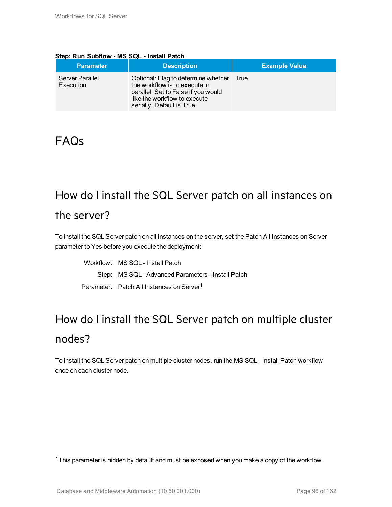| <b>Parameter</b>             | <b>Description</b>                                                                                                                                                        | <b>Example Value</b> |
|------------------------------|---------------------------------------------------------------------------------------------------------------------------------------------------------------------------|----------------------|
| Server Parallel<br>Execution | Optional: Flag to determine whether<br>the workflow is to execute in<br>parallel. Set to False if you would<br>like the workflow to execute<br>serially. Default is True. | True                 |

#### **Step: Run Subflow - MS SQL - Install Patch**

### FAQs

# How do I install the SQL Server patch on all instances on the server?

To install the SQL Server patch on all instances on the server, set the Patch All Instances on Server parameter to Yes before you execute the deployment:

| Workflow: MS SQL - Install Patch                      |
|-------------------------------------------------------|
| Step: MS SQL - Advanced Parameters - Install Patch    |
| Parameter: Patch All Instances on Server <sup>1</sup> |

# How do I install the SQL Server patch on multiple cluster nodes?

To install the SQL Server patch on multiple cluster nodes, run the MS SQL - Install Patch workflow once on each cluster node.

1This parameter is hidden by default and must be exposed when you make a copy of the workflow.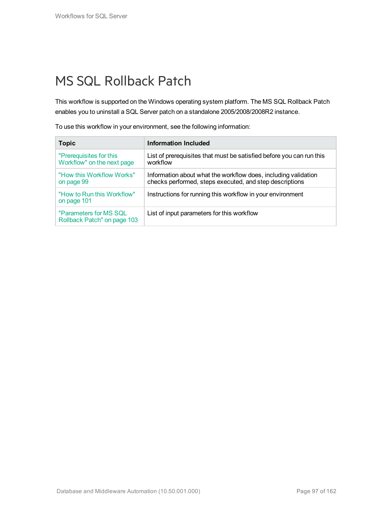# MS SQL Rollback Patch

This workflow is supported on the Windows operating system platform. The MS SQL Rollback Patch enables you to uninstall a SQL Server patch on a standalone 2005/2008/2008R2 instance.

|  | To use this workflow in your environment, see the following information: |
|--|--------------------------------------------------------------------------|
|  |                                                                          |

| <b>Topic</b>                                           | <b>Information Included</b>                                                                                               |
|--------------------------------------------------------|---------------------------------------------------------------------------------------------------------------------------|
| "Prerequisites for this"<br>Workflow" on the next page | List of prerequisites that must be satisfied before you can run this<br>workflow                                          |
| "How this Workflow Works"<br>on page 99                | Information about what the workflow does, including validation<br>checks performed, steps executed, and step descriptions |
| "How to Run this Workflow"<br>on page 101              | Instructions for running this workflow in your environment                                                                |
| "Parameters for MS SQL<br>Rollback Patch" on page 103  | List of input parameters for this workflow                                                                                |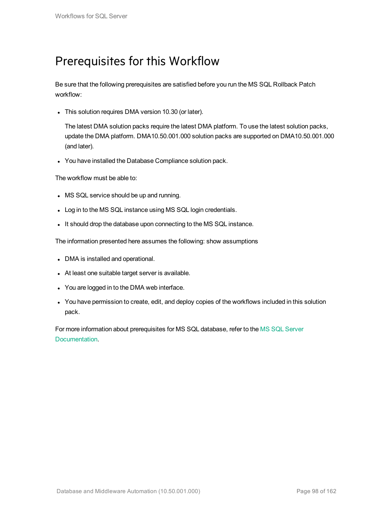### <span id="page-97-0"></span>Prerequisites for this Workflow

Be sure that the following prerequisites are satisfied before you run the MS SQL Rollback Patch workflow:

• This solution requires DMA version 10.30 (or later).

The latest DMA solution packs require the latest DMA platform. To use the latest solution packs, update the DMA platform. DMA10.50.001.000 solution packs are supported on DMA10.50.001.000 (and later).

• You have installed the Database Compliance solution pack.

The workflow must be able to:

- MS SQL service should be up and running.
- Log in to the MS SQL instance using MS SQL login credentials.
- It should drop the database upon connecting to the MS SQL instance.

The information presented here assumes the following: show assumptions

- DMA is installed and operational.
- At least one suitable target server is available.
- You are logged in to the DMA web interface.
- You have permission to create, edit, and deploy copies of the workflows included in this solution pack.

For more information about prerequisites for MS SQL database, refer to the [MS SQL Server](https://msdn.microsoft.com/en-us/library/bb545450.aspx) [Documentation](https://msdn.microsoft.com/en-us/library/bb545450.aspx).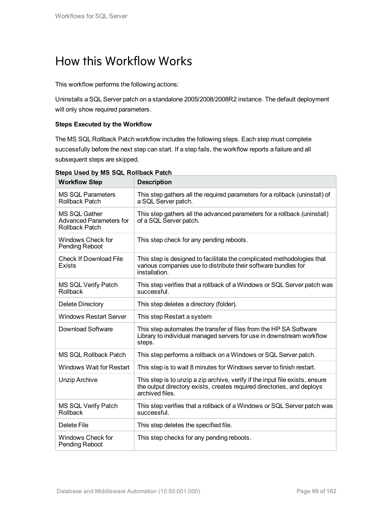## <span id="page-98-0"></span>How this Workflow Works

This workflow performs the following actions:

Uninstalls a SQL Server patch on a standalone 2005/2008/2008R2 instance. The default deployment will only show required parameters.

#### **Steps Executed by the Workflow**

The MS SQL Rollback Patch workflow includes the following steps. Each step must complete successfully before the next step can start. If a step fails, the workflow reports a failure and all subsequent steps are skipped.

| <b>Workflow Step</b>                                                            | <b>Description</b>                                                                                                                                                        |
|---------------------------------------------------------------------------------|---------------------------------------------------------------------------------------------------------------------------------------------------------------------------|
| <b>MS SQL Parameters</b><br>Rollback Patch                                      | This step gathers all the required parameters for a rollback (uninstall) of<br>a SQL Server patch.                                                                        |
| <b>MS SQL Gather</b><br><b>Advanced Parameters for</b><br><b>Rollback Patch</b> | This step gathers all the advanced parameters for a rollback (uninstall)<br>of a SQL Server patch.                                                                        |
| Windows Check for<br>Pending Reboot                                             | This step check for any pending reboots.                                                                                                                                  |
| <b>Check If Download File</b><br>Exists                                         | This step is designed to facilitate the complicated methodologies that<br>various companies use to distribute their software bundles for<br>installation.                 |
| MS SQL Verify Patch<br><b>Rollback</b>                                          | This step verifies that a rollback of a Windows or SQL Server patch was<br>successful.                                                                                    |
| Delete Directory                                                                | This step deletes a directory (folder).                                                                                                                                   |
| <b>Windows Restart Server</b>                                                   | This step Restart a system                                                                                                                                                |
| Download Software                                                               | This step automates the transfer of files from the HP SA Software<br>Library to individual managed servers for use in downstream workflow<br>steps.                       |
| MS SQL Rollback Patch                                                           | This step performs a rollback on a Windows or SQL Server patch.                                                                                                           |
| <b>Windows Wait for Restart</b>                                                 | This step is to wait 8 minutes for Windows server to finish restart.                                                                                                      |
| <b>Unzip Archive</b>                                                            | This step is to unzip a zip archive, verify if the input file exists, ensure<br>the output directory exists, creates required directories, and deploys<br>archived files. |
| <b>MS SQL Verify Patch</b><br>Rollback                                          | This step verifies that a rollback of a Windows or SQL Server patch was<br>successful.                                                                                    |
| Delete File                                                                     | This step deletes the specified file.                                                                                                                                     |
| Windows Check for<br>Pending Reboot                                             | This step checks for any pending reboots.                                                                                                                                 |

#### **Steps Used by MS SQL Rollback Patch**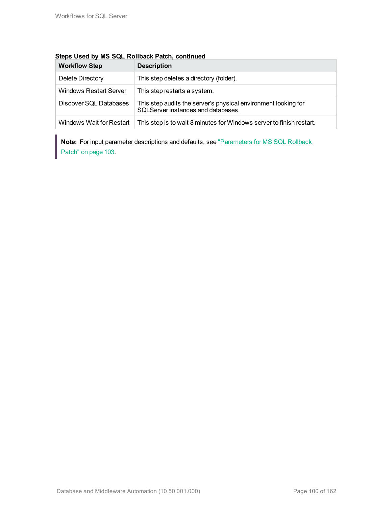| <b>Workflow Step</b>          | <b>Description</b>                                                                                   |
|-------------------------------|------------------------------------------------------------------------------------------------------|
| Delete Directory              | This step deletes a directory (folder).                                                              |
| <b>Windows Restart Server</b> | This step restarts a system.                                                                         |
| Discover SQL Databases        | This step audits the server's physical environment looking for<br>SQLServer instances and databases. |
| Windows Wait for Restart      | This step is to wait 8 minutes for Windows server to finish restart.                                 |

#### **Steps Used by MS SQL Rollback Patch, continued**

**Note:** For input parameter descriptions and defaults, see ["Parameters](#page-102-0) for MS SQL Rollback [Patch"](#page-102-0) on page 103.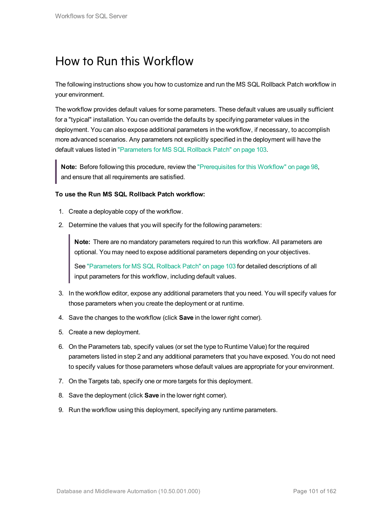## <span id="page-100-0"></span>How to Run this Workflow

The following instructions show you how to customize and run the MS SQL Rollback Patch workflow in your environment.

The workflow provides default values for some parameters. These default values are usually sufficient for a "typical" installation. You can override the defaults by specifying parameter values in the deployment. You can also expose additional parameters in the workflow, if necessary, to accomplish more advanced scenarios. Any parameters not explicitly specified in the deployment will have the default values listed in ["Parameters](#page-102-0) for MS SQL Rollback Patch" on page 103.

**Note:** Before following this procedure, review the ["Prerequisites](#page-97-0) for this Workflow" on page 98, and ensure that all requirements are satisfied.

#### **To use the Run MS SQL Rollback Patch workflow:**

- 1. Create a deployable copy of the workflow.
- 2. Determine the values that you will specify for the following parameters:

**Note:** There are no mandatory parameters required to run this workflow. All parameters are optional. You may need to expose additional parameters depending on your objectives.

See ["Parameters](#page-102-0) for MS SQL Rollback Patch" on page 103 for detailed descriptions of all input parameters for this workflow, including default values.

- 3. In the workflow editor, expose any additional parameters that you need. You will specify values for those parameters when you create the deployment or at runtime.
- 4. Save the changes to the workflow (click **Save** in the lower right corner).
- 5. Create a new deployment.
- 6. On the Parameters tab, specify values (or set the type to Runtime Value) for the required parameters listed in step 2 and any additional parameters that you have exposed. You do not need to specify values for those parameters whose default values are appropriate for your environment.
- 7. On the Targets tab, specify one or more targets for this deployment.
- 8. Save the deployment (click **Save** in the lower right corner).
- 9. Run the workflow using this deployment, specifying any runtime parameters.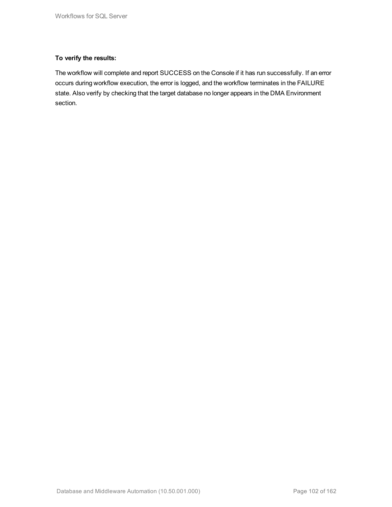#### **To verify the results:**

The workflow will complete and report SUCCESS on the Console if it has run successfully. If an error occurs during workflow execution, the error is logged, and the workflow terminates in the FAILURE state. Also verify by checking that the target database no longer appears in the DMA Environment section.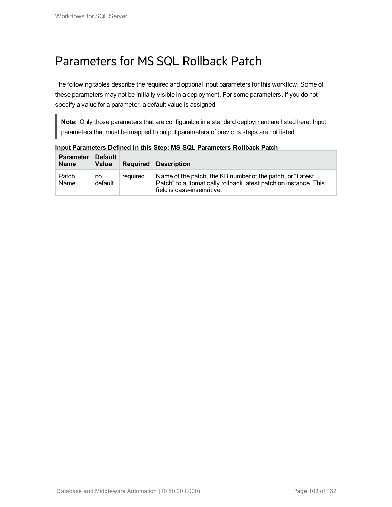## <span id="page-102-0"></span>Parameters for MS SQL Rollback Patch

The following tables describe the required and optional input parameters for this workflow. Some of these parameters may not be initially visible in a deployment. For some parameters, if you do not specify a value for a parameter, a default value is assigned.

**Note:** Only those parameters that are configurable in a standard deployment are listed here. Input parameters that must be mapped to output parameters of previous steps are not listed.

| <b>Parameter</b><br><b>Name</b> | <b>Default</b><br>Value |          | <b>Required Description</b>                                                                                                                                 |
|---------------------------------|-------------------------|----------|-------------------------------------------------------------------------------------------------------------------------------------------------------------|
| Patch<br>Name                   | no<br>default           | required | Name of the patch, the KB number of the patch, or "Latest"<br>Patch" to automatically rollback latest patch on instance. This<br>field is case-insensitive. |

**Input Parameters Defined in this Step: MS SQL Parameters Rollback Patch**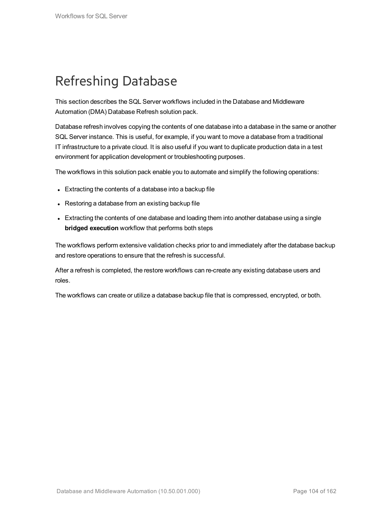# Refreshing Database

This section describes the SQL Server workflows included in the Database and Middleware Automation (DMA) Database Refresh solution pack.

Database refresh involves copying the contents of one database into a database in the same or another SQL Server instance. This is useful, for example, if you want to move a database from a traditional IT infrastructure to a private cloud. It is also useful if you want to duplicate production data in a test environment for application development or troubleshooting purposes.

The workflows in this solution pack enable you to automate and simplify the following operations:

- Extracting the contents of a database into a backup file
- Restoring a database from an existing backup file
- Extracting the contents of one database and loading them into another database using a single **bridged execution** workflow that performs both steps

The workflows perform extensive validation checks prior to and immediately after the database backup and restore operations to ensure that the refresh is successful.

After a refresh is completed, the restore workflows can re-create any existing database users and roles.

The workflows can create or utilize a database backup file that is compressed, encrypted, or both.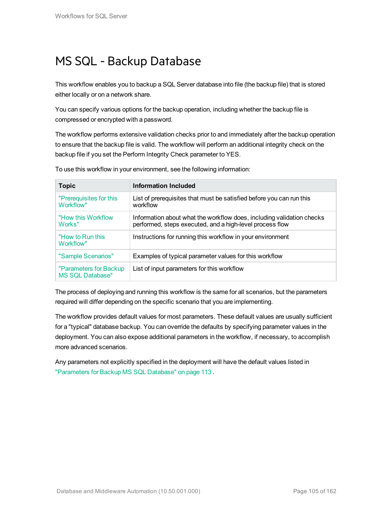## <span id="page-104-0"></span>MS SQL - Backup Database

This workflow enables you to backup a SQL Server database into file (the backup file) that is stored either locally or on a network share.

You can specify various options for the backup operation, including whether the backup file is compressed or encrypted with a password.

The workflow performs extensive validation checks prior to and immediately after the backup operation to ensure that the backup file is valid. The workflow will perform an additional integrity check on the backup file if you set the Perform Integrity Check parameter to YES.

| <b>Topic</b>                                      | <b>Information Included</b>                                                                                                       |
|---------------------------------------------------|-----------------------------------------------------------------------------------------------------------------------------------|
| "Prerequisites for this<br>Workflow"              | List of prerequisites that must be satisfied before you can run this<br>workflow                                                  |
| "How this Workflow<br>Works"                      | Information about what the workflow does, including validation checks<br>performed, steps executed, and a high-level process flow |
| "How to Run this<br>Workflow"                     | Instructions for running this workflow in your environment                                                                        |
| "Sample Scenarios"                                | Examples of typical parameter values for this workflow                                                                            |
| "Parameters for Backup<br><b>MS SQL Database"</b> | List of input parameters for this workflow                                                                                        |

To use this workflow in your environment, see the following information:

The process of deploying and running this workflow is the same for all scenarios, but the parameters required will differ depending on the specific scenario that you are implementing.

The workflow provides default values for most parameters. These default values are usually sufficient for a "typical" database backup. You can override the defaults by specifying parameter values in the deployment. You can also expose additional parameters in the workflow, if necessary, to accomplish more advanced scenarios.

Any parameters not explicitly specified in the deployment will have the default values listed in ["Parameters](#page-112-0) for Backup MS SQL Database" on page 113 .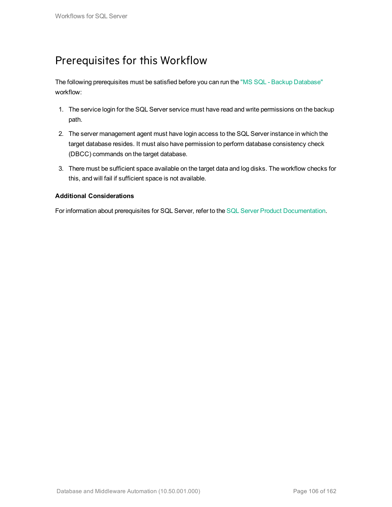### <span id="page-105-0"></span>Prerequisites for this Workflow

The following prerequisites must be satisfied before you can run the "MS SQL - Backup [Database"](#page-104-0) workflow:

- 1. The service login for the SQL Server service must have read and write permissions on the backup path.
- 2. The server management agent must have login access to the SQL Server instance in which the target database resides. It must also have permission to perform database consistency check (DBCC) commands on the target database.
- 3. There must be sufficient space available on the target data and log disks. The workflow checks for this, and will fail if sufficient space is not available.

#### **Additional Considerations**

For information about prerequisites for SQL Server, refer to the SQL Server Product [Documentation](http://msdn.microsoft.com/en-us/library).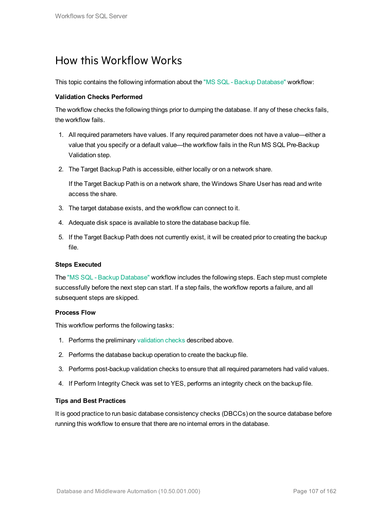### <span id="page-106-0"></span>How this Workflow Works

<span id="page-106-1"></span>This topic contains the following information about the "MS SQL - Backup [Database"](#page-104-0) workflow:

#### **Validation Checks Performed**

The workflow checks the following things prior to dumping the database. If any of these checks fails, the workflow fails.

- 1. All required parameters have values. If any required parameter does not have a value—either a value that you specify or a default value—the workflow fails in the Run MS SQL Pre-Backup Validation step.
- 2. The Target Backup Path is accessible, either locally or on a network share.

If the Target Backup Path is on a network share, the Windows Share User has read and write access the share.

- 3. The target database exists, and the workflow can connect to it.
- 4. Adequate disk space is available to store the database backup file.
- 5. If the Target Backup Path does not currently exist, it will be created prior to creating the backup file.

#### **Steps Executed**

The "MS SQL - Backup [Database"](#page-104-0) workflow includes the following steps. Each step must complete successfully before the next step can start. If a step fails, the workflow reports a failure, and all subsequent steps are skipped.

#### **Process Flow**

This workflow performs the following tasks:

- 1. Performs the preliminary [validation](#page-106-1) checks described above.
- 2. Performs the database backup operation to create the backup file.
- 3. Performs post-backup validation checks to ensure that all required parameters had valid values.
- 4. If Perform Integrity Check was set to YES, performs an integrity check on the backup file.

#### **Tips and Best Practices**

It is good practice to run basic database consistency checks (DBCCs) on the source database before running this workflow to ensure that there are no internal errors in the database.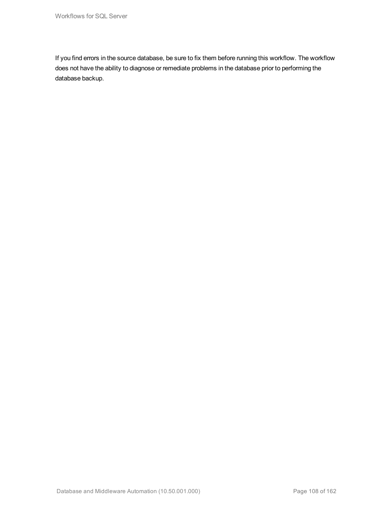If you find errors in the source database, be sure to fix them before running this workflow. The workflow does not have the ability to diagnose or remediate problems in the database prior to performing the database backup.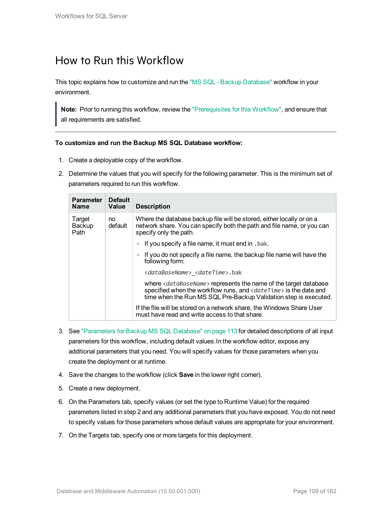# How to Run this Workflow

This topic explains how to customize and run the "MS SQL - Backup [Database"](#page-104-0) workflow in your environment.

**Note:** Prior to running this workflow, review the ["Prerequisites](#page-105-0) for this Workflow", and ensure that all requirements are satisfied.

### **To customize and run the Backup MS SQL Database workflow:**

- 1. Create a deployable copy of the workflow.
- 2. Determine the values that you will specify for the following parameter. This is the minimum set of parameters required to run this workflow.

| <b>Parameter</b><br><b>Name</b> | <b>Default</b><br>Value | <b>Description</b>                                                                                                                                                                                                                      |
|---------------------------------|-------------------------|-----------------------------------------------------------------------------------------------------------------------------------------------------------------------------------------------------------------------------------------|
| Target<br><b>Backup</b><br>Path | no<br>default           | Where the database backup file will be stored, either locally or on a<br>network share. You can specify both the path and file name, or you can<br>specify only the path.                                                               |
|                                 |                         | If you specify a file name, it must end in . bak.<br>$\circ$                                                                                                                                                                            |
|                                 |                         | If you do not specify a file name, the backup file name will have the<br>$\circ$<br>following form:                                                                                                                                     |
|                                 |                         | <databasename> <datetime>.bak</datetime></databasename>                                                                                                                                                                                 |
|                                 |                         | where $\langle dataBaseName \rangle$ represents the name of the target database<br>specified when the workflow runs, and $\langle dateTime \rangle$ is the date and<br>time when the Run MS SQL Pre-Backup Validation step is executed. |
|                                 |                         | If the file will be stored on a network share, the Windows Share User<br>must have read and write access to that share.                                                                                                                 |

- 3. See ["Parameters](#page-112-0) for Backup MS SQL Database" on page 113 for detailed descriptions of all input parameters for this workflow, including default values.In the workflow editor, expose any additional parameters that you need. You will specify values for those parameters when you create the deployment or at runtime.
- 4. Save the changes to the workflow (click **Save** in the lower right corner).
- 5. Create a new deployment.
- 6. On the Parameters tab, specify values (or set the type to Runtime Value) for the required parameters listed in step 2 and any additional parameters that you have exposed. You do not need to specify values for those parameters whose default values are appropriate for your environment.
- 7. On the Targets tab, specify one or more targets for this deployment.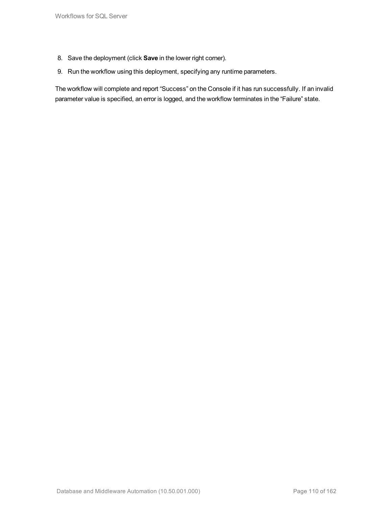- 8. Save the deployment (click **Save** in the lower right corner).
- 9. Run the workflow using this deployment, specifying any runtime parameters.

The workflow will complete and report "Success" on the Console if it has run successfully. If an invalid parameter value is specified, an error is logged, and the workflow terminates in the "Failure" state.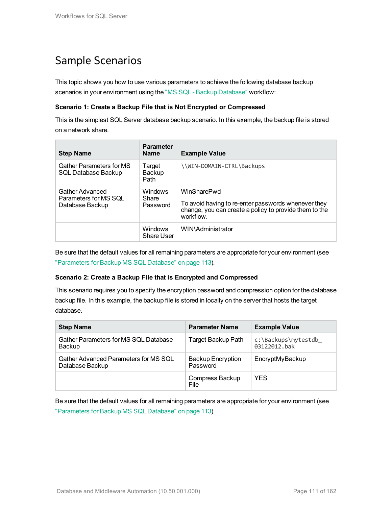# Sample Scenarios

This topic shows you how to use various parameters to achieve the following database backup scenarios in your environment using the "MS SQL - Backup [Database"](#page-104-0) workflow:

#### **Scenario 1: Create a Backup File that is Not Encrypted or Compressed**

This is the simplest SQL Server database backup scenario. In this example, the backup file is stored on a network share.

| <b>Step Name</b>                                            | <b>Parameter</b><br><b>Name</b>     | <b>Example Value</b>                                                                                                                      |
|-------------------------------------------------------------|-------------------------------------|-------------------------------------------------------------------------------------------------------------------------------------------|
| <b>Gather Parameters for MS</b><br>SQL Database Backup      | Target<br><b>Backup</b><br>Path     | \\WIN-DOMAIN-CTRL\Backups                                                                                                                 |
| Gather Advanced<br>Parameters for MS SQL<br>Database Backup | <b>Windows</b><br>Share<br>Password | WinSharePwd<br>To avoid having to re-enter passwords whenever they<br>change, you can create a policy to provide them to the<br>workflow. |
|                                                             | <b>Windows</b><br>Share User        | WIN\Administrator                                                                                                                         |

Be sure that the default values for all remaining parameters are appropriate for your environment (see ["Parameters](#page-112-0) for Backup MS SQL Database" on page 113).

### **Scenario 2: Create a Backup File that is Encrypted and Compressed**

This scenario requires you to specify the encryption password and compression option for the database backup file. In this example, the backup file is stored in locally on the server that hosts the target database.

| <b>Step Name</b>                                         | <b>Parameter Name</b>                | <b>Example Value</b>                |
|----------------------------------------------------------|--------------------------------------|-------------------------------------|
| Gather Parameters for MS SQL Database<br><b>Backup</b>   | Target Backup Path                   | c:\Backups\mytestdb<br>03122012.bak |
| Gather Advanced Parameters for MS SQL<br>Database Backup | <b>Backup Encryption</b><br>Password | EncryptMyBackup                     |
|                                                          | Compress Backup<br>File              | <b>YES</b>                          |

Be sure that the default values for all remaining parameters are appropriate for your environment (see ["Parameters](#page-112-0) for Backup MS SQL Database" on page 113).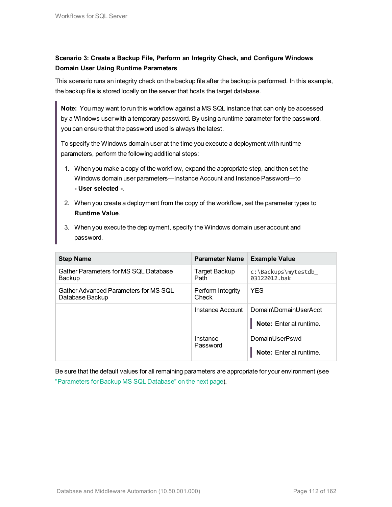### **Scenario 3: Create a Backup File, Perform an Integrity Check, and Configure Windows Domain User Using Runtime Parameters**

This scenario runs an integrity check on the backup file after the backup is performed. In this example, the backup file is stored locally on the server that hosts the target database.

**Note:** You may want to run this workflow against a MS SQL instance that can only be accessed by a Windows user with a temporary password. By using a runtime parameter for the password, you can ensure that the password used is always the latest.

To specify the Windows domain user at the time you execute a deployment with runtime parameters, perform the following additional steps:

- 1. When you make a copy of the workflow, expand the appropriate step, and then set the Windows domain user parameters—Instance Account and Instance Password—to **- User selected -**.
- 2. When you create a deployment from the copy of the workflow, set the parameter types to **Runtime Value**.
- 3. When you execute the deployment, specify the Windows domain user account and password.

| <b>Step Name</b>                                         | <b>Parameter Name</b>      | <b>Example Value</b>                             |
|----------------------------------------------------------|----------------------------|--------------------------------------------------|
| Gather Parameters for MS SQL Database<br>Backup          | Target Backup<br>Path      | c:\Backups\mytestdb<br>03122012.bak              |
| Gather Advanced Parameters for MS SQL<br>Database Backup | Perform Integrity<br>Check | <b>YES</b>                                       |
|                                                          | Instance Account           | Domain\DomainUserAcct<br>Note: Enter at runtime. |
|                                                          | Instance<br>Password       | DomainUserPswd<br><b>Note:</b> Enter at runtime. |

Be sure that the default values for all remaining parameters are appropriate for your environment (see ["Parameters](#page-112-0) for Backup MS SQL Database" on the next page).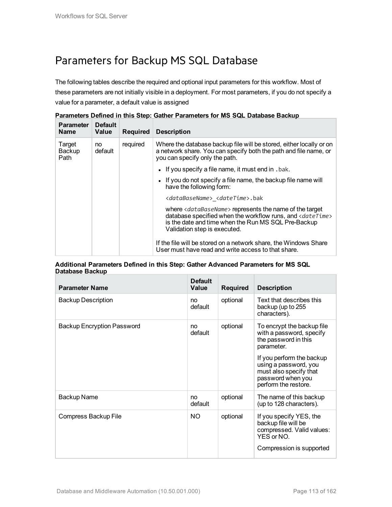# <span id="page-112-0"></span>Parameters for Backup MS SQL Database

The following tables describe the required and optional input parameters for this workflow. Most of these parameters are not initially visible in a deployment. For most parameters, if you do not specify a value for a parameter, a default value is assigned

| <b>Parameter</b><br><b>Name</b> | <b>Default</b><br>Value | <b>Required</b> | <b>Description</b>                                                                                                                                                                                                                      |
|---------------------------------|-------------------------|-----------------|-----------------------------------------------------------------------------------------------------------------------------------------------------------------------------------------------------------------------------------------|
| Target<br>Backup<br>Path        | no.<br>default          | required        | Where the database backup file will be stored, either locally or on<br>a network share. You can specify both the path and file name, or<br>you can specify only the path.                                                               |
|                                 |                         |                 | • If you specify a file name, it must end in . bak.                                                                                                                                                                                     |
|                                 |                         |                 | • If you do not specify a file name, the backup file name will<br>have the following form:                                                                                                                                              |
|                                 |                         |                 | <databasename>_<datetime>.bak</datetime></databasename>                                                                                                                                                                                 |
|                                 |                         |                 | where $\langle dataBaseName \rangle$ represents the name of the target<br>database specified when the workflow runs, and <datetime><br/>is the date and time when the Run MS SQL Pre-Backup<br/>Validation step is executed.</datetime> |
|                                 |                         |                 | If the file will be stored on a network share, the Windows Share<br>User must have read and write access to that share.                                                                                                                 |

#### **Parameters Defined in this Step: Gather Parameters for MS SQL Database Backup**

#### **Additional Parameters Defined in this Step: Gather Advanced Parameters for MS SQL Database Backup**

| <b>Parameter Name</b>             | <b>Default</b><br>Value | <b>Required</b> | <b>Description</b>                                                                                                                                                                                                        |
|-----------------------------------|-------------------------|-----------------|---------------------------------------------------------------------------------------------------------------------------------------------------------------------------------------------------------------------------|
| <b>Backup Description</b>         | no<br>default           | optional        | Text that describes this<br>backup (up to 255<br>characters).                                                                                                                                                             |
| <b>Backup Encryption Password</b> | no<br>default           | optional        | To encrypt the backup file<br>with a password, specify<br>the password in this<br>parameter.<br>If you perform the backup<br>using a password, you<br>must also specify that<br>password when you<br>perform the restore. |
| Backup Name                       | no<br>default           | optional        | The name of this backup<br>(up to 128 characters).                                                                                                                                                                        |
| Compress Backup File              | NO.                     | optional        | If you specify YES, the<br>backup file will be<br>compressed. Valid values:<br>YES or NO.<br>Compression is supported                                                                                                     |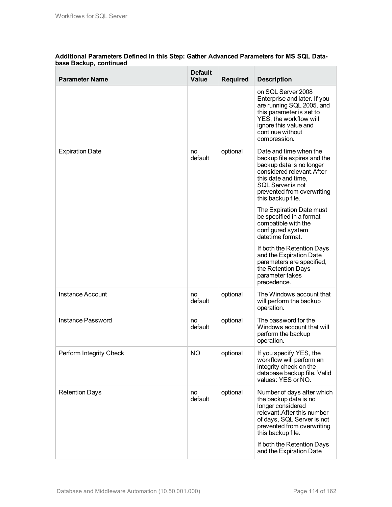| Additional Parameters Defined in this Step: Gather Advanced Parameters for MS SQL Data- |  |  |  |
|-----------------------------------------------------------------------------------------|--|--|--|
| base Backup, continued                                                                  |  |  |  |

| <b>Parameter Name</b>    | <b>Default</b><br>Value | <b>Required</b> | <b>Description</b>                                                                                                                                                                                                                                                                                                                                                                                                                                                                  |
|--------------------------|-------------------------|-----------------|-------------------------------------------------------------------------------------------------------------------------------------------------------------------------------------------------------------------------------------------------------------------------------------------------------------------------------------------------------------------------------------------------------------------------------------------------------------------------------------|
|                          |                         |                 | on SQL Server 2008<br>Enterprise and later. If you<br>are running SQL 2005, and<br>this parameter is set to<br>YES, the workflow will<br>ignore this value and<br>continue without<br>compression.                                                                                                                                                                                                                                                                                  |
| <b>Expiration Date</b>   | no<br>default           | optional        | Date and time when the<br>backup file expires and the<br>backup data is no longer<br>considered relevant. After<br>this date and time,<br>SQL Server is not<br>prevented from overwriting<br>this backup file.<br>The Expiration Date must<br>be specified in a format<br>compatible with the<br>configured system<br>datetime format<br>If both the Retention Days<br>and the Expiration Date<br>parameters are specified,<br>the Retention Days<br>parameter takes<br>precedence. |
| <b>Instance Account</b>  | no<br>default           | optional        | The Windows account that<br>will perform the backup<br>operation.                                                                                                                                                                                                                                                                                                                                                                                                                   |
| <b>Instance Password</b> | no<br>default           | optional        | The password for the<br>Windows account that will<br>perform the backup<br>operation.                                                                                                                                                                                                                                                                                                                                                                                               |
| Perform Integrity Check  | NO.                     | optional        | If you specify YES, the<br>workflow will perform an<br>integrity check on the<br>database backup file. Valid<br>values: YES or NO.                                                                                                                                                                                                                                                                                                                                                  |
| <b>Retention Days</b>    | no<br>default           | optional        | Number of days after which<br>the backup data is no<br>longer considered<br>relevant. After this number<br>of days, SQL Server is not<br>prevented from overwriting<br>this backup file.<br>If both the Retention Days<br>and the Expiration Date                                                                                                                                                                                                                                   |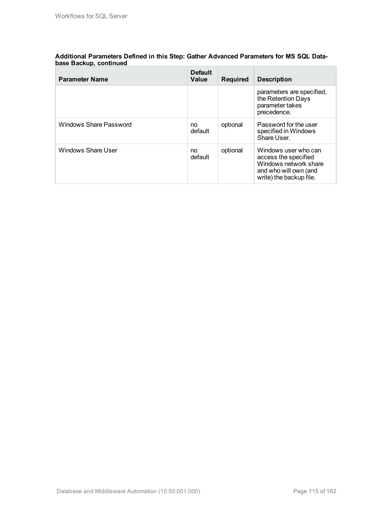| Additional Parameters Defined in this Step: Gather Advanced Parameters for MS SQL Data- |  |  |
|-----------------------------------------------------------------------------------------|--|--|
| base Backup, continued                                                                  |  |  |

| <b>Parameter Name</b>  | <b>Default</b><br>Value | <b>Required</b> | <b>Description</b>                                                                                                        |
|------------------------|-------------------------|-----------------|---------------------------------------------------------------------------------------------------------------------------|
|                        |                         |                 | parameters are specified,<br>the Retention Days<br>parameter takes<br>precedence.                                         |
| Windows Share Password | no.<br>default          | optional        | Password for the user<br>specified in Windows<br>Share User                                                               |
| Windows Share User     | no.<br>default          | optional        | Windows user who can<br>access the specified<br>Windows network share<br>and who will own (and<br>write) the backup file. |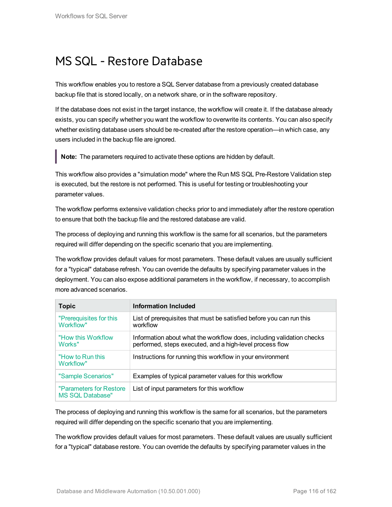# <span id="page-115-0"></span>MS SQL - Restore Database

This workflow enables you to restore a SQL Server database from a previously created database backup file that is stored locally, on a network share, or in the software repository.

If the database does not exist in the target instance, the workflow will create it. If the database already exists, you can specify whether you want the workflow to overwrite its contents. You can also specify whether existing database users should be re-created after the restore operation—in which case, any users included in the backup file are ignored.

**Note:** The parameters required to activate these options are hidden by default.

This workflow also provides a "simulation mode" where the Run MS SQL Pre-Restore Validation step is executed, but the restore is not performed. This is useful for testing or troubleshooting your parameter values.

The workflow performs extensive validation checks prior to and immediately after the restore operation to ensure that both the backup file and the restored database are valid.

The process of deploying and running this workflow is the same for all scenarios, but the parameters required will differ depending on the specific scenario that you are implementing.

The workflow provides default values for most parameters. These default values are usually sufficient for a "typical" database refresh. You can override the defaults by specifying parameter values in the deployment. You can also expose additional parameters in the workflow, if necessary, to accomplish more advanced scenarios.

| <b>Topic</b>                                       | Information Included                                                                                                              |
|----------------------------------------------------|-----------------------------------------------------------------------------------------------------------------------------------|
| "Prerequisites for this<br>Workflow"               | List of prerequisites that must be satisfied before you can run this<br>workflow                                                  |
| "How this Workflow"<br>Works"                      | Information about what the workflow does, including validation checks<br>performed, steps executed, and a high-level process flow |
| "How to Run this<br>Workflow"                      | Instructions for running this workflow in your environment                                                                        |
| "Sample Scenarios"                                 | Examples of typical parameter values for this workflow                                                                            |
| "Parameters for Restore<br><b>MS SQL Database"</b> | List of input parameters for this workflow                                                                                        |

The process of deploying and running this workflow is the same for all scenarios, but the parameters required will differ depending on the specific scenario that you are implementing.

The workflow provides default values for most parameters. These default values are usually sufficient for a "typical" database restore. You can override the defaults by specifying parameter values in the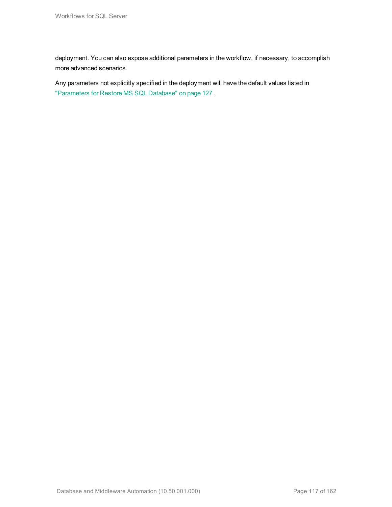deployment. You can also expose additional parameters in the workflow, if necessary, to accomplish more advanced scenarios.

Any parameters not explicitly specified in the deployment will have the default values listed in ["Parameters](#page-126-0) for Restore MS SQL Database" on page 127 .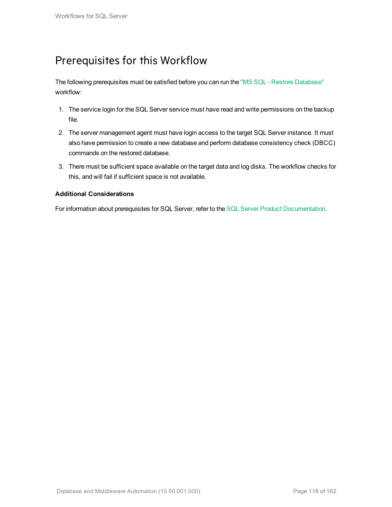# <span id="page-117-0"></span>Prerequisites for this Workflow

The following prerequisites must be satisfied before you can run the "MS SQL - Restore [Database"](#page-115-0) workflow:

- 1. The service login for the SQL Server service must have read and write permissions on the backup file.
- 2. The server management agent must have login access to the target SQL Server instance. It must also have permission to create a new database and perform database consistency check (DBCC) commands on the restored database.
- 3. There must be sufficient space available on the target data and log disks. The workflow checks for this, and will fail if sufficient space is not available.

### **Additional Considerations**

For information about prerequisites for SQL Server, refer to the SQL Server Product [Documentation](http://msdn.microsoft.com/en-us/library).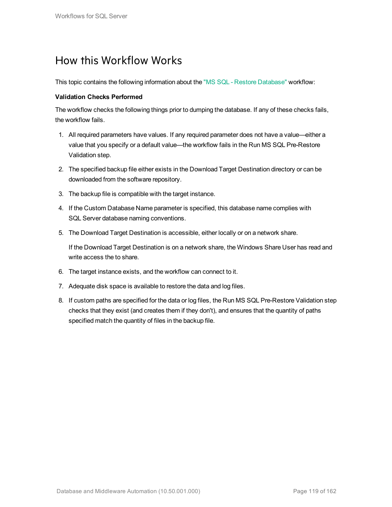# <span id="page-118-0"></span>How this Workflow Works

<span id="page-118-1"></span>This topic contains the following information about the "MS SQL - Restore [Database"](#page-115-0) workflow:

### **Validation Checks Performed**

The workflow checks the following things prior to dumping the database. If any of these checks fails, the workflow fails.

- 1. All required parameters have values. If any required parameter does not have a value—either a value that you specify or a default value—the workflow fails in the Run MS SQL Pre-Restore Validation step.
- 2. The specified backup file either exists in the Download Target Destination directory or can be downloaded from the software repository.
- 3. The backup file is compatible with the target instance.
- 4. If the Custom Database Name parameter is specified, this database name complies with SQL Server database naming conventions.
- 5. The Download Target Destination is accessible, either locally or on a network share.

If the Download Target Destination is on a network share, the Windows Share User has read and write access the to share.

- 6. The target instance exists, and the workflow can connect to it.
- 7. Adequate disk space is available to restore the data and log files.
- 8. If custom paths are specified for the data or log files, the Run MS SQL Pre-Restore Validation step checks that they exist (and creates them if they don't), and ensures that the quantity of paths specified match the quantity of files in the backup file.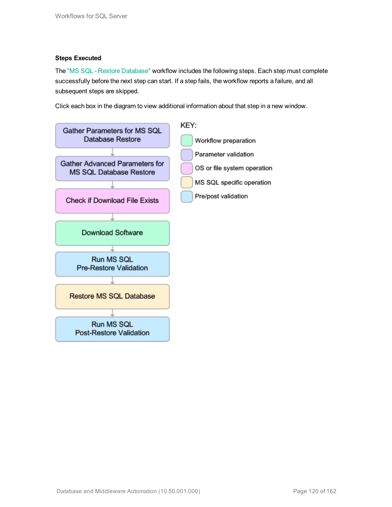#### **Steps Executed**

The "MS SQL - Restore [Database"](#page-115-0) workflow includes the following steps. Each step must complete successfully before the next step can start. If a step fails, the workflow reports a failure, and all subsequent steps are skipped.

Click each box in the diagram to view additional information about that step in a new window.

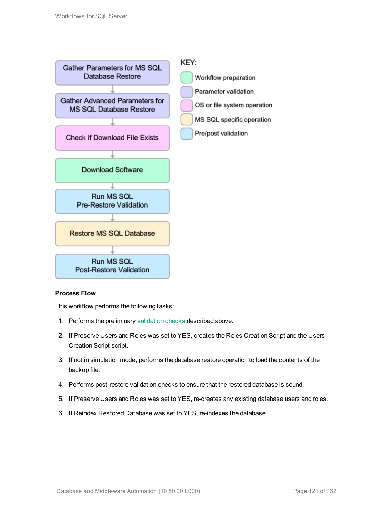

#### **Process Flow**

This workflow performs the following tasks:

- 1. Performs the preliminary [validation](#page-118-1) checks described above.
- 2. If Preserve Users and Roles was set to YES, creates the Roles Creation Script and the Users Creation Script script.
- 3. If not in simulation mode, performs the database restore operation to load the contents of the backup file.
- 4. Performs post-restore validation checks to ensure that the restored database is sound.
- 5. If Preserve Users and Roles was set to YES, re-creates any existing database users and roles.
- 6. If Reindex Restored Database was set to YES, re-indexes the database.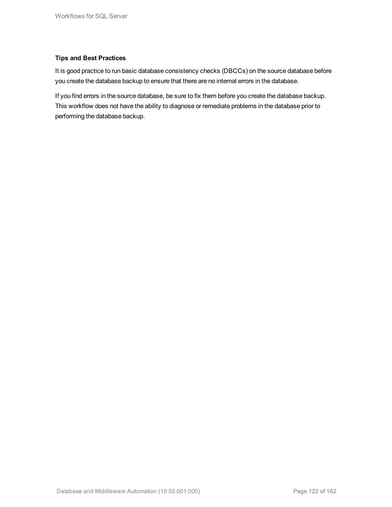#### **Tips and Best Practices**

It is good practice to run basic database consistency checks (DBCCs) on the source database before you create the database backup to ensure that there are no internal errors in the database.

If you find errors in the source database, be sure to fix them before you create the database backup. This workflow does not have the ability to diagnose or remediate problems in the database prior to performing the database backup.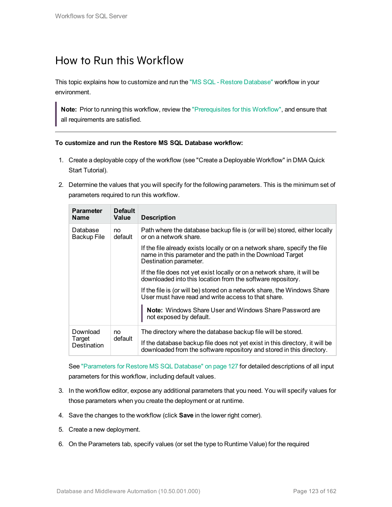# <span id="page-122-0"></span>How to Run this Workflow

This topic explains how to customize and run the "MS SQL - Restore [Database"](#page-115-0) workflow in your environment.

**Note:** Prior to running this workflow, review the ["Prerequisites](#page-117-0) for this Workflow", and ensure that all requirements are satisfied.

### **To customize and run the Restore MS SQL Database workflow:**

- 1. Create a deployable copy of the workflow (see "Create a Deployable Workflow" in DMA Quick Start Tutorial).
- 2. Determine the values that you will specify for the following parameters. This is the minimum set of parameters required to run this workflow.

| <b>Parameter</b><br><b>Name</b> | <b>Default</b><br>Value | <b>Description</b>                                                                                                                                                 |
|---------------------------------|-------------------------|--------------------------------------------------------------------------------------------------------------------------------------------------------------------|
| Database<br>Backup File         | no<br>default           | Path where the database backup file is (or will be) stored, either locally<br>or on a network share.                                                               |
|                                 |                         | If the file already exists locally or on a network share, specify the file<br>name in this parameter and the path in the Download Target<br>Destination parameter. |
|                                 |                         | If the file does not yet exist locally or on a network share, it will be<br>downloaded into this location from the software repository.                            |
|                                 |                         | If the file is (or will be) stored on a network share, the Windows Share<br>User must have read and write access to that share.                                    |
|                                 |                         | <b>Note:</b> Windows Share User and Windows Share Password are<br>not exposed by default.                                                                          |
| Download                        | no                      | The directory where the database backup file will be stored.                                                                                                       |
| Target<br>Destination           | default                 | If the database backup file does not yet exist in this directory, it will be<br>downloaded from the software repository and stored in this directory.              |

See ["Parameters](#page-126-0) for Restore MS SQL Database" on page 127 for detailed descriptions of all input parameters for this workflow, including default values.

- 3. In the workflow editor, expose any additional parameters that you need. You will specify values for those parameters when you create the deployment or at runtime.
- 4. Save the changes to the workflow (click **Save** in the lower right corner).
- 5. Create a new deployment.
- 6. On the Parameters tab, specify values (or set the type to Runtime Value) for the required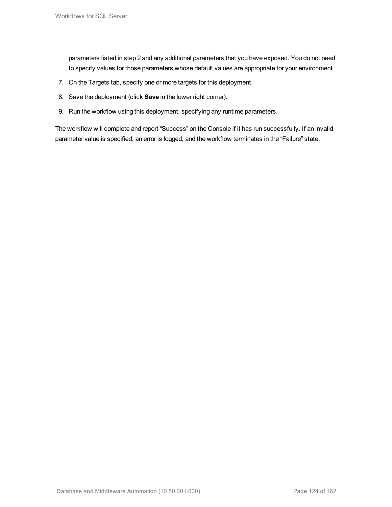parameters listed in step 2 and any additional parameters that you have exposed. You do not need to specify values for those parameters whose default values are appropriate for your environment.

- 7. On the Targets tab, specify one or more targets for this deployment.
- 8. Save the deployment (click **Save** in the lower right corner).
- 9. Run the workflow using this deployment, specifying any runtime parameters.

The workflow will complete and report "Success" on the Console if it has run successfully. If an invalid parameter value is specified, an error is logged, and the workflow terminates in the "Failure" state.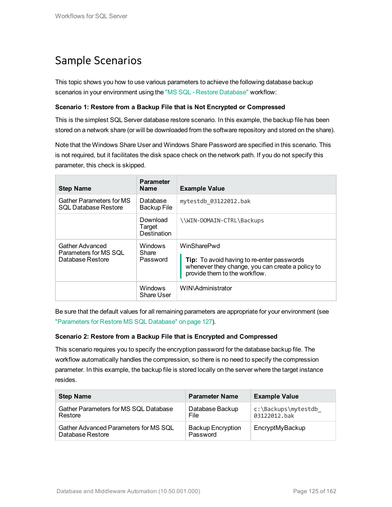# <span id="page-124-0"></span>Sample Scenarios

This topic shows you how to use various parameters to achieve the following database backup scenarios in your environment using the "MS SQL - Restore [Database"](#page-115-0) workflow:

### **Scenario 1: Restore from a Backup File that is Not Encrypted or Compressed**

This is the simplest SQL Server database restore scenario. In this example, the backup file has been stored on a network share (or will be downloaded from the software repository and stored on the share).

Note that the Windows Share User and Windows Share Password are specified in this scenario. This is not required, but it facilitates the disk space check on the network path. If you do not specify this parameter, this check is skipped.

| <b>Step Name</b>                                               | <b>Parameter</b><br>Name            | <b>Example Value</b>                                                                                                                                  |
|----------------------------------------------------------------|-------------------------------------|-------------------------------------------------------------------------------------------------------------------------------------------------------|
| <b>Gather Parameters for MS</b><br><b>SQL Database Restore</b> | Database<br>Backup File             | mytestdb 03122012.bak                                                                                                                                 |
|                                                                | Download<br>Target<br>Destination   | \\WIN-DOMAIN-CTRL\Backups                                                                                                                             |
| Gather Advanced<br>Parameters for MS SQL<br>Database Restore   | <b>Windows</b><br>Share<br>Password | WinSharePwd<br><b>Tip:</b> To avoid having to re-enter passwords<br>whenever they change, you can create a policy to<br>provide them to the workflow. |
|                                                                | <b>Windows</b><br>Share User        | WIN\Administrator                                                                                                                                     |

Be sure that the default values for all remaining parameters are appropriate for your environment (see ["Parameters](#page-126-0) for Restore MS SQL Database" on page 127).

### **Scenario 2: Restore from a Backup File that is Encrypted and Compressed**

This scenario requires you to specify the encryption password for the database backup file. The workflow automatically handles the compression, so there is no need to specify the compression parameter. In this example, the backup file is stored locally on the server where the target instance resides.

| <b>Step Name</b>                                          | <b>Parameter Name</b>                | <b>Example Value</b>                |
|-----------------------------------------------------------|--------------------------------------|-------------------------------------|
| Gather Parameters for MS SQL Database<br>Restore          | Database Backup<br>File              | c:\Backups\mytestdb<br>03122012.bak |
| Gather Advanced Parameters for MS SQL<br>Database Restore | <b>Backup Encryption</b><br>Password | EncryptMyBackup                     |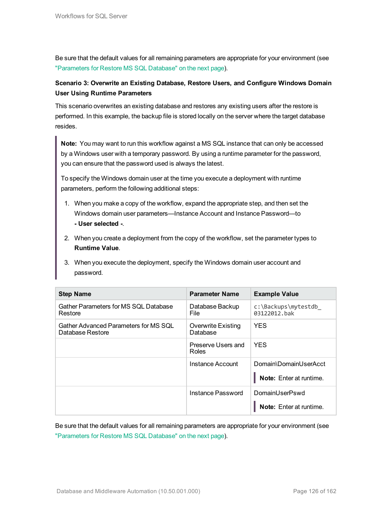Be sure that the default values for all remaining parameters are appropriate for your environment (see ["Parameters](#page-126-0) for Restore MS SQL Database" on the next page).

### **Scenario 3: Overwrite an Existing Database, Restore Users, and Configure Windows Domain User Using Runtime Parameters**

This scenario overwrites an existing database and restores any existing users after the restore is performed. In this example, the backup file is stored locally on the server where the target database resides.

**Note:** You may want to run this workflow against a MS SQL instance that can only be accessed by a Windows user with a temporary password. By using a runtime parameter for the password, you can ensure that the password used is always the latest.

To specify the Windows domain user at the time you execute a deployment with runtime parameters, perform the following additional steps:

- 1. When you make a copy of the workflow, expand the appropriate step, and then set the Windows domain user parameters—Instance Account and Instance Password—to **- User selected -**.
- 2. When you create a deployment from the copy of the workflow, set the parameter types to **Runtime Value**.
- 3. When you execute the deployment, specify the Windows domain user account and password.

| <b>Step Name</b>                                          | <b>Parameter Name</b>          | <b>Example Value</b>                             |
|-----------------------------------------------------------|--------------------------------|--------------------------------------------------|
| Gather Parameters for MS SQL Database<br>Restore          | Database Backup<br>File        | c:\Backups\mytestdb<br>03122012.bak              |
| Gather Advanced Parameters for MS SQL<br>Database Restore | Overwrite Existing<br>Database | <b>YES</b>                                       |
|                                                           | Preserve Users and<br>Roles    | <b>YES</b>                                       |
|                                                           | Instance Account               | Domain\DomainUserAcct<br>Note: Enter at runtime. |
|                                                           | Instance Password              | DomainUserPswd<br>Note: Enter at runtime.        |

Be sure that the default values for all remaining parameters are appropriate for your environment (see ["Parameters](#page-126-0) for Restore MS SQL Database" on the next page).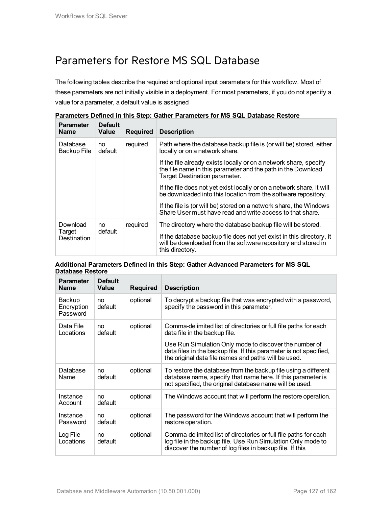# <span id="page-126-0"></span>Parameters for Restore MS SQL Database

The following tables describe the required and optional input parameters for this workflow. Most of these parameters are not initially visible in a deployment. For most parameters, if you do not specify a value for a parameter, a default value is assigned

| <b>Parameter</b><br>Name                 | <b>Default</b><br>Value | <b>Required</b> | <b>Description</b>                                                                                                                                                                                                       |
|------------------------------------------|-------------------------|-----------------|--------------------------------------------------------------------------------------------------------------------------------------------------------------------------------------------------------------------------|
| Database<br>Backup File                  | no<br>default           | required        | Path where the database backup file is (or will be) stored, either<br>locally or on a network share.                                                                                                                     |
|                                          |                         |                 | If the file already exists locally or on a network share, specify<br>the file name in this parameter and the path in the Download<br>Target Destination parameter.                                                       |
|                                          |                         |                 | If the file does not yet exist locally or on a network share, it will<br>be downloaded into this location from the software repository.                                                                                  |
|                                          |                         |                 | If the file is (or will be) stored on a network share, the Windows<br>Share User must have read and write access to that share.                                                                                          |
| Download<br>Target<br><b>Destination</b> | no<br>default           | required        | The directory where the database backup file will be stored.<br>If the database backup file does not yet exist in this directory, it<br>will be downloaded from the software repository and stored in<br>this directory. |
|                                          |                         |                 |                                                                                                                                                                                                                          |

### **Parameters Defined in this Step: Gather Parameters for MS SQL Database Restore**

#### **Additional Parameters Defined in this Step: Gather Advanced Parameters for MS SQL Database Restore**

| <b>Parameter</b><br><b>Name</b>  | <b>Default</b><br>Value | <b>Required</b> | <b>Description</b>                                                                                                                                                                                                                                                                       |
|----------------------------------|-------------------------|-----------------|------------------------------------------------------------------------------------------------------------------------------------------------------------------------------------------------------------------------------------------------------------------------------------------|
| Backup<br>Encryption<br>Password | no<br>default           | optional        | To decrypt a backup file that was encrypted with a password,<br>specify the password in this parameter.                                                                                                                                                                                  |
| Data File<br>Locations           | no<br>default           | optional        | Comma-delimited list of directories or full file paths for each<br>data file in the backup file.<br>Use Run Simulation Only mode to discover the number of<br>data files in the backup file. If this parameter is not specified,<br>the original data file names and paths will be used. |
| Database<br>Name                 | no<br>default           | optional        | To restore the database from the backup file using a different<br>database name, specify that name here. If this parameter is<br>not specified, the original database name will be used.                                                                                                 |
| Instance<br>Account              | no<br>default           | optional        | The Windows account that will perform the restore operation.                                                                                                                                                                                                                             |
| Instance<br>Password             | no<br>default           | optional        | The password for the Windows account that will perform the<br>restore operation.                                                                                                                                                                                                         |
| Log File<br>Locations            | no<br>default           | optional        | Comma-delimited list of directories or full file paths for each<br>log file in the backup file. Use Run Simulation Only mode to<br>discover the number of log files in backup file. If this                                                                                              |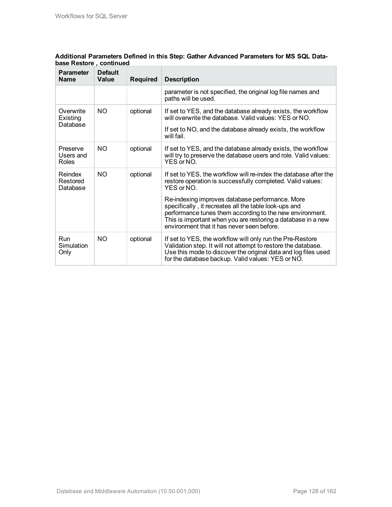|                         | Additional Parameters Defined in this Step: Gather Advanced Parameters for MS SQL Data- |  |
|-------------------------|-----------------------------------------------------------------------------------------|--|
| base Restore, continued |                                                                                         |  |

| <b>Parameter</b><br><b>Name</b>   | <b>Default</b><br>Value | <b>Required</b> | <b>Description</b>                                                                                                                                                                                                                                                                                                                                                                                                                 |
|-----------------------------------|-------------------------|-----------------|------------------------------------------------------------------------------------------------------------------------------------------------------------------------------------------------------------------------------------------------------------------------------------------------------------------------------------------------------------------------------------------------------------------------------------|
|                                   |                         |                 | parameter is not specified, the original log file names and<br>paths will be used.                                                                                                                                                                                                                                                                                                                                                 |
| Overwrite<br>Existing<br>Database | <b>NO</b>               | optional        | If set to YES, and the database already exists, the workflow<br>will overwrite the database. Valid values: YES or NO.<br>If set to NO, and the database already exists, the workflow<br>will fail.                                                                                                                                                                                                                                 |
| Preserve<br>Users and<br>Roles    | NO.                     | optional        | If set to YES, and the database already exists, the workflow<br>will try to preserve the database users and role. Valid values:<br>YES or NO.                                                                                                                                                                                                                                                                                      |
| Reindex<br>Restored<br>Database   | <b>NO</b>               | optional        | If set to YES, the workflow will re-index the database after the<br>restore operation is successfully completed. Valid values:<br>YES or NO.<br>Re-indexing improves database performance. More<br>specifically, it recreates all the table look-ups and<br>performance tunes them according to the new environment.<br>This is important when you are restoring a database in a new<br>environment that it has never seen before. |
| <b>Run</b><br>Simulation<br>Only  | NO.                     | optional        | If set to YES, the workflow will only run the Pre-Restore<br>Validation step. It will not attempt to restore the database.<br>Use this mode to discover the original data and log files used<br>for the database backup. Valid values: YES or NO.                                                                                                                                                                                  |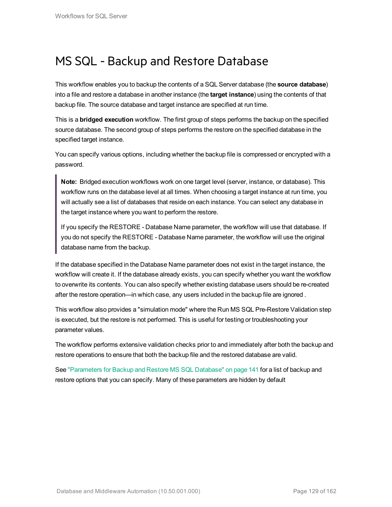# <span id="page-128-0"></span>MS SQL - Backup and Restore Database

This workflow enables you to backup the contents of a SQL Server database (the **source database**) into a file and restore a database in another instance (the **target instance**) using the contents of that backup file. The source database and target instance are specified at run time.

This is a **bridged execution** workflow. The first group of steps performs the backup on the specified source database. The second group of steps performs the restore on the specified database in the specified target instance.

You can specify various options, including whether the backup file is compressed or encrypted with a password.

**Note:** Bridged execution workflows work on one target level (server, instance, or database). This workflow runs on the database level at all times. When choosing a target instance at run time, you will actually see a list of databases that reside on each instance. You can select any database in the target instance where you want to perform the restore.

If you specify the RESTORE - Database Name parameter, the workflow will use that database. If you do not specify the RESTORE - Database Name parameter, the workflow will use the original database name from the backup.

If the database specified in the Database Name parameter does not exist in the target instance, the workflow will create it. If the database already exists, you can specify whether you want the workflow to overwrite its contents. You can also specify whether existing database users should be re-created after the restore operation—in which case, any users included in the backup file are ignored .

This workflow also provides a "simulation mode" where the Run MS SQL Pre-Restore Validation step is executed, but the restore is not performed. This is useful for testing or troubleshooting your parameter values.

The workflow performs extensive validation checks prior to and immediately after both the backup and restore operations to ensure that both the backup file and the restored database are valid.

See ["Parameters](#page-140-0) for Backup and Restore MS SQL Database" on page 141 for a list of backup and restore options that you can specify. Many of these parameters are hidden by default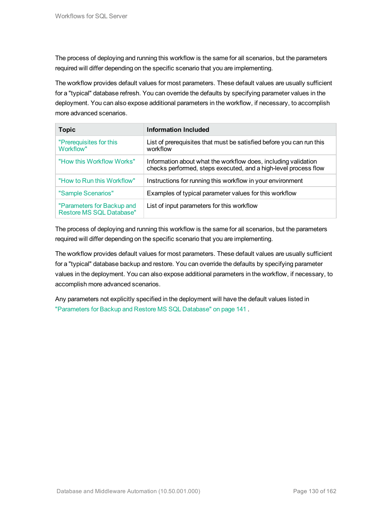The process of deploying and running this workflow is the same for all scenarios, but the parameters required will differ depending on the specific scenario that you are implementing.

The workflow provides default values for most parameters. These default values are usually sufficient for a "typical" database refresh. You can override the defaults by specifying parameter values in the deployment. You can also expose additional parameters in the workflow, if necessary, to accomplish more advanced scenarios.

| <b>Topic</b>                                           | <b>Information Included</b>                                                                                                       |
|--------------------------------------------------------|-----------------------------------------------------------------------------------------------------------------------------------|
| "Prerequisites for this<br>Workflow"                   | List of prerequisites that must be satisfied before you can run this<br>workflow                                                  |
| "How this Workflow Works"                              | Information about what the workflow does, including validation<br>checks performed, steps executed, and a high-level process flow |
| "How to Run this Workflow"                             | Instructions for running this workflow in your environment                                                                        |
| "Sample Scenarios"                                     | Examples of typical parameter values for this workflow                                                                            |
| "Parameters for Backup and<br>Restore MS SQL Database" | List of input parameters for this workflow                                                                                        |

The process of deploying and running this workflow is the same for all scenarios, but the parameters required will differ depending on the specific scenario that you are implementing.

The workflow provides default values for most parameters. These default values are usually sufficient for a "typical" database backup and restore. You can override the defaults by specifying parameter values in the deployment. You can also expose additional parameters in the workflow, if necessary, to accomplish more advanced scenarios.

Any parameters not explicitly specified in the deployment will have the default values listed in ["Parameters](#page-140-0) for Backup and Restore MS SQL Database" on page 141 .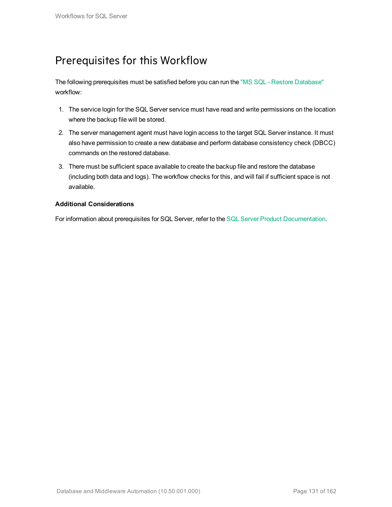# <span id="page-130-0"></span>Prerequisites for this Workflow

The following prerequisites must be satisfied before you can run the "MS SQL - Restore [Database"](#page-115-0) workflow:

- 1. The service login for the SQL Server service must have read and write permissions on the location where the backup file will be stored.
- 2. The server management agent must have login access to the target SQL Server instance. It must also have permission to create a new database and perform database consistency check (DBCC) commands on the restored database.
- 3. There must be sufficient space available to create the backup file and restore the database (including both data and logs). The workflow checks for this, and will fail if sufficient space is not available.

### **Additional Considerations**

For information about prerequisites for SQL Server, refer to the SQL Server Product [Documentation](http://msdn.microsoft.com/en-us/library).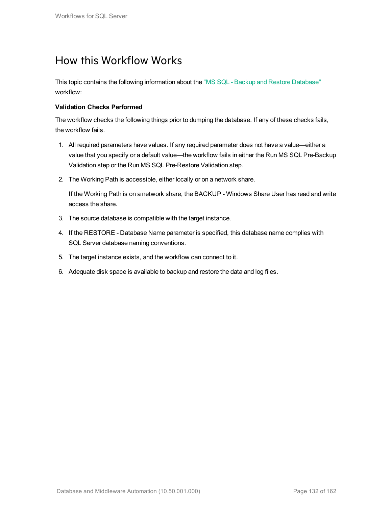# <span id="page-131-0"></span>How this Workflow Works

This topic contains the following information about the "MS SQL - Backup and Restore [Database"](#page-128-0) workflow:

### <span id="page-131-1"></span>**Validation Checks Performed**

The workflow checks the following things prior to dumping the database. If any of these checks fails, the workflow fails.

- 1. All required parameters have values. If any required parameter does not have a value—either a value that you specify or a default value—the workflow fails in either the Run MS SQL Pre-Backup Validation step or the Run MS SQL Pre-Restore Validation step.
- 2. The Working Path is accessible, either locally or on a network share.

If the Working Path is on a network share, the BACKUP - Windows Share User has read and write access the share.

- 3. The source database is compatible with the target instance.
- 4. If the RESTORE Database Name parameter is specified, this database name complies with SQL Server database naming conventions.
- 5. The target instance exists, and the workflow can connect to it.
- 6. Adequate disk space is available to backup and restore the data and log files.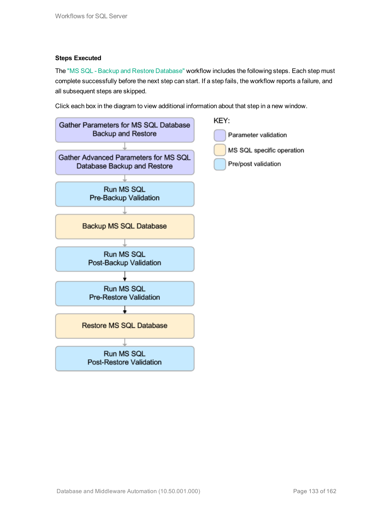#### **Steps Executed**

The "MS SQL - Backup and Restore [Database"](#page-128-0) workflow includes the following steps. Each step must complete successfully before the next step can start. If a step fails, the workflow reports a failure, and all subsequent steps are skipped.

Click each box in the diagram to view additional information about that step in a new window.

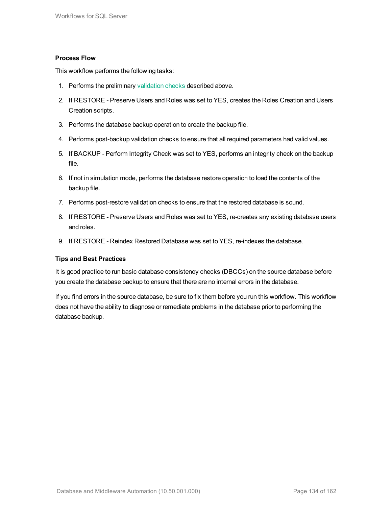#### **Process Flow**

This workflow performs the following tasks:

- 1. Performs the preliminary [validation](#page-131-1) checks described above.
- 2. If RESTORE Preserve Users and Roles was set to YES, creates the Roles Creation and Users Creation scripts.
- 3. Performs the database backup operation to create the backup file.
- 4. Performs post-backup validation checks to ensure that all required parameters had valid values.
- 5. If BACKUP Perform Integrity Check was set to YES, performs an integrity check on the backup file.
- 6. If not in simulation mode, performs the database restore operation to load the contents of the backup file.
- 7. Performs post-restore validation checks to ensure that the restored database is sound.
- 8. If RESTORE Preserve Users and Roles was set to YES, re-creates any existing database users and roles.
- 9. If RESTORE Reindex Restored Database was set to YES, re-indexes the database.

#### **Tips and Best Practices**

It is good practice to run basic database consistency checks (DBCCs) on the source database before you create the database backup to ensure that there are no internal errors in the database.

If you find errors in the source database, be sure to fix them before you run this workflow. This workflow does not have the ability to diagnose or remediate problems in the database prior to performing the database backup.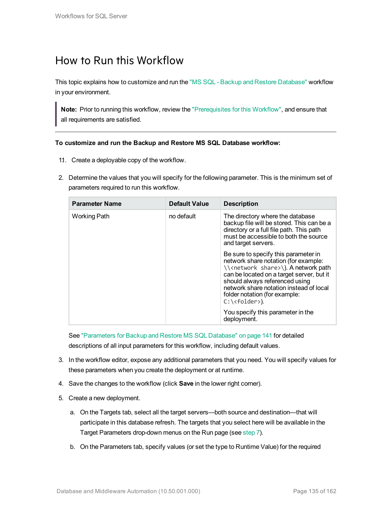# <span id="page-134-0"></span>How to Run this Workflow

This topic explains how to customize and run the "MS SQL - Backup and Restore [Database"](#page-128-0) workflow in your environment.

**Note:** Prior to running this workflow, review the ["Prerequisites](#page-130-0) for this Workflow", and ensure that all requirements are satisfied.

### **To customize and run the Backup and Restore MS SQL Database workflow:**

- <span id="page-134-1"></span>11. Create a deployable copy of the workflow.
- 2. Determine the values that you will specify for the following parameter. This is the minimum set of parameters required to run this workflow.

| <b>Parameter Name</b> | <b>Default Value</b> | <b>Description</b>                                                                                                                                                                                                                                                                                                                                                                    |
|-----------------------|----------------------|---------------------------------------------------------------------------------------------------------------------------------------------------------------------------------------------------------------------------------------------------------------------------------------------------------------------------------------------------------------------------------------|
| <b>Working Path</b>   | no default           | The directory where the database<br>backup file will be stored. This can be a<br>directory or a full file path. This path<br>must be accessible to both the source<br>and target servers.                                                                                                                                                                                             |
|                       |                      | Be sure to specify this parameter in<br>network share notation (for example:<br>\\ <network share="">\). A network path<br/>can be located on a target server, but it<br/>should always referenced using<br/>network share notation instead of local<br/>folder notation (for example:<br/><math>C:\c{folder}</math>.<br/>You specify this parameter in the<br/>deployment.</network> |

<span id="page-134-2"></span>See ["Parameters](#page-140-0) for Backup and Restore MS SQL Database" on page 141 for detailed descriptions of all input parameters for this workflow, including default values.

- 3. In the workflow editor, expose any additional parameters that you need. You will specify values for these parameters when you create the deployment or at runtime.
- 4. Save the changes to the workflow (click **Save** in the lower right corner).
- 5. Create a new deployment.
	- a. On the Targets tab, select all the target servers—both source and destination—that will participate in this database refresh. The targets that you select here will be available in the Target Parameters drop-down menus on the Run page (see [step](#page-135-0) 7).
	- b. On the Parameters tab, specify values (or set the type to Runtime Value) for the required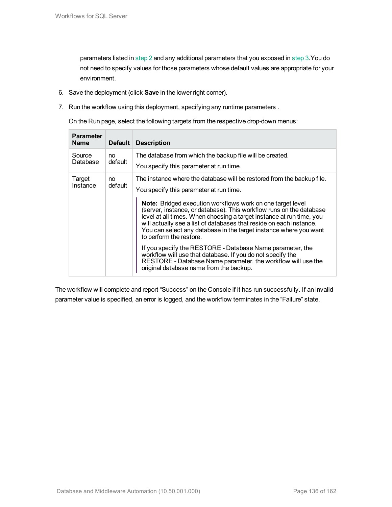parameters listed in [step](#page-134-1) 2 and any additional parameters that you exposed in [step](#page-134-2) 3.You do not need to specify values for those parameters whose default values are appropriate for your environment.

- <span id="page-135-0"></span>6. Save the deployment (click **Save** in the lower right corner).
- 7. Run the workflow using this deployment, specifying any runtime parameters .

On the Run page, select the following targets from the respective drop-down menus:

| <b>Parameter</b><br><b>Name</b> | <b>Default</b> | <b>Description</b>                                                                                                                                                                                                                                                                                                                                                               |  |  |
|---------------------------------|----------------|----------------------------------------------------------------------------------------------------------------------------------------------------------------------------------------------------------------------------------------------------------------------------------------------------------------------------------------------------------------------------------|--|--|
| Source<br>no.                   |                | The database from which the backup file will be created.                                                                                                                                                                                                                                                                                                                         |  |  |
| Database                        | default        | You specify this parameter at run time.                                                                                                                                                                                                                                                                                                                                          |  |  |
| Target                          | no.            | The instance where the database will be restored from the backup file.                                                                                                                                                                                                                                                                                                           |  |  |
| Instance                        | default        | You specify this parameter at run time.                                                                                                                                                                                                                                                                                                                                          |  |  |
|                                 |                | Note: Bridged execution workflows work on one target level<br>(server, instance, or database). This workflow runs on the database<br>level at all times. When choosing a target instance at run time, you<br>will actually see a list of databases that reside on each instance.<br>You can select any database in the target instance where you want<br>to perform the restore. |  |  |
|                                 |                | If you specify the RESTORE - Database Name parameter, the<br>workflow will use that database. If you do not specify the<br>RESTORE - Database Name parameter, the workflow will use the<br>original database name from the backup.                                                                                                                                               |  |  |

The workflow will complete and report "Success" on the Console if it has run successfully. If an invalid parameter value is specified, an error is logged, and the workflow terminates in the "Failure" state.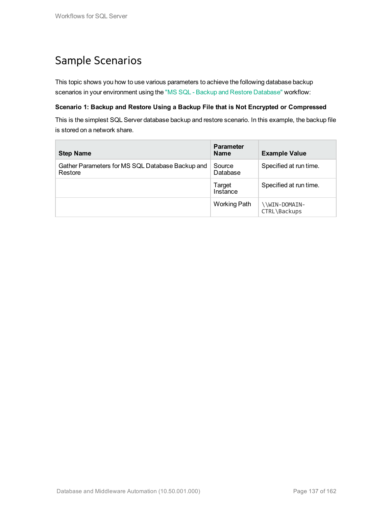# <span id="page-136-0"></span>Sample Scenarios

This topic shows you how to use various parameters to achieve the following database backup scenarios in your environment using the "MS SQL - Backup and Restore [Database"](#page-128-0) workflow:

#### **Scenario 1: Backup and Restore Using a Backup File that is Not Encrypted or Compressed**

This is the simplest SQL Server database backup and restore scenario. In this example, the backup file is stored on a network share.

| <b>Step Name</b>                                            | <b>Parameter</b><br><b>Name</b> | <b>Example Value</b>          |
|-------------------------------------------------------------|---------------------------------|-------------------------------|
| Gather Parameters for MS SQL Database Backup and<br>Restore | Source<br>Database              | Specified at run time.        |
|                                                             | Target<br>Instance              | Specified at run time.        |
|                                                             | <b>Working Path</b>             | \\WIN-DOMAIN-<br>CTRL\Backups |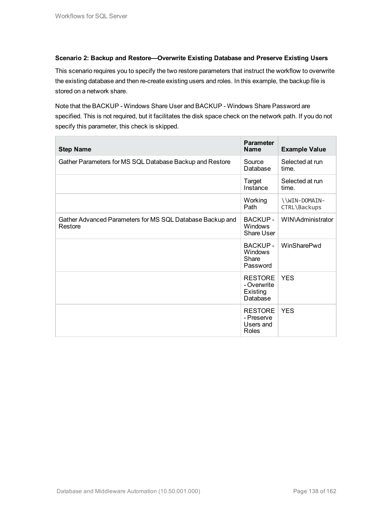### **Scenario 2: Backup and Restore—Overwrite Existing Database and Preserve Existing Users**

This scenario requires you to specify the two restore parameters that instruct the workflow to overwrite the existing database and then re-create existing users and roles. In this example, the backup file is stored on a network share.

Note that the BACKUP - Windows Share User and BACKUP - Windows Share Password are specified. This is not required, but it facilitates the disk space check on the network path. If you do not specify this parameter, this check is skipped.

| <b>Step Name</b>                                                     | <b>Parameter</b><br><b>Name</b>                       | <b>Example Value</b>          |
|----------------------------------------------------------------------|-------------------------------------------------------|-------------------------------|
| Gather Parameters for MS SQL Database Backup and Restore             | Source<br>Database                                    | Selected at run<br>time.      |
|                                                                      | Target<br>Instance                                    | Selected at run<br>time.      |
|                                                                      | Working<br>Path                                       | \\WIN-DOMAIN-<br>CTRL\Backups |
| Gather Advanced Parameters for MS SQL Database Backup and<br>Restore | <b>BACKUP-</b><br>Windows<br>Share User               | WIN\Administrator             |
|                                                                      | <b>BACKUP-</b><br>Windows<br>Share<br>Password        | WinSharePwd                   |
|                                                                      | <b>RESTORE</b><br>- Overwrite<br>Existing<br>Database | <b>YES</b>                    |
|                                                                      | <b>RESTORE</b><br>- Preserve<br>Users and<br>Roles    | <b>YES</b>                    |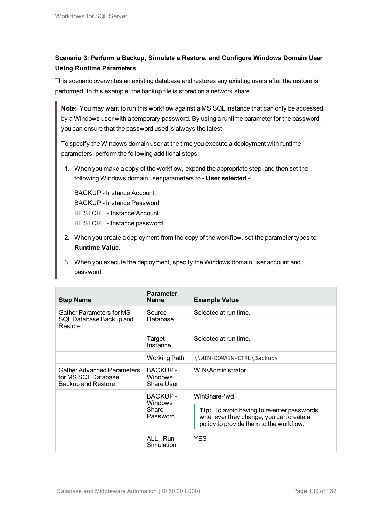### **Scenario 3: Perform a Backup, Simulate a Restore, and Configure Windows Domain User Using Runtime Parameters**

This scenario overwrites an existing database and restores any existing users after the restore is performed. In this example, the backup file is stored on a network share.

**Note:** You may want to run this workflow against a MS SQL instance that can only be accessed by a Windows user with a temporary password. By using a runtime parameter for the password, you can ensure that the password used is always the latest.

To specify the Windows domain user at the time you execute a deployment with runtime parameters, perform the following additional steps:

1. When you make a copy of the workflow, expand the appropriate step, and then set the following Windows domain user parameters to **- User selected -**:

BACKUP - Instance Account BACKUP - Instance Password RESTORE - Instance Account RESTORE - Instance password

- 2. When you create a deployment from the copy of the workflow, set the parameter types to **Runtime Value**.
- 3. When you execute the deployment, specify the Windows domain user account and password.

| <b>Step Name</b>                                                               | <b>Parameter</b><br><b>Name</b>                 | <b>Example Value</b>                                                                                                                                  |
|--------------------------------------------------------------------------------|-------------------------------------------------|-------------------------------------------------------------------------------------------------------------------------------------------------------|
| <b>Gather Parameters for MS</b><br>SQL Database Backup and<br>Restore          | Source<br>Database                              | Selected at run time.                                                                                                                                 |
|                                                                                | Target<br>Instance                              | Selected at run time.                                                                                                                                 |
|                                                                                | <b>Working Path</b>                             | \\WIN-DOMAIN-CTRL\Backups                                                                                                                             |
| Gather Advanced Parameters<br>for MS SQL Database<br><b>Backup and Restore</b> | BACKUP-<br><b>Windows</b><br>Share User         | WIN\Administrator                                                                                                                                     |
|                                                                                | BACKUP -<br><b>Windows</b><br>Share<br>Password | WinSharePwd<br><b>Tip:</b> To avoid having to re-enter passwords<br>whenever they change, you can create a<br>policy to provide them to the workflow. |
|                                                                                | ALL - Run<br>Simulation                         | <b>YES</b>                                                                                                                                            |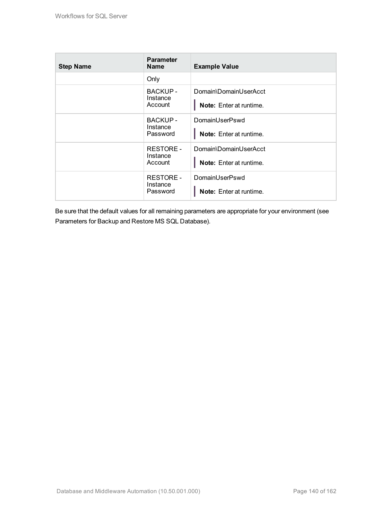| <b>Step Name</b> | <b>Parameter</b><br><b>Name</b>          | <b>Example Value</b>                             |  |  |
|------------------|------------------------------------------|--------------------------------------------------|--|--|
|                  | Only                                     |                                                  |  |  |
|                  | <b>BACKUP-</b><br>Instance<br>Account    | Domain\DomainUserAcct<br>Note: Enter at runtime. |  |  |
|                  | BACKUP-<br>Instance<br>Password          | DomainUserPswd<br><b>Note:</b> Enter at runtime. |  |  |
|                  | <b>RESTORE -</b><br>Instance<br>Account  | Domain\DomainUserAcct<br>Note: Enter at runtime. |  |  |
|                  | <b>RESTORE -</b><br>Instance<br>Password | DomainUserPswd<br><b>Note:</b> Enter at runtime. |  |  |

Be sure that the default values for all remaining parameters are appropriate for your environment (see Parameters for Backup and Restore MS SQL Database).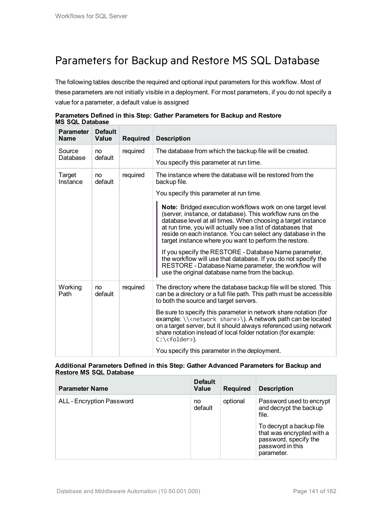# <span id="page-140-0"></span>Parameters for Backup and Restore MS SQL Database

The following tables describe the required and optional input parameters for this workflow. Most of these parameters are not initially visible in a deployment. For most parameters, if you do not specify a value for a parameter, a default value is assigned

| <b>Parameter</b><br><b>Name</b> | <b>Default</b><br>Value | <b>Required</b> | <b>Description</b>                                                                                                                                                                                                                                                                                                                                                               |  |  |
|---------------------------------|-------------------------|-----------------|----------------------------------------------------------------------------------------------------------------------------------------------------------------------------------------------------------------------------------------------------------------------------------------------------------------------------------------------------------------------------------|--|--|
| Source                          | no                      | required        | The database from which the backup file will be created.                                                                                                                                                                                                                                                                                                                         |  |  |
| Database                        | default                 |                 | You specify this parameter at run time.                                                                                                                                                                                                                                                                                                                                          |  |  |
| Target<br>Instance              | no<br>default           | required        | The instance where the database will be restored from the<br>backup file.<br>You specify this parameter at run time.                                                                                                                                                                                                                                                             |  |  |
|                                 |                         |                 | Note: Bridged execution workflows work on one target level<br>(server, instance, or database). This workflow runs on the<br>database level at all times. When choosing a target instance<br>at run time, you will actually see a list of databases that<br>reside on each instance. You can select any database in the<br>target instance where you want to perform the restore. |  |  |
|                                 |                         |                 | If you specify the RESTORE - Database Name parameter,<br>the workflow will use that database. If you do not specify the<br>RESTORE - Database Name parameter, the workflow will<br>use the original database name from the backup.                                                                                                                                               |  |  |
| Working<br>Path                 | no<br>default           | required        | The directory where the database backup file will be stored. This<br>can be a directory or a full file path. This path must be accessible<br>to both the source and target servers.                                                                                                                                                                                              |  |  |
|                                 |                         |                 | Be sure to specify this parameter in network share notation (for<br>example: \\ <network share="">\). A network path can be located<br/>on a target server, but it should always referenced using network<br/>share notation instead of local folder notation (for example:<br/><math>C:\c{folder}</math>).</network>                                                            |  |  |
|                                 |                         |                 | You specify this parameter in the deployment.                                                                                                                                                                                                                                                                                                                                    |  |  |

| Parameters Defined in this Step: Gather Parameters for Backup and Restore |  |  |
|---------------------------------------------------------------------------|--|--|
| <b>MS SQL Database</b>                                                    |  |  |

#### **Additional Parameters Defined in this Step: Gather Advanced Parameters for Backup and Restore MS SQL Database**

| <b>Parameter Name</b>            | <b>Default</b><br>Value | <b>Required</b> | <b>Description</b>                                                                                                                                                              |
|----------------------------------|-------------------------|-----------------|---------------------------------------------------------------------------------------------------------------------------------------------------------------------------------|
| <b>ALL - Encryption Password</b> | no<br>default           | optional        | Password used to encrypt<br>and decrypt the backup<br>file.<br>To decrypt a backup file<br>that was encrypted with a<br>password, specify the<br>password in this<br>parameter. |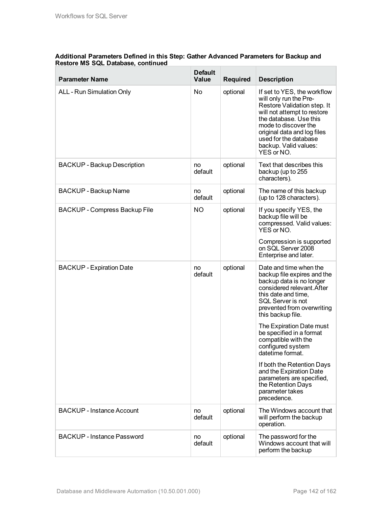#### **Additional Parameters Defined in this Step: Gather Advanced Parameters for Backup and Restore MS SQL Database, continued**

| <b>Parameter Name</b>              | <b>Default</b><br>Value | <b>Required</b> | <b>Description</b>                                                                                                                                                                                                                                                                                                                                                                                                                                                                                            |
|------------------------------------|-------------------------|-----------------|---------------------------------------------------------------------------------------------------------------------------------------------------------------------------------------------------------------------------------------------------------------------------------------------------------------------------------------------------------------------------------------------------------------------------------------------------------------------------------------------------------------|
| ALL - Run Simulation Only          | No                      | optional        | If set to YES, the workflow<br>will only run the Pre-<br>Restore Validation step. It<br>will not attempt to restore<br>the database. Use this<br>mode to discover the<br>original data and log files<br>used for the database<br>backup. Valid values:<br>YES or NO.                                                                                                                                                                                                                                          |
| <b>BACKUP - Backup Description</b> | no<br>default           | optional        | Text that describes this<br>backup (up to 255<br>characters).                                                                                                                                                                                                                                                                                                                                                                                                                                                 |
| BACKUP - Backup Name               | no<br>default           | optional        | The name of this backup<br>(up to 128 characters).                                                                                                                                                                                                                                                                                                                                                                                                                                                            |
| BACKUP - Compress Backup File      | <b>NO</b>               | optional        | If you specify YES, the<br>backup file will be<br>compressed. Valid values:<br>YES or NO.<br>Compression is supported<br>on SQL Server 2008                                                                                                                                                                                                                                                                                                                                                                   |
| <b>BACKUP - Expiration Date</b>    | no<br>default           | optional        | Enterprise and later.<br>Date and time when the<br>backup file expires and the<br>backup data is no longer<br>considered relevant. After<br>this date and time,<br>SQL Server is not<br>prevented from overwriting<br>this backup file.<br>The Expiration Date must<br>be specified in a format<br>compatible with the<br>configured system<br>datetime format.<br>If both the Retention Days<br>and the Expiration Date<br>parameters are specified,<br>the Retention Days<br>parameter takes<br>precedence. |
| BACKUP - Instance Account          | no<br>default           | optional        | The Windows account that<br>will perform the backup<br>operation.                                                                                                                                                                                                                                                                                                                                                                                                                                             |
| <b>BACKUP - Instance Password</b>  | no<br>default           | optional        | The password for the<br>Windows account that will<br>perform the backup                                                                                                                                                                                                                                                                                                                                                                                                                                       |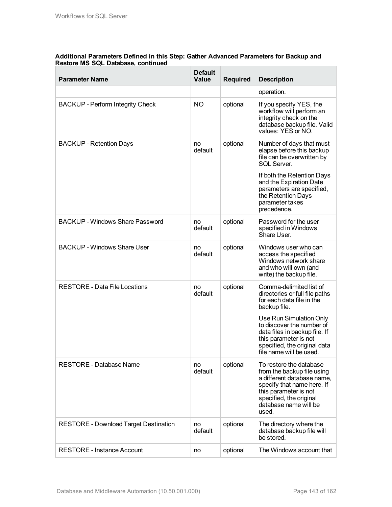#### **Additional Parameters Defined in this Step: Gather Advanced Parameters for Backup and Restore MS SQL Database, continued**

| <b>Parameter Name</b>                        | <b>Default</b><br>Value | <b>Required</b> | <b>Description</b>                                                                                                                                                                                                                                                                  |
|----------------------------------------------|-------------------------|-----------------|-------------------------------------------------------------------------------------------------------------------------------------------------------------------------------------------------------------------------------------------------------------------------------------|
|                                              |                         |                 | operation.                                                                                                                                                                                                                                                                          |
| <b>BACKUP - Perform Integrity Check</b>      | NO.                     | optional        | If you specify YES, the<br>workflow will perform an<br>integrity check on the<br>database backup file. Valid<br>values: YES or NO.                                                                                                                                                  |
| <b>BACKUP - Retention Days</b>               | no<br>default           | optional        | Number of days that must<br>elapse before this backup<br>file can be overwritten by<br><b>SQL Server.</b><br>If both the Retention Days<br>and the Expiration Date<br>parameters are specified,<br>the Retention Days<br>parameter takes<br>precedence.                             |
| <b>BACKUP - Windows Share Password</b>       | no<br>default           | optional        | Password for the user<br>specified in Windows<br>Share User.                                                                                                                                                                                                                        |
| <b>BACKUP - Windows Share User</b>           | no<br>default           | optional        | Windows user who can<br>access the specified<br>Windows network share<br>and who will own (and<br>write) the backup file.                                                                                                                                                           |
| <b>RESTORE - Data File Locations</b>         | no<br>default           | optional        | Comma-delimited list of<br>directories or full file paths<br>for each data file in the<br>backup file.<br>Use Run Simulation Only<br>to discover the number of<br>data files in backup file. If<br>this parameter is not<br>specified, the original data<br>file name will be used. |
| RESTORE - Database Name                      | no<br>default           | optional        | To restore the database<br>from the backup file using<br>a different database name,<br>specify that name here. If<br>this parameter is not<br>specified, the original<br>database name will be<br>used.                                                                             |
| <b>RESTORE - Download Target Destination</b> | no<br>default           | optional        | The directory where the<br>database backup file will<br>be stored.                                                                                                                                                                                                                  |
| <b>RESTORE - Instance Account</b>            | no                      | optional        | The Windows account that                                                                                                                                                                                                                                                            |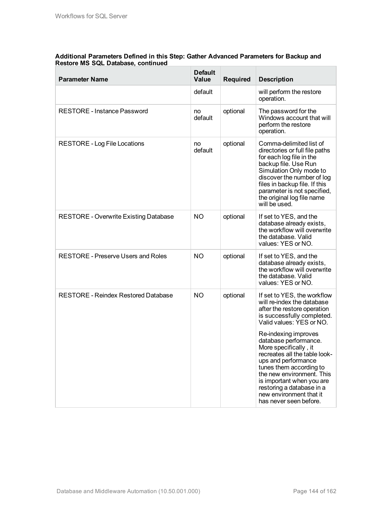#### **Additional Parameters Defined in this Step: Gather Advanced Parameters for Backup and Restore MS SQL Database, continued**

| <b>Parameter Name</b>                        | <b>Default</b><br>Value | <b>Required</b> | <b>Description</b>                                                                                                                                                                                                                                                                                    |
|----------------------------------------------|-------------------------|-----------------|-------------------------------------------------------------------------------------------------------------------------------------------------------------------------------------------------------------------------------------------------------------------------------------------------------|
|                                              | default                 |                 | will perform the restore<br>operation.                                                                                                                                                                                                                                                                |
| <b>RESTORE - Instance Password</b>           | no<br>default           | optional        | The password for the<br>Windows account that will<br>perform the restore<br>operation.                                                                                                                                                                                                                |
| <b>RESTORE - Log File Locations</b>          | no<br>default           | optional        | Comma-delimited list of<br>directories or full file paths<br>for each log file in the<br>backup file. Use Run<br>Simulation Only mode to<br>discover the number of log<br>files in backup file. If this<br>parameter is not specified,<br>the original log file name<br>will be used.                 |
| <b>RESTORE - Overwrite Existing Database</b> | <b>NO</b>               | optional        | If set to YES, and the<br>database already exists,<br>the workflow will overwrite<br>the database. Valid<br>values: YES or NO.                                                                                                                                                                        |
| <b>RESTORE - Preserve Users and Roles</b>    | <b>NO</b>               | optional        | If set to YES, and the<br>database already exists,<br>the workflow will overwrite<br>the database. Valid<br>values: YES or NO.                                                                                                                                                                        |
| <b>RESTORE - Reindex Restored Database</b>   | <b>NO</b>               | optional        | If set to YES, the workflow<br>will re-index the database<br>after the restore operation<br>is successfully completed.<br>Valid values: YES or NO.                                                                                                                                                    |
|                                              |                         |                 | Re-indexing improves<br>database performance.<br>More specifically, it<br>recreates all the table look-<br>ups and performance<br>tunes them according to<br>the new environment. This<br>is important when you are<br>restoring a database in a<br>new environment that it<br>has never seen before. |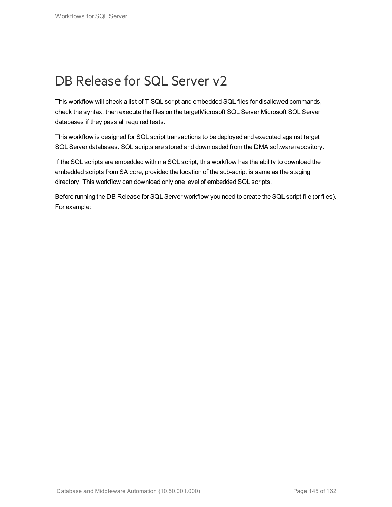## <span id="page-144-0"></span>DB Release for SQL Server v2

This workflow will check a list of T-SQL script and embedded SQL files for disallowed commands, check the syntax, then execute the files on the targetMicrosoft SQL Server Microsoft SQL Server databases if they pass all required tests.

This workflow is designed for SQL script transactions to be deployed and executed against target SQL Server databases. SQL scripts are stored and downloaded from the DMA software repository.

If the SQL scripts are embedded within a SQL script, this workflow has the ability to download the embedded scripts from SA core, provided the location of the sub-script is same as the staging directory. This workflow can download only one level of embedded SQL scripts.

Before running the DB Release for SQL Server workflow you need to create the SQL script file (or files). For example: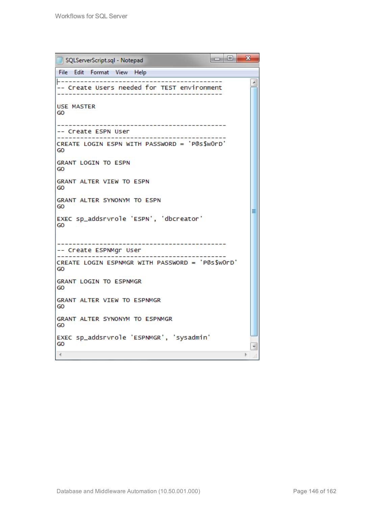| $\Box$ e<br>SQLServerScript.sql - Notepad              | $\overline{\mathbf{x}}$ |
|--------------------------------------------------------|-------------------------|
| File Edit Format View Help                             |                         |
| -----<br>- Create Users needed for TEST environment    | À                       |
| <b>USE MASTER</b><br>GO                                |                         |
| -- Create ESPN User                                    |                         |
| CREATE LOGIN ESPN WITH PASSWORD = 'P@s\$w0rD'<br>GO    |                         |
| <b>GRANT LOGIN TO ESPN</b><br>GO                       |                         |
| <b>GRANT ALTER VIEW TO ESPN</b><br>GO                  |                         |
| GRANT ALTER SYNONYM TO ESPN<br>GO                      | Ξ                       |
| EXEC sp_addsrvrole 'ESPN', 'dbcreator'<br>GO           |                         |
| -------------<br>-- Create ESPNMgr User                |                         |
| CREATE LOGIN ESPNMGR WITH PASSWORD = 'P@s\$w0rD'<br>GO |                         |
| <b>GRANT LOGIN TO ESPNMGR</b><br>GO                    |                         |
| GRANT ALTER VIEW TO ESPNMGR<br>GO                      |                         |
| GRANT ALTER SYNONYM TO ESPNMGR<br>GO                   |                         |
| EXEC sp_addsrvrole 'ESPNMGR', 'sysadmin'<br>GO         |                         |
| $\blacktriangleleft$                                   | þ                       |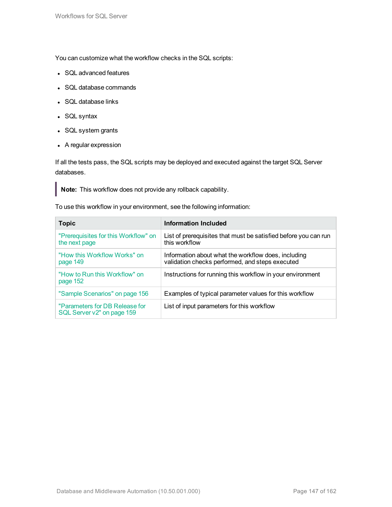You can customize what the workflow checks in the SQL scripts:

- SQL advanced features
- SQL database commands
- SQL database links
- SQL syntax
- SQL system grants
- A regular expression

If all the tests pass, the SQL scripts may be deployed and executed against the target SQL Server databases.

**Note:** This workflow does not provide any rollback capability.

To use this workflow in your environment, see the following information:

| <b>Topic</b>                                                 | Information Included                                                                                   |
|--------------------------------------------------------------|--------------------------------------------------------------------------------------------------------|
| "Prerequisites for this Workflow" on<br>the next page        | List of prerequisites that must be satisfied before you can run<br>this workflow                       |
| "How this Workflow Works" on<br>page 149                     | Information about what the workflow does, including<br>validation checks performed, and steps executed |
| "How to Run this Workflow" on<br>page 152                    | Instructions for running this workflow in your environment                                             |
| "Sample Scenarios" on page 156                               | Examples of typical parameter values for this workflow                                                 |
| "Parameters for DB Release for<br>SQL Server v2" on page 159 | List of input parameters for this workflow                                                             |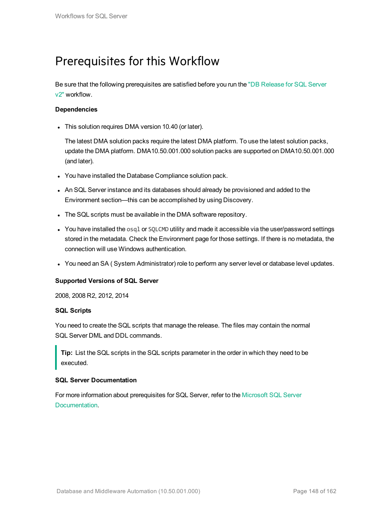## <span id="page-147-0"></span>Prerequisites for this Workflow

Be sure that the following prerequisites are satisfied before you run the "DB [Release](#page-144-0) for SQL Server [v2"](#page-144-0) workflow.

#### **Dependencies**

• This solution requires DMA version 10.40 (or later).

The latest DMA solution packs require the latest DMA platform. To use the latest solution packs, update the DMA platform. DMA10.50.001.000 solution packs are supported on DMA10.50.001.000 (and later).

- You have installed the Database Compliance solution pack.
- An SQL Server instance and its databases should already be provisioned and added to the Environment section—this can be accomplished by using Discovery.
- The SQL scripts must be available in the DMA software repository.
- You have installed the osq1 or SQLCMD utility and made it accessible via the user/password settings stored in the metadata. Check the Environment page for those settings. If there is no metadata, the connection will use Windows authentication.
- You need an SA ( System Administrator) role to perform any server level or database level updates.

#### **Supported Versions of SQL Server**

2008, 2008 R2, 2012, 2014

#### **SQL Scripts**

You need to create the SQL scripts that manage the release. The files may contain the normal SQL Server DML and DDL commands.

**Tip:** List the SQL scripts in the SQL scripts parameter in the order in which they need to be executed.

#### **SQL Server Documentation**

For more information about prerequisites for SQL Server, refer to the [Microsoft SQL Server](http://msdn.microsoft.com/en-us/library) [Documentation](http://msdn.microsoft.com/en-us/library).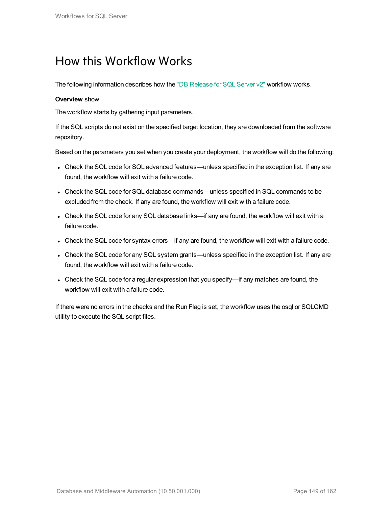## <span id="page-148-0"></span>How this Workflow Works

The following information describes how the "DB [Release](#page-144-0) for SQL Server v2" workflow works.

#### **Overview** show

The workflow starts by gathering input parameters.

If the SQL scripts do not exist on the specified target location, they are downloaded from the software repository.

Based on the parameters you set when you create your deployment, the workflow will do the following:

- Check the SQL code for SQL advanced features—unless specified in the exception list. If any are found, the workflow will exit with a failure code.
- Check the SQL code for SQL database commands—unless specified in SQL commands to be excluded from the check. If any are found, the workflow will exit with a failure code.
- Check the SQL code for any SQL database links—if any are found, the workflow will exit with a failure code.
- Check the SQL code for syntax errors—if any are found, the workflow will exit with a failure code.
- Check the SQL code for any SQL system grants—unless specified in the exception list. If any are found, the workflow will exit with a failure code.
- Check the SQL code for a regular expression that you specify—if any matches are found, the workflow will exit with a failure code.

If there were no errors in the checks and the Run Flag is set, the workflow uses the osql or SQLCMD utility to execute the SQL script files.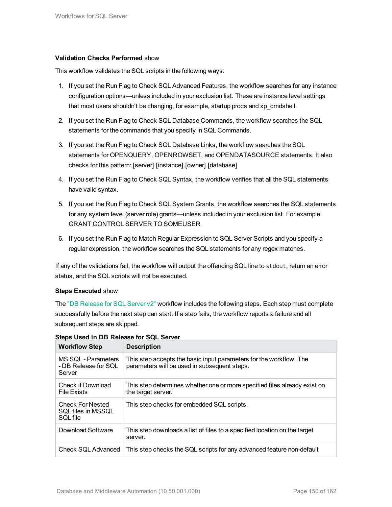#### **Validation Checks Performed** show

This workflow validates the SQL scripts in the following ways:

- 1. If you set the Run Flag to Check SQL Advanced Features, the workflow searches for any instance configuration options—unless included in your exclusion list. These are instance level settings that most users shouldn't be changing, for example, startup procs and xp\_cmdshell.
- 2. If you set the Run Flag to Check SQL Database Commands, the workflow searches the SQL statements for the commands that you specify in SQL Commands.
- 3. If you set the Run Flag to Check SQL Database Links, the workflow searches the SQL statements for OPENQUERY, OPENROWSET, and OPENDATASOURCE statements. It also checks for this pattern: [server].[instance].[owner].[database]
- 4. If you set the Run Flag to Check SQL Syntax, the workflow verifies that all the SQL statements have valid syntax.
- 5. If you set the Run Flag to Check SQL System Grants, the workflow searches the SQL statements for any system level (server role) grants—unless included in your exclusion list. For example: GRANT CONTROL SERVER TO SOMEUSER
- 6. If you set the Run Flag to Match Regular Expression to SQL Server Scripts and you specify a regular expression, the workflow searches the SQL statements for any regex matches.

If any of the validations fail, the workflow will output the offending SQL line to stdout, return an error status, and the SQL scripts will not be executed.

#### **Steps Executed** show

The "DB [Release](#page-144-0) for SQL Server v2" workflow includes the following steps. Each step must complete successfully before the next step can start. If a step fails, the workflow reports a failure and all subsequent steps are skipped.

| <b>Workflow Step</b>                                  | <b>Description</b>                                                                                                 |
|-------------------------------------------------------|--------------------------------------------------------------------------------------------------------------------|
| MS SQL - Parameters<br>- DB Release for SQL<br>Server | This step accepts the basic input parameters for the workflow. The<br>parameters will be used in subsequent steps. |
| Check if Download<br><b>File Exists</b>               | This step determines whether one or more specified files already exist on<br>the target server.                    |
| Check For Nested<br>SQL files in MSSQL<br>SQL file    | This step checks for embedded SQL scripts.                                                                         |
| Download Software                                     | This step downloads a list of files to a specified location on the target<br>server.                               |
| Check SQL Advanced                                    | This step checks the SQL scripts for any advanced feature non-default                                              |

#### **Steps Used in DB Release for SQL Server**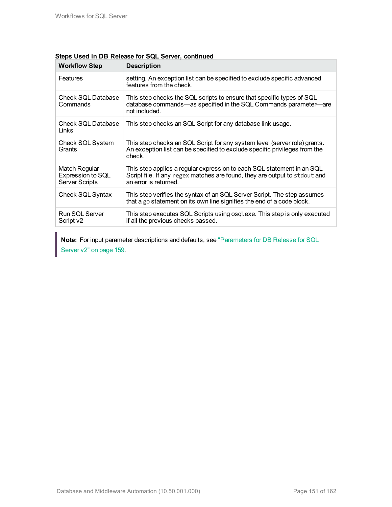| <b>Workflow Step</b>                                        | <b>Description</b>                                                                                                                                                            |
|-------------------------------------------------------------|-------------------------------------------------------------------------------------------------------------------------------------------------------------------------------|
| <b>Features</b>                                             | setting. An exception list can be specified to exclude specific advanced<br>features from the check.                                                                          |
| Check SQL Database<br>Commands                              | This step checks the SQL scripts to ensure that specific types of SQL<br>database commands-as specified in the SQL Commands parameter-are<br>not included.                    |
| Check SQL Database<br>Links                                 | This step checks an SQL Script for any database link usage.                                                                                                                   |
| Check SQL System<br>Grants                                  | This step checks an SQL Script for any system level (server role) grants.<br>An exception list can be specified to exclude specific privileges from the<br>check.             |
| Match Regular<br>Expression to SQL<br><b>Server Scripts</b> | This step applies a regular expression to each SQL statement in an SQL<br>Script file. If any regex matches are found, they are output to stdout and<br>an error is returned. |
| Check SQL Syntax                                            | This step verifies the syntax of an SQL Server Script. The step assumes<br>that a go statement on its own line signifies the end of a code block.                             |
| Run SQL Server<br>Script v2                                 | This step executes SQL Scripts using osql.exe. This step is only executed<br>if all the previous checks passed.                                                               |

#### **Steps Used in DB Release for SQL Server, continued**

**Note:** For input parameter descriptions and defaults, see ["Parameters](#page-158-0) for DB Release for SQL [Server](#page-158-0) v2" on page 159.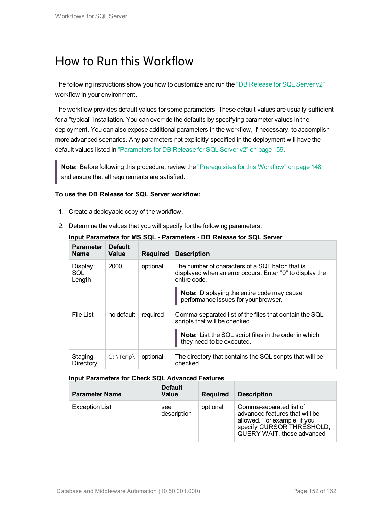## <span id="page-151-0"></span>How to Run this Workflow

The following instructions show you how to customize and run the "DB [Release](#page-144-0) for SQL Server v2" workflow in your environment.

The workflow provides default values for some parameters. These default values are usually sufficient for a "typical" installation. You can override the defaults by specifying parameter values in the deployment. You can also expose additional parameters in the workflow, if necessary, to accomplish more advanced scenarios. Any parameters not explicitly specified in the deployment will have the default values listed in ["Parameters](#page-158-0) for DB Release for SQL Server v2" on page 159.

**Note:** Before following this procedure, review the ["Prerequisites](#page-147-0) for this Workflow" on page 148, and ensure that all requirements are satisfied.

#### **To use the DB Release for SQL Server workflow:**

- 1. Create a deployable copy of the workflow.
- 2. Determine the values that you will specify for the following parameters:

| <b>Parameter</b><br><b>Name</b> | <b>Default</b><br>Value | <b>Required</b> | <b>Description</b>                                                                                                                                                                                                |
|---------------------------------|-------------------------|-----------------|-------------------------------------------------------------------------------------------------------------------------------------------------------------------------------------------------------------------|
| <b>Display</b><br>SQL<br>Length | 2000                    | optional        | The number of characters of a SQL batch that is<br>displayed when an error occurs. Enter "0" to display the<br>entire code.<br>Note: Displaying the entire code may cause<br>performance issues for your browser. |
| File List                       | no default              | required        | Comma-separated list of the files that contain the SQL<br>scripts that will be checked.<br>Note: List the SQL script files in the order in which<br>they need to be executed.                                     |
| Staging<br>Directory            | $C:\$ Temp              | optional        | The directory that contains the SQL scripts that will be<br>checked.                                                                                                                                              |

#### **Input Parameters for MS SQL - Parameters - DB Release for SQL Server**

#### **Input Parameters for Check SQL Advanced Features**

| <b>Parameter Name</b> | <b>Default</b><br>Value | <b>Required</b> | <b>Description</b>                                                                                                                                   |
|-----------------------|-------------------------|-----------------|------------------------------------------------------------------------------------------------------------------------------------------------------|
| <b>Exception List</b> | see<br>description      | optional        | Comma-separated list of<br>advanced features that will be<br>allowed. For example, if you<br>specify CURSOR THRESHOLD,<br>QUERY WAIT, those advanced |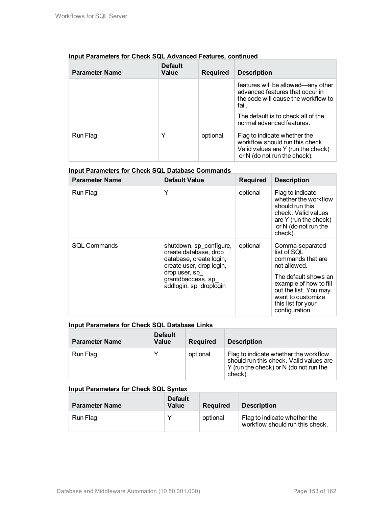| <b>Parameter Name</b> | <b>Default</b><br>Value | <b>Required</b> | <b>Description</b>                                                                                                                    |
|-----------------------|-------------------------|-----------------|---------------------------------------------------------------------------------------------------------------------------------------|
|                       |                         |                 | features will be allowed—any other<br>advanced features that occur in<br>the code will cause the workflow to<br>fail.                 |
|                       |                         |                 | The default is to check all of the<br>normal advanced features.                                                                       |
| Run Flag              | Υ                       | optional        | Flag to indicate whether the<br>workflow should run this check.<br>Valid values are Y (run the check)<br>or N (do not run the check). |

#### **Input Parameters for Check SQL Advanced Features, continued**

#### **Input Parameters for Check SQL Database Commands**

| <b>Parameter Name</b> | <b>Default Value</b>                                                                                                                                                     | <b>Required</b> | <b>Description</b>                                                                                                                                                                                          |
|-----------------------|--------------------------------------------------------------------------------------------------------------------------------------------------------------------------|-----------------|-------------------------------------------------------------------------------------------------------------------------------------------------------------------------------------------------------------|
| Run Flag              | Y                                                                                                                                                                        | optional        | Flag to indicate<br>whether the workflow<br>should run this<br>check. Valid values<br>are Y (run the check)<br>or N (do not run the<br>check).                                                              |
| <b>SQL Commands</b>   | shutdown, sp_configure,<br>create database, drop<br>database, create login,<br>create user, drop login,<br>drop user, sp_<br>grantdbaccess, sp<br>addlogin, sp droplogin | optional        | Comma-separated<br>list of SQL<br>commands that are<br>not allowed.<br>The default shows an<br>example of how to fill<br>out the list. You may<br>want to customize<br>this list for your<br>configuration. |

#### **Input Parameters for Check SQL Database Links**

| <b>Parameter Name</b> | <b>Default</b><br>Value | <b>Required</b> | <b>Description</b>                                                                                                                    |
|-----------------------|-------------------------|-----------------|---------------------------------------------------------------------------------------------------------------------------------------|
| Run Flag              | v                       | optional        | Flag to indicate whether the workflow<br>should run this check. Valid values are<br>Y (run the check) or N (do not run the<br>check). |

#### **Input Parameters for Check SQL Syntax**

| <b>Parameter Name</b> | <b>Default</b><br>Value | Reguired | <b>Description</b>                                              |
|-----------------------|-------------------------|----------|-----------------------------------------------------------------|
| Run Flag              |                         | optional | Flag to indicate whether the<br>workflow should run this check. |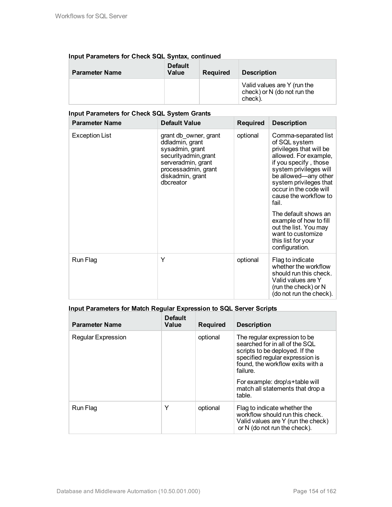| <b>Parameter Name</b> | <b>Default</b><br>Value | Reguired | <b>Description</b>                                                    |
|-----------------------|-------------------------|----------|-----------------------------------------------------------------------|
|                       |                         |          | Valid values are Y (run the<br>check) or N (do not run the<br>check). |

#### **Input Parameters for Check SQL Syntax, continued**

#### **Input Parameters for Check SQL System Grants**

| <b>Parameter Name</b> | <b>Default Value</b>                                                                                                                                              | <b>Required</b> | <b>Description</b>                                                                                                                                                                                                                                         |
|-----------------------|-------------------------------------------------------------------------------------------------------------------------------------------------------------------|-----------------|------------------------------------------------------------------------------------------------------------------------------------------------------------------------------------------------------------------------------------------------------------|
| <b>Exception List</b> | grant db_owner, grant<br>ddladmin, grant<br>sysadmin, grant<br>securityadmin, grant<br>serveradmin, grant<br>processadmin, grant<br>diskadmin, grant<br>dbcreator | optional        | Comma-separated list<br>of SQL system<br>privileges that will be<br>allowed. For example,<br>if you specify, those<br>system privileges will<br>be allowed—any other<br>system privileges that<br>occur in the code will<br>cause the workflow to<br>fail. |
|                       |                                                                                                                                                                   |                 | The default shows an<br>example of how to fill<br>out the list. You may<br>want to customize<br>this list for your<br>configuration.                                                                                                                       |
| Run Flag              | Y                                                                                                                                                                 | optional        | Flag to indicate<br>whether the workflow<br>should run this check.<br>Valid values are Y<br>(run the check) or N<br>(do not run the check).                                                                                                                |

#### **Input Parameters for Match Regular Expression to SQL Server Scripts**

| <b>Parameter Name</b> | <b>Default</b><br>Value | <b>Required</b> | <b>Description</b>                                                                                                                                                                                                                                        |
|-----------------------|-------------------------|-----------------|-----------------------------------------------------------------------------------------------------------------------------------------------------------------------------------------------------------------------------------------------------------|
| Regular Expression    |                         | optional        | The regular expression to be<br>searched for in all of the SQL<br>scripts to be deployed. If the<br>specified regular expression is<br>found, the workflow exits with a<br>failure.<br>For example: drop\s+table will<br>match all statements that drop a |
|                       |                         |                 | table.                                                                                                                                                                                                                                                    |
| Run Flag              | Y                       | optional        | Flag to indicate whether the<br>workflow should run this check.<br>Valid values are Y (run the check)<br>or N (do not run the check).                                                                                                                     |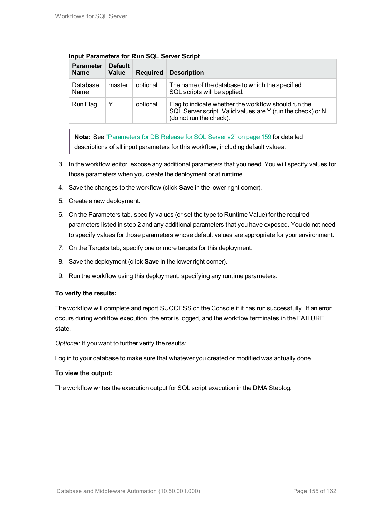| <b>Parameter</b><br><b>Name</b> | <b>Default</b><br>Value | <b>Required</b> | <b>Description</b>                                                                                                                            |
|---------------------------------|-------------------------|-----------------|-----------------------------------------------------------------------------------------------------------------------------------------------|
| Database<br>Name                | master                  | optional        | The name of the database to which the specified<br>SQL scripts will be applied.                                                               |
| Run Flag                        |                         | optional        | Flag to indicate whether the workflow should run the<br>SQL Server script. Valid values are Y (run the check) or N<br>(do not run the check). |

#### **Input Parameters for Run SQL Server Script**

**Note:** See ["Parameters](#page-158-0) for DB Release for SQL Server v2" on page 159 for detailed descriptions of all input parameters for this workflow, including default values.

- 3. In the workflow editor, expose any additional parameters that you need. You will specify values for those parameters when you create the deployment or at runtime.
- 4. Save the changes to the workflow (click **Save** in the lower right corner).
- 5. Create a new deployment.
- 6. On the Parameters tab, specify values (or set the type to Runtime Value) for the required parameters listed in step 2 and any additional parameters that you have exposed. You do not need to specify values for those parameters whose default values are appropriate for your environment.
- 7. On the Targets tab, specify one or more targets for this deployment.
- 8. Save the deployment (click **Save** in the lower right corner).
- 9. Run the workflow using this deployment, specifying any runtime parameters.

#### **To verify the results:**

The workflow will complete and report SUCCESS on the Console if it has run successfully. If an error occurs during workflow execution, the error is logged, and the workflow terminates in the FAILURE state.

*Optional:* If you want to further verify the results:

Log in to your database to make sure that whatever you created or modified was actually done.

#### **To view the output:**

The workflow writes the execution output for SQL script execution in the DMA Steplog.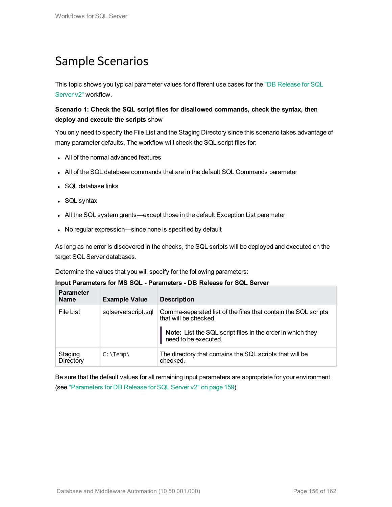## <span id="page-155-0"></span>Sample Scenarios

This topic shows you typical parameter values for different use cases for the "DB [Release](#page-144-0) for SQL [Server](#page-144-0) v2" workflow.

### **Scenario 1: Check the SQL script files for disallowed commands, check the syntax, then deploy and execute the scripts** show

You only need to specify the File List and the Staging Directory since this scenario takes advantage of many parameter defaults. The workflow will check the SQL script files for:

- All of the normal advanced features
- All of the SQL database commands that are in the default SQL Commands parameter
- SQL database links
- SQL syntax
- All the SQL system grants—except those in the default Exception List parameter
- No regular expression—since none is specified by default

As long as no error is discovered in the checks, the SQL scripts will be deployed and executed on the target SQL Server databases.

Determine the values that you will specify for the following parameters:

|  |  | Input Parameters for MS SQL - Parameters - DB Release for SQL Server |  |  |  |
|--|--|----------------------------------------------------------------------|--|--|--|
|  |  |                                                                      |  |  |  |

| <b>Parameter</b><br><b>Name</b> | <b>Example Value</b> | <b>Description</b>                                                                      |
|---------------------------------|----------------------|-----------------------------------------------------------------------------------------|
| File List                       | sqlserverscript.sql  | Comma-separated list of the files that contain the SQL scripts<br>that will be checked. |
|                                 |                      | <b>Note:</b> List the SQL script files in the order in which they need to be executed.  |
| Staging<br>Directory            | $C:\Temp\$           | The directory that contains the SQL scripts that will be<br>checked.                    |

Be sure that the default values for all remaining input parameters are appropriate for your environment (see ["Parameters](#page-158-0) for DB Release for SQL Server v2" on page 159).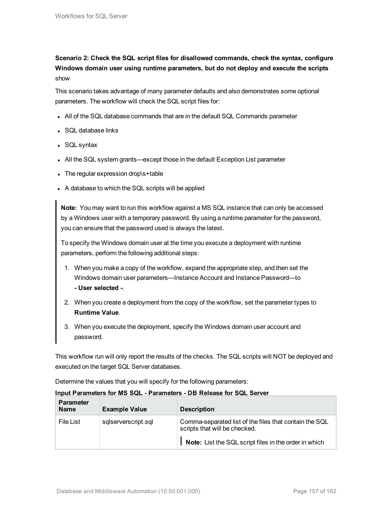### **Scenario 2: Check the SQL script files for disallowed commands, check the syntax, configure Windows domain user using runtime parameters, but do not deploy and execute the scripts** show

This scenario takes advantage of many parameter defaults and also demonstrates some optional parameters. The workflow will check the SQL script files for:

- All of the SQL database commands that are in the default SQL Commands parameter
- SQL database links
- SQL syntax
- All the SQL system grants—except those in the default Exception List parameter
- The regular expression drop $\s+$ table
- A database to which the SQL scripts will be applied

**Note:** You may want to run this workflow against a MS SQL instance that can only be accessed by a Windows user with a temporary password. By using a runtime parameter for the password, you can ensure that the password used is always the latest.

To specify the Windows domain user at the time you execute a deployment with runtime parameters, perform the following additional steps:

- 1. When you make a copy of the workflow, expand the appropriate step, and then set the Windows domain user parameters—Instance Account and Instance Password—to **- User selected -**.
- 2. When you create a deployment from the copy of the workflow, set the parameter types to **Runtime Value**.
- 3. When you execute the deployment, specify the Windows domain user account and password.

This workflow run will only report the results of the checks. The SQL scripts will NOT be deployed and executed on the target SQL Server databases.

Determine the values that you will specify for the following parameters:

| <b>Parameter</b><br><b>Name</b> | <b>Example Value</b> | <b>Description</b>                                                                      |
|---------------------------------|----------------------|-----------------------------------------------------------------------------------------|
| File List                       | sqlserverscript.sql  | Comma-separated list of the files that contain the SQL<br>scripts that will be checked. |
|                                 |                      | Note: List the SQL script files in the order in which                                   |

#### **Input Parameters for MS SQL - Parameters - DB Release for SQL Server**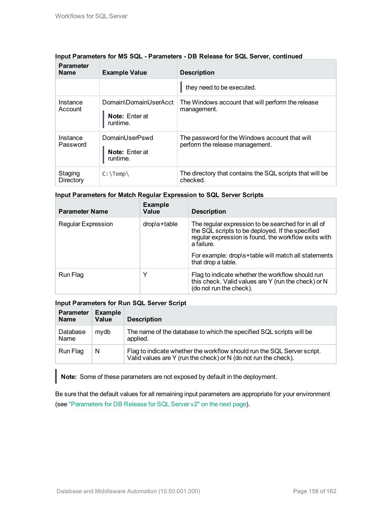| <b>Parameter</b><br><b>Name</b> | <b>Example Value</b>                                | <b>Description</b>                                                                |
|---------------------------------|-----------------------------------------------------|-----------------------------------------------------------------------------------|
|                                 |                                                     | they need to be executed.                                                         |
| Instance<br>Account             | Domain\DomainUserAcct<br>Note: Enter at<br>runtime. | The Windows account that will perform the release<br>management.                  |
| Instance<br>Password            | DomainUserPswd<br>Note: Enter at<br>runtime.        | The password for the Windows account that will<br>perform the release management. |
| Staging<br>Directory            | $C:\$ Temp                                          | The directory that contains the SQL scripts that will be<br>checked.              |

#### **Input Parameters for MS SQL - Parameters - DB Release for SQL Server, continued**

|  |  | Input Parameters for Match Regular Expression to SQL Server Scripts |
|--|--|---------------------------------------------------------------------|
|  |  |                                                                     |

| <b>Parameter Name</b>     | <b>Example</b><br>Value | <b>Description</b>                                                                                                                                                                                                                   |
|---------------------------|-------------------------|--------------------------------------------------------------------------------------------------------------------------------------------------------------------------------------------------------------------------------------|
| <b>Regular Expression</b> | drop\s+table            | The regular expression to be searched for in all of<br>the SQL scripts to be deployed. If the specified<br>regular expression is found, the workflow exits with<br>a failure.<br>For example: drop\s+table will match all statements |
|                           |                         | that drop a table.                                                                                                                                                                                                                   |
| Run Flag                  | Y                       | Flag to indicate whether the workflow should run<br>this check. Valid values are Y (run the check) or N<br>(do not run the check).                                                                                                   |

#### **Input Parameters for Run SQL Server Script**

| <b>Parameter</b><br><b>Name</b> | <b>Example</b><br>Value | <b>Description</b>                                                                                                                         |
|---------------------------------|-------------------------|--------------------------------------------------------------------------------------------------------------------------------------------|
| Database<br>Name                | mydb                    | The name of the database to which the specified SQL scripts will be<br>applied.                                                            |
| Run Flag                        | N                       | Flag to indicate whether the workflow should run the SQL Server script.<br>Valid values are Y (run the check) or N (do not run the check). |

**Note:** Some of these parameters are not exposed by default in the deployment.

Be sure that the default values for all remaining input parameters are appropriate for your environment (see ["Parameters](#page-158-0) for DB Release for SQL Server v2" on the next page).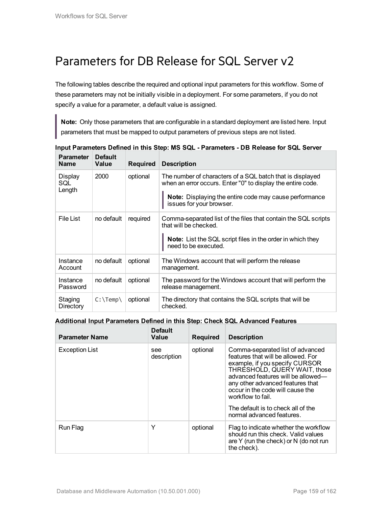## <span id="page-158-0"></span>Parameters for DB Release for SQL Server v2

The following tables describe the required and optional input parameters for this workflow. Some of these parameters may not be initially visible in a deployment. For some parameters, if you do not specify a value for a parameter, a default value is assigned.

**Note:** Only those parameters that are configurable in a standard deployment are listed here. Input parameters that must be mapped to output parameters of previous steps are not listed.

| <b>Parameter</b><br>Name | <b>Default</b><br>Value | <b>Required</b> | <b>Description</b>                                                                                                       |
|--------------------------|-------------------------|-----------------|--------------------------------------------------------------------------------------------------------------------------|
| <b>Display</b><br>SQL    | 2000                    | optional        | The number of characters of a SQL batch that is displayed<br>when an error occurs. Enter "0" to display the entire code. |
| Length                   |                         |                 | <b>Note:</b> Displaying the entire code may cause performance<br>issues for your browser.                                |
| File List                | no default              | required        | Comma-separated list of the files that contain the SQL scripts<br>that will be checked.                                  |
|                          |                         |                 | <b>Note:</b> List the SQL script files in the order in which they<br>need to be executed.                                |
| Instance<br>Account      | no default              | optional        | The Windows account that will perform the release<br>management.                                                         |
| Instance<br>Password     | no default              | optional        | The password for the Windows account that will perform the<br>release management.                                        |
| Staging<br>Directory     | $C:\$ Temp              | optional        | The directory that contains the SQL scripts that will be<br>checked.                                                     |

**Input Parameters Defined in this Step: MS SQL - Parameters - DB Release for SQL Server**

#### **Additional Input Parameters Defined in this Step: Check SQL Advanced Features**

| <b>Parameter Name</b> | <b>Default</b><br>Value | <b>Required</b> | <b>Description</b>                                                                                                                                                                                                                                                                                                                             |
|-----------------------|-------------------------|-----------------|------------------------------------------------------------------------------------------------------------------------------------------------------------------------------------------------------------------------------------------------------------------------------------------------------------------------------------------------|
| <b>Exception List</b> | see<br>description      | optional        | Comma-separated list of advanced<br>features that will be allowed. For<br>example, if you specify CURSOR<br>THRESHOLD, QUERY WAIT, those<br>advanced features will be allowed-<br>any other advanced features that<br>occur in the code will cause the<br>workflow to fail.<br>The default is to check all of the<br>normal advanced features. |
| Run Flag              | Υ                       | optional        | Flag to indicate whether the workflow<br>should run this check. Valid values<br>are Y (run the check) or N (do not run<br>the check).                                                                                                                                                                                                          |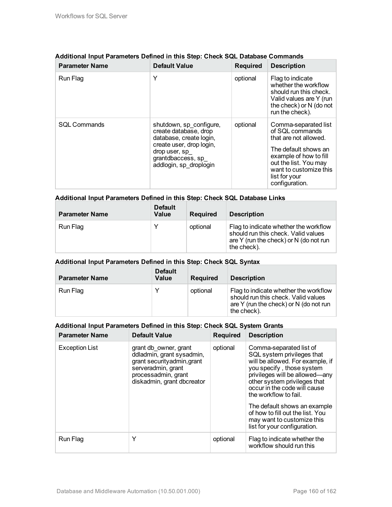| <b>Parameter Name</b> | <b>Default Value</b>                                                                                                                                                      | <b>Required</b> | <b>Description</b>                                                                                                                                                                                       |
|-----------------------|---------------------------------------------------------------------------------------------------------------------------------------------------------------------------|-----------------|----------------------------------------------------------------------------------------------------------------------------------------------------------------------------------------------------------|
| Run Flag              | Υ                                                                                                                                                                         | optional        | Flag to indicate<br>whether the workflow<br>should run this check.<br>Valid values are Y (run<br>the check) or N (do not<br>run the check).                                                              |
| <b>SQL Commands</b>   | shutdown, sp configure,<br>create database, drop<br>database, create login,<br>create user, drop login,<br>drop user, sp_<br>grantdbaccess, sp_<br>addlogin, sp_droplogin | optional        | Comma-separated list<br>of SQL commands<br>that are not allowed.<br>The default shows an<br>example of how to fill<br>out the list. You may<br>want to customize this<br>list for your<br>configuration. |

### **Additional Input Parameters Defined in this Step: Check SQL Database Commands**

|  |  | Additional Input Parameters Defined in this Step: Check SQL Database Links |
|--|--|----------------------------------------------------------------------------|
|  |  |                                                                            |

| <b>Parameter Name</b> | <b>Default</b><br>Value | Required | <b>Description</b>                                                                                                                    |
|-----------------------|-------------------------|----------|---------------------------------------------------------------------------------------------------------------------------------------|
| Run Flag              |                         | optional | Flag to indicate whether the workflow<br>should run this check. Valid values<br>are Y (run the check) or N (do not run<br>the check). |

#### **Additional Input Parameters Defined in this Step: Check SQL Syntax**

| <b>Parameter Name</b> | <b>Default</b><br>Value | <b>Required</b> | <b>Description</b>                                                                                                                    |
|-----------------------|-------------------------|-----------------|---------------------------------------------------------------------------------------------------------------------------------------|
| Run Flag              |                         | optional        | Flag to indicate whether the workflow<br>should run this check. Valid values<br>are Y (run the check) or N (do not run<br>the check). |

### **Additional Input Parameters Defined in this Step: Check SQL System Grants**

| <b>Parameter Name</b> | <b>Default Value</b>                                                                                                                                        | <b>Required</b> | <b>Description</b>                                                                                                                                                                                                                                |
|-----------------------|-------------------------------------------------------------------------------------------------------------------------------------------------------------|-----------------|---------------------------------------------------------------------------------------------------------------------------------------------------------------------------------------------------------------------------------------------------|
| <b>Exception List</b> | grant db owner, grant<br>ddladmin, grant sysadmin,<br>grant securityadmin, grant<br>serveradmin, grant<br>processadmin, grant<br>diskadmin, grant dbcreator | optional        | Comma-separated list of<br>SQL system privileges that<br>will be allowed. For example, if<br>you specify, those system<br>privileges will be allowed—any<br>other system privileges that<br>occur in the code will cause<br>the workflow to fail. |
|                       |                                                                                                                                                             |                 | The default shows an example<br>of how to fill out the list. You<br>may want to customize this<br>list for your configuration.                                                                                                                    |
| Run Flag              | Υ                                                                                                                                                           | optional        | Flag to indicate whether the<br>workflow should run this                                                                                                                                                                                          |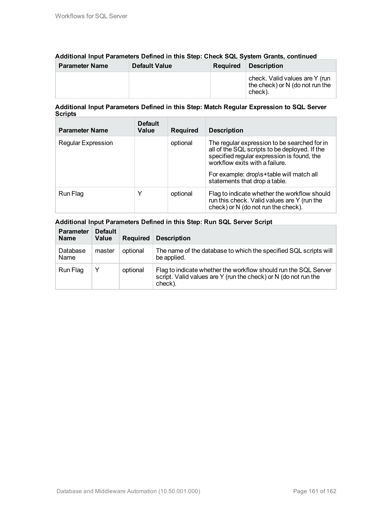| <b>Default Value</b><br><b>Parameter Name</b> |  | Required | <b>Description</b>                                                           |
|-----------------------------------------------|--|----------|------------------------------------------------------------------------------|
|                                               |  |          | check. Valid values are Y (run<br>the check) or N (do not run the<br>check). |

#### **Additional Input Parameters Defined in this Step: Check SQL System Grants, continued**

#### **Additional Input Parameters Defined in this Step: Match Regular Expression to SQL Server Scripts**

| <b>Parameter Name</b>     | <b>Default</b><br>Value | <b>Required</b> | <b>Description</b>                                                                                                                                                                                                                                         |
|---------------------------|-------------------------|-----------------|------------------------------------------------------------------------------------------------------------------------------------------------------------------------------------------------------------------------------------------------------------|
| <b>Regular Expression</b> |                         | optional        | The regular expression to be searched for in<br>all of the SQL scripts to be deployed. If the<br>specified regular expression is found, the<br>workflow exits with a failure.<br>For example: drop\s+table will match all<br>statements that drop a table. |
| Run Flag                  | Y                       | optional        | Flag to indicate whether the workflow should<br>run this check. Valid values are Y (run the<br>check) or N (do not run the check).                                                                                                                         |

### **Additional Input Parameters Defined in this Step: Run SQL Server Script**

| <b>Parameter</b><br><b>Name</b> | <b>Default</b><br>Value | <b>Required</b> | <b>Description</b>                                                                                                                            |
|---------------------------------|-------------------------|-----------------|-----------------------------------------------------------------------------------------------------------------------------------------------|
| Database<br>Name                | master                  | optional        | The name of the database to which the specified SQL scripts will<br>be applied.                                                               |
| Run Flag                        | Y                       | optional        | Flag to indicate whether the workflow should run the SQL Server<br>script. Valid values are Y (run the check) or N (do not run the<br>check). |